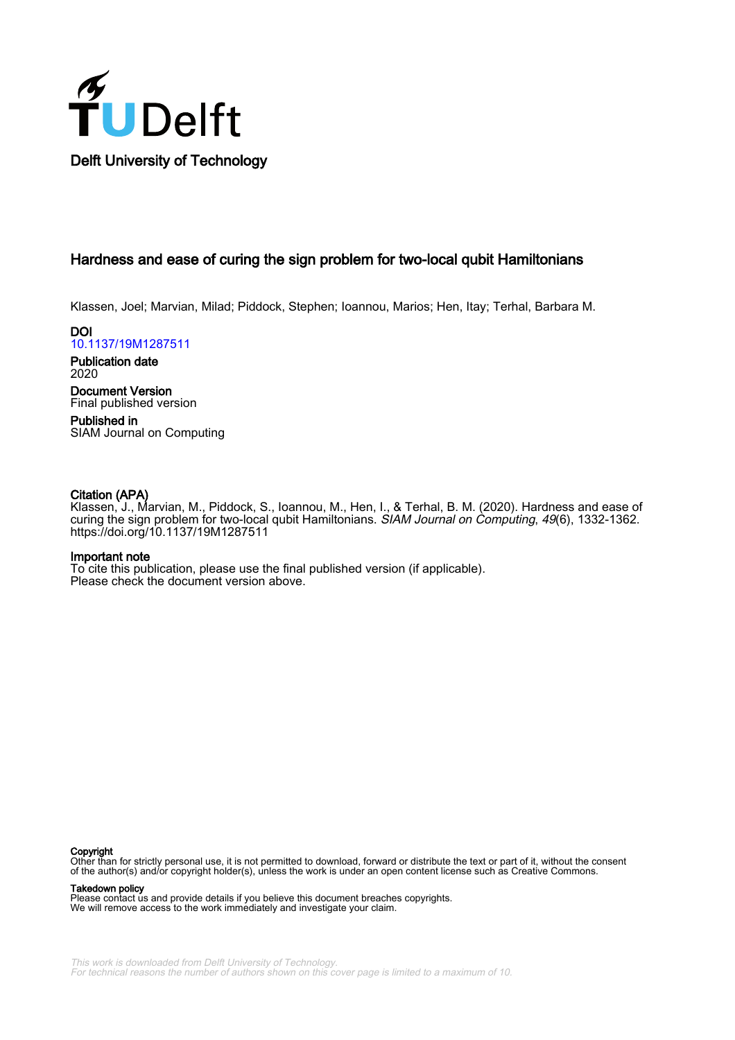

# Hardness and ease of curing the sign problem for two-local qubit Hamiltonians

Klassen, Joel; Marvian, Milad; Piddock, Stephen; Ioannou, Marios; Hen, Itay; Terhal, Barbara M.

DOI [10.1137/19M1287511](https://doi.org/10.1137/19M1287511)

Publication date 2020

Document Version Final published version

Published in SIAM Journal on Computing

### Citation (APA)

Klassen, J., Marvian, M., Piddock, S., Ioannou, M., Hen, I., & Terhal, B. M. (2020). Hardness and ease of curing the sign problem for two-local qubit Hamiltonians. SIAM Journal on Computing, 49(6), 1332-1362. <https://doi.org/10.1137/19M1287511>

### Important note

To cite this publication, please use the final published version (if applicable). Please check the document version above.

#### Copyright

Other than for strictly personal use, it is not permitted to download, forward or distribute the text or part of it, without the consent of the author(s) and/or copyright holder(s), unless the work is under an open content license such as Creative Commons.

Takedown policy

Please contact us and provide details if you believe this document breaches copyrights. We will remove access to the work immediately and investigate your claim.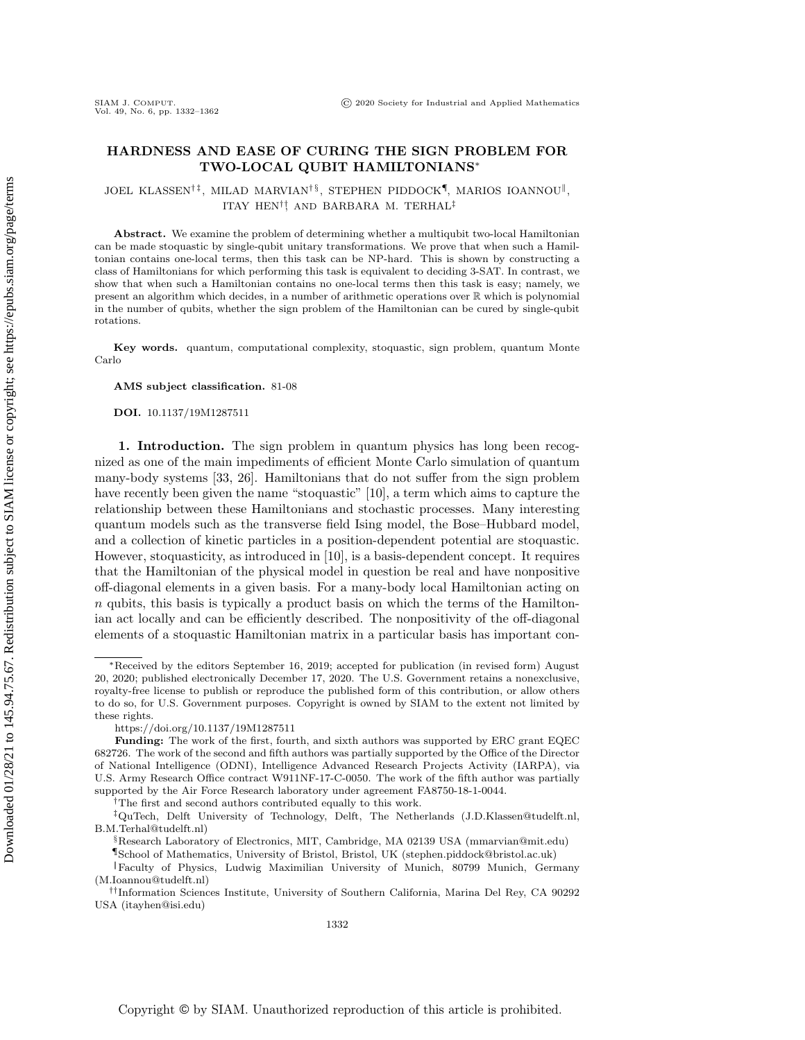### HARDNESS AND EASE OF CURING THE SIGN PROBLEM FOR TWO-LOCAL QUBIT HAMILTONIANS\*

JOEL KLASSEN<sup>†‡</sup>, MILAD MARVIAN<sup>†§</sup>, STEPHEN PIDDOCK<sup>¶</sup>, MARIOS IOANNOU<sup>||</sup> , ITAY HEN<sup>†</sup>! AND BARBARA M. TERHAL<sup>‡</sup>

Abstract. We examine the problem of determining whether a multiqubit two-local Hamiltonian can be made stoquastic by single-qubit unitary transformations. We prove that when such a Hamiltonian contains one-local terms, then this task can be NP-hard. This is shown by constructing a class of Hamiltonians for which performing this task is equivalent to deciding 3-SAT. In contrast, we show that when such a Hamiltonian contains no one-local terms then this task is easy; namely, we present an algorithm which decides, in a number of arithmetic operations over  $\Bbb R$  which is polynomial in the number of qubits, whether the sign problem of the Hamiltonian can be cured by single-qubit rotations.

Key words. quantum, computational complexity, stoquastic, sign problem, quantum Monte Carlo

AMS subject classification. 81-08

DOI. 10.1137/19M1287511

1. Introduction. The sign problem in quantum physics has long been recognized as one of the main impediments of efficient Monte Carlo simulation of quantum many-body systems [\[33,](#page-31-0) [26\]](#page-30-0). Hamiltonians that do not suffer from the sign problem have recently been given the name "stoquastic"  $[10]$ , a term which aims to capture the relationship between these Hamiltonians and stochastic processes. Many interesting quantum models such as the transverse field Ising model, the Bose-Hubbard model, and a collection of kinetic particles in a position-dependent potential are stoquastic. However, stoquasticity, as introduced in [\[10\]](#page-30-1), is a basis-dependent concept. It requires that the Hamiltonian of the physical model in question be real and have nonpositive off-diagonal elements in a given basis. For a many-body local Hamiltonian acting on  $n$  qubits, this basis is typically a product basis on which the terms of the Hamiltonian act locally and can be efficiently described. The nonpositivity of the off-diagonal elements of a stoquastic Hamiltonian matrix in a particular basis has important con-

†The first and second authors contributed equally to this work.

 $*$ Received by the editors September 16, 2019; accepted for publication (in revised form) August 20, 2020; published electronically December 17, 2020. The U.S. Government retains a nonexclusive, royalty-free license to publish or reproduce the published form of this contribution, or allow others to do so, for U.S. Government purposes. Copyright is owned by SIAM to the extent not limited by these rights.

<https://doi.org/10.1137/19M1287511>

Funding: The work of the first, fourth, and sixth authors was supported by ERC grant EQEC 682726. The work of the second and fifth authors was partially supported by the Office of the Director of National Intelligence (ODNI), Intelligence Advanced Research Projects Activity (IARPA), via U.S. Army Research Office contract W911NF-17-C-0050. The work of the fifth author was partially supported by the Air Force Research laboratory under agreement FA8750-18-1-0044.

<sup>‡</sup>QuTech, Delft University of Technology, Delft, The Netherlands [\(J.D.Klassen@tudelft.nl,](mailto:J.D.Klassen@tudelft.nl) [B.M.Terhal@tudelft.nl\)](mailto:B.M.Terhal@tudelft.nl)

<sup>§</sup>Research Laboratory of Electronics, MIT, Cambridge, MA 02139 USA [\(mmarvian@mit.edu\)](mailto:mmarvian@mit.edu)

<sup>¶</sup>School of Mathematics, University of Bristol, Bristol, UK [\(stephen.piddock@bristol.ac.uk\)](mailto:stephen.piddock@bristol.ac.uk)

<sup>‖</sup>Faculty of Physics, Ludwig Maximilian University of Munich, 80799 Munich, Germany [\(M.Ioannou@tudelft.nl\)](mailto:M.Ioannou@tudelft.nl)

<sup>††</sup>Information Sciences Institute, University of Southern California, Marina Del Rey, CA 90292 USA [\(itayhen@isi.edu\)](mailto:itayhen@isi.edu)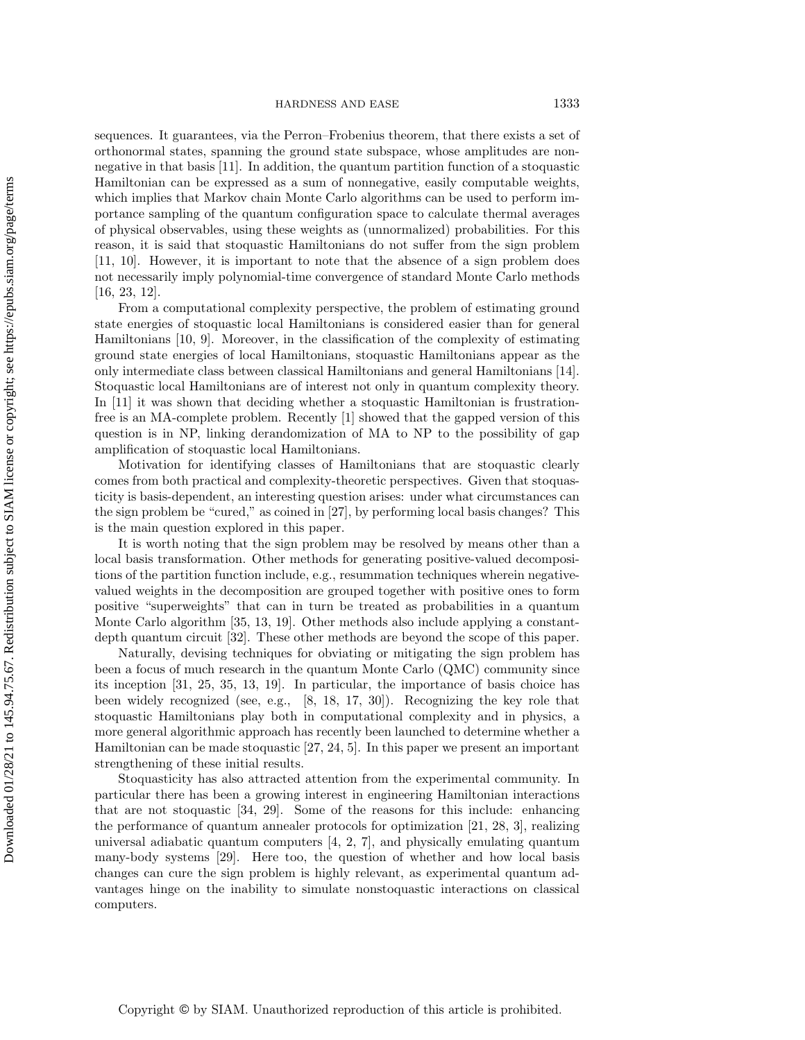sequences. It guarantees, via the Perron--Frobenius theorem, that there exists a set of orthonormal states, spanning the ground state subspace, whose amplitudes are nonnegative in that basis [\[11\]](#page-30-2). In addition, the quantum partition function of a stoquastic Hamiltonian can be expressed as a sum of nonnegative, easily computable weights, which implies that Markov chain Monte Carlo algorithms can be used to perform importance sampling of the quantum configuration space to calculate thermal averages of physical observables, using these weights as (unnormalized) probabilities. For this reason, it is said that stoquastic Hamiltonians do not suffer from the sign problem [\[11,](#page-30-2) [10\]](#page-30-1). However, it is important to note that the absence of a sign problem does not necessarily imply polynomial-time convergence of standard Monte Carlo methods [\[16,](#page-30-3) [23,](#page-30-4) [12\]](#page-30-5).

From a computational complexity perspective, the problem of estimating ground state energies of stoquastic local Hamiltonians is considered easier than for general Hamiltonians [\[10,](#page-30-1) [9\]](#page-30-6). Moreover, in the classification of the complexity of estimating ground state energies of local Hamiltonians, stoquastic Hamiltonians appear as the only intermediate class between classical Hamiltonians and general Hamiltonians [\[14\]](#page-30-7). Stoquastic local Hamiltonians are of interest not only in quantum complexity theory. In [\[11\]](#page-30-2) it was shown that deciding whether a stoquastic Hamiltonian is frustrationfree is an MA-complete problem. Recently [\[1\]](#page-30-8) showed that the gapped version of this question is in NP, linking derandomization of MA to NP to the possibility of gap amplification of stoquastic local Hamiltonians.

Motivation for identifying classes of Hamiltonians that are stoquastic clearly comes from both practical and complexity-theoretic perspectives. Given that stoquasticity is basis-dependent, an interesting question arises: under what circumstances can the sign problem be "cured," as coined in  $[27]$ , by performing local basis changes? This is the main question explored in this paper.

It is worth noting that the sign problem may be resolved by means other than a local basis transformation. Other methods for generating positive-valued decompositions of the partition function include, e.g., resummation techniques wherein negativevalued weights in the decomposition are grouped together with positive ones to form positive "superweights" that can in turn be treated as probabilities in a quantum Monte Carlo algorithm [\[35,](#page-31-2) [13,](#page-30-9) [19\]](#page-30-10). Other methods also include applying a constantdepth quantum circuit [\[32\]](#page-31-3). These other methods are beyond the scope of this paper.

Naturally, devising techniques for obviating or mitigating the sign problem has been a focus of much research in the quantum Monte Carlo (QMC) community since its inception [\[31,](#page-31-4) [25,](#page-30-11) [35,](#page-31-2) [13,](#page-30-9) [19\]](#page-30-10). In particular, the importance of basis choice has been widely recognized (see, e.g., [\[8,](#page-30-12) [18,](#page-30-13) [17,](#page-30-14) [30\]](#page-31-5)). Recognizing the key role that stoquastic Hamiltonians play both in computational complexity and in physics, a more general algorithmic approach has recently been launched to determine whether a Hamiltonian can be made stoquastic [\[27,](#page-31-1) [24,](#page-30-15) [5\]](#page-30-16). In this paper we present an important strengthening of these initial results.

Stoquasticity has also attracted attention from the experimental community. In particular there has been a growing interest in engineering Hamiltonian interactions that are not stoquastic [\[34,](#page-31-6) [29\]](#page-31-7). Some of the reasons for this include: enhancing the performance of quantum annealer protocols for optimization [\[21,](#page-30-17) [28,](#page-31-8) [3\]](#page-30-18), realizing universal adiabatic quantum computers  $[4, 2, 7]$  $[4, 2, 7]$  $[4, 2, 7]$ , and physically emulating quantum many-body systems [\[29\]](#page-31-7). Here too, the question of whether and how local basis changes can cure the sign problem is highly relevant, as experimental quantum advantages hinge on the inability to simulate nonstoquastic interactions on classical computers.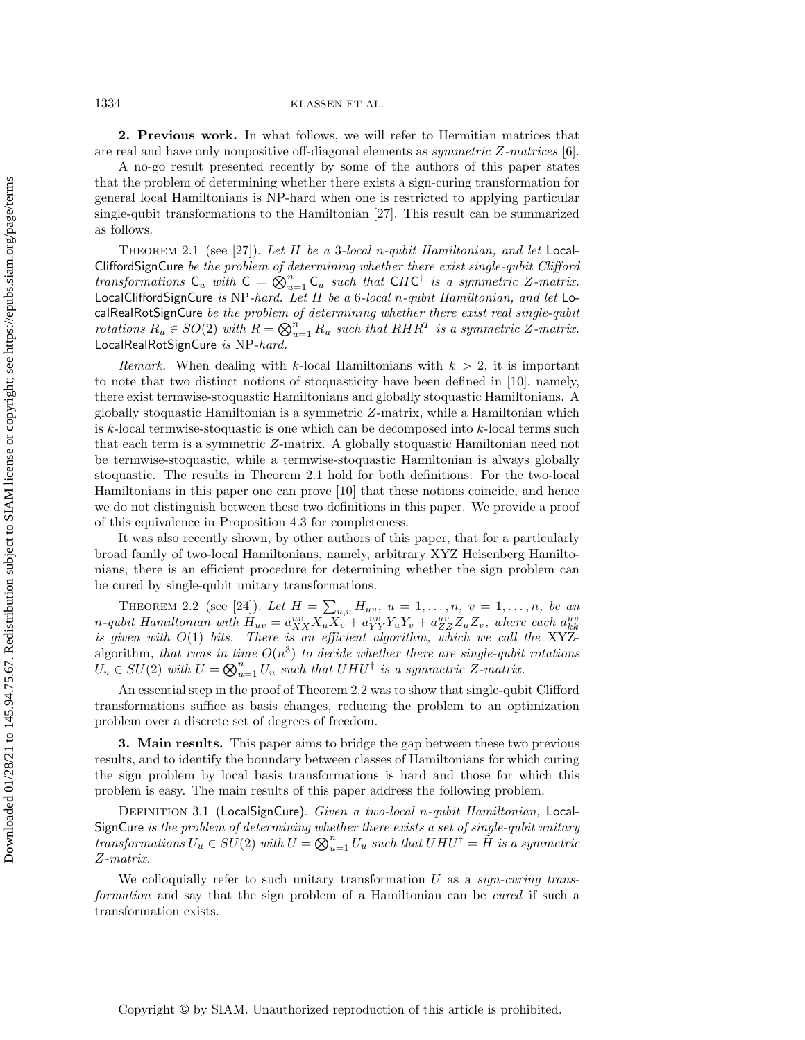1334 KLASSEN ET AL.

2. Previous work. In what follows, we will refer to Hermitian matrices that are real and have only nonpositive off-diagonal elements as symmetric Z-matrices [\[6\]](#page-30-22).

A no-go result presented recently by some of the authors of this paper states that the problem of determining whether there exists a sign-curing transformation for general local Hamiltonians is NP-hard when one is restricted to applying particular single-qubit transformations to the Hamiltonian [\[27\]](#page-31-1). This result can be summarized as follows.

<span id="page-3-0"></span>THEOREM 2.1 (see [\[27\]](#page-31-1)). Let H be a 3-local n-qubit Hamiltonian, and let Local-CliffordSignCure be the problem of determining whether there exist single-qubit Clifford transformations  $C_u$  with  $C = \bigotimes_{u=1}^n C_u$  such that CHC<sup>†</sup> is a symmetric Z-matrix. LocalCliffordSignCure is NP-hard. Let  $H$  be a 6-local n-qubit Hamiltonian, and let LocalRealRotSignCure be the problem of determining whether there exist real single-qubit rotations  $R_u \in SO(2)$  with  $R = \bigotimes_{u=1}^n R_u$  such that  $RHR^T$  is a symmetric Z-matrix. LocalRealRotSignCure is NP-hard.

Remark. When dealing with k-local Hamiltonians with  $k > 2$ , it is important to note that two distinct notions of stoquasticity have been defined in [\[10\]](#page-30-1), namely, there exist termwise-stoquastic Hamiltonians and globally stoquastic Hamiltonians. A globally stoquastic Hamiltonian is a symmetric Z-matrix, while a Hamiltonian which is  $k$ -local termwise-stoquastic is one which can be decomposed into  $k$ -local terms such that each term is a symmetric Z-matrix. A globally stoquastic Hamiltonian need not be termwise-stoquastic, while a termwise-stoquastic Hamiltonian is always globally stoquastic. The results in Theorem [2.1](#page-3-0) hold for both definitions. For the two-local Hamiltonians in this paper one can prove [\[10\]](#page-30-1) that these notions coincide, and hence we do not distinguish between these two definitions in this paper. We provide a proof of this equivalence in Proposition [4.3](#page-5-0) for completeness.

It was also recently shown, by other authors of this paper, that for a particularly broad family of two-local Hamiltonians, namely, arbitrary XYZ Heisenberg Hamiltonians, there is an efficient procedure for determining whether the sign problem can be cured by single-qubit unitary transformations.

<span id="page-3-1"></span>THEOREM 2.2 (see [\[24\]](#page-30-15)). Let  $H = \sum_{u,v} H_{uv}, u = 1, ..., n, v = 1, ..., n$ , be an n-qubit Hamiltonian with  $H_{uv} = a_{XX}^{uv} X_u X_v + a_{YY}^{uv} Y_u Y_v + a_{ZZ}^{uv} Z_u Z_v$ , where each  $a_{kk}^{uv}$ is given with  $O(1)$  bits. There is an efficient algorithm, which we call the XYZalgorithm, that runs in time  $O(n^3)$  to decide whether there are single-qubit rotations  $U_u \in SU(2)$  with  $U = \bigotimes_{u=1}^n U_u$  such that  $UHU^{\dagger}$  is a symmetric Z-matrix.

An essential step in the proof of Theorem [2.2](#page-3-1) was to show that single-qubit Clifford transformations suffice as basis changes, reducing the problem to an optimization problem over a discrete set of degrees of freedom.

3. Main results. This paper aims to bridge the gap between these two previous results, and to identify the boundary between classes of Hamiltonians for which curing the sign problem by local basis transformations is hard and those for which this problem is easy. The main results of this paper address the following problem.

DEFINITION 3.1 (LocalSignCure). Given a two-local n-qubit Hamiltonian, Local-SignCure is the problem of determining whether there exists a set of single-qubit unitary transformations  $U_u \in SU(2)$  with  $U = \bigotimes_{u=1}^n U_u$  such that  $UHU^{\dagger} = \tilde{H}$  is a symmetric Z-matrix.

We colloquially refer to such unitary transformation  $U$  as a *sign-curing trans*formation and say that the sign problem of a Hamiltonian can be cured if such a transformation exists.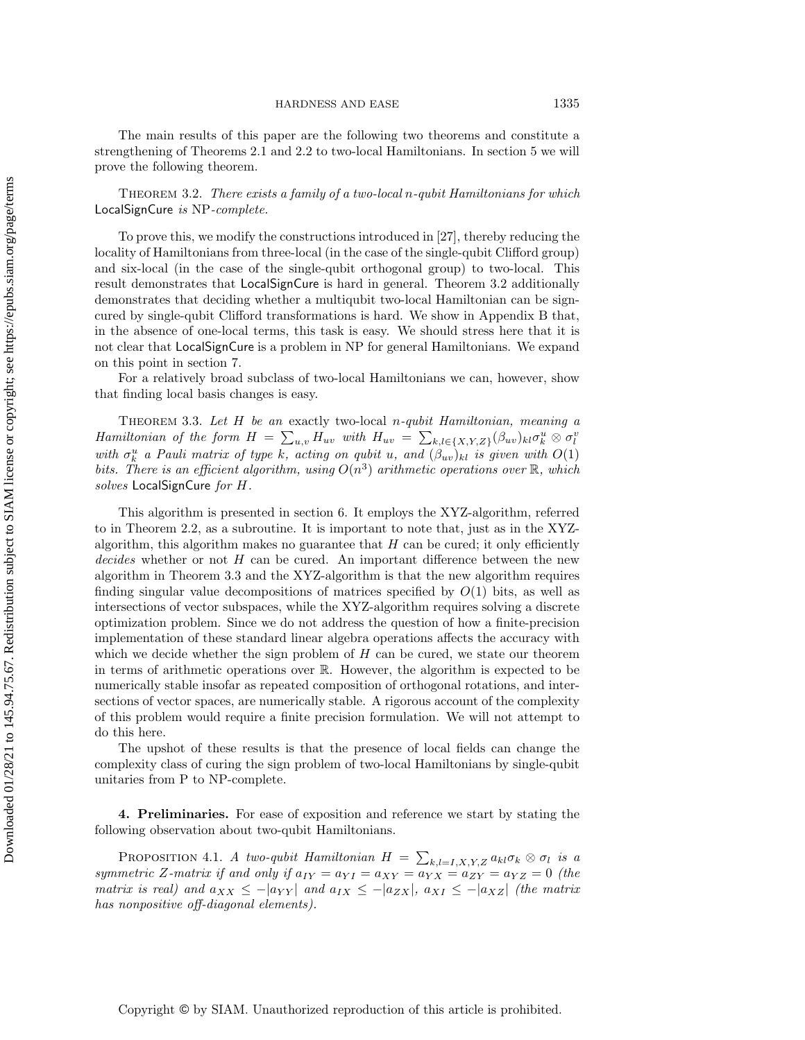The main results of this paper are the following two theorems and constitute a strengthening of Theorems [2.1](#page-3-0) and [2.2](#page-3-1) to two-local Hamiltonians. In section [5](#page-6-0) we will prove the following theorem.

<span id="page-4-0"></span>THEOREM 3.2. There exists a family of a two-local n-qubit Hamiltonians for which LocalSignCure is NP-complete.

To prove this, we modify the constructions introduced in [\[27\]](#page-31-1), thereby reducing the locality of Hamiltonians from three-local (in the case of the single-qubit Clifford group) and six-local (in the case of the single-qubit orthogonal group) to two-local. This result demonstrates that LocalSignCure is hard in general. Theorem [3.2](#page-4-0) additionally demonstrates that deciding whether a multiqubit two-local Hamiltonian can be signcured by single-qubit Clifford transformations is hard. We show in Appendix [B](#page-26-0) that, in the absence of one-local terms, this task is easy. We should stress here that it is not clear that LocalSignCure is a problem in NP for general Hamiltonians. We expand on this point in section [7.](#page-25-0)

For a relatively broad subclass of two-local Hamiltonians we can, however, show that finding local basis changes is easy.

<span id="page-4-1"></span>THEOREM 3.3. Let  $H$  be an exactly two-local n-qubit Hamiltonian, meaning a Hamiltonian of the form  $H = \sum_{u,v} H_{uv}$  with  $H_{uv} = \sum_{k,l \in \{ X,Y,Z\} } (\beta_{uv})_{kl} \sigma_k^u \otimes \sigma_l^v$ with  $\sigma_k^u$  a Pauli matrix of type k, acting on qubit u, and  $(\beta_{uv})_{kl}$  is given with  $O(1)$ bits. There is an efficient algorithm, using  $O(n^3)$  arithmetic operations over  $\mathbb R$ , which solves LocalSignCure for H.

This algorithm is presented in section [6.](#page-10-0) It employs the XYZ-algorithm, referred to in Theorem [2.2,](#page-3-1) as a subroutine. It is important to note that, just as in the XYZalgorithm, this algorithm makes no guarantee that  $H$  can be cured; it only efficiently decides whether or not H can be cured. An important difference between the new algorithm in Theorem [3.3](#page-4-1) and the XYZ-algorithm is that the new algorithm requires finding singular value decompositions of matrices specified by  $O(1)$  bits, as well as intersections of vector subspaces, while the XYZ-algorithm requires solving a discrete optimization problem. Since we do not address the question of how a finite-precision implementation of these standard linear algebra operations affects the accuracy with which we decide whether the sign problem of  $H$  can be cured, we state our theorem in terms of arithmetic operations over  $\mathbb R$ . However, the algorithm is expected to be numerically stable insofar as repeated composition of orthogonal rotations, and intersections of vector spaces, are numerically stable. A rigorous account of the complexity of this problem would require a finite precision formulation. We will not attempt to do this here.

The upshot of these results is that the presence of local fields can change the complexity class of curing the sign problem of two-local Hamiltonians by single-qubit unitaries from P to NP-complete.

4. Preliminaries. For ease of exposition and reference we start by stating the following observation about two-qubit Hamiltonians.

<span id="page-4-3"></span><span id="page-4-2"></span>PROPOSITION 4.1. A two-qubit Hamiltonian  $H = \sum_{k,l=I,X,Y,Z} a_{kl}\sigma_k \otimes \sigma_l$  is a symmetric Z-matrix if and only if  $a_{IY} = a_{YI} = a_{XY} = a_{YX} = a_{ZY} = a_{YZ} = 0$  (the matrix is real) and  $a_{XX} \leq - | a_{YY} |$  and  $a_{IX} \leq - | a_{ZX}|$ ,  $a_{XI} \leq - | a_{XZ}|$  (the matrix has nonpositive off-diagonal elements).

Downloaded 01/28/21 to 145.94.75.67. Redistribution subject to SIAM license or copyright; see https://epubs.siam.org/page/terms Downloaded 01/28/21 to 145.94.75.67. Redistribution subject to SIAM license or copyright; see https://epubs.siam.org/page/terms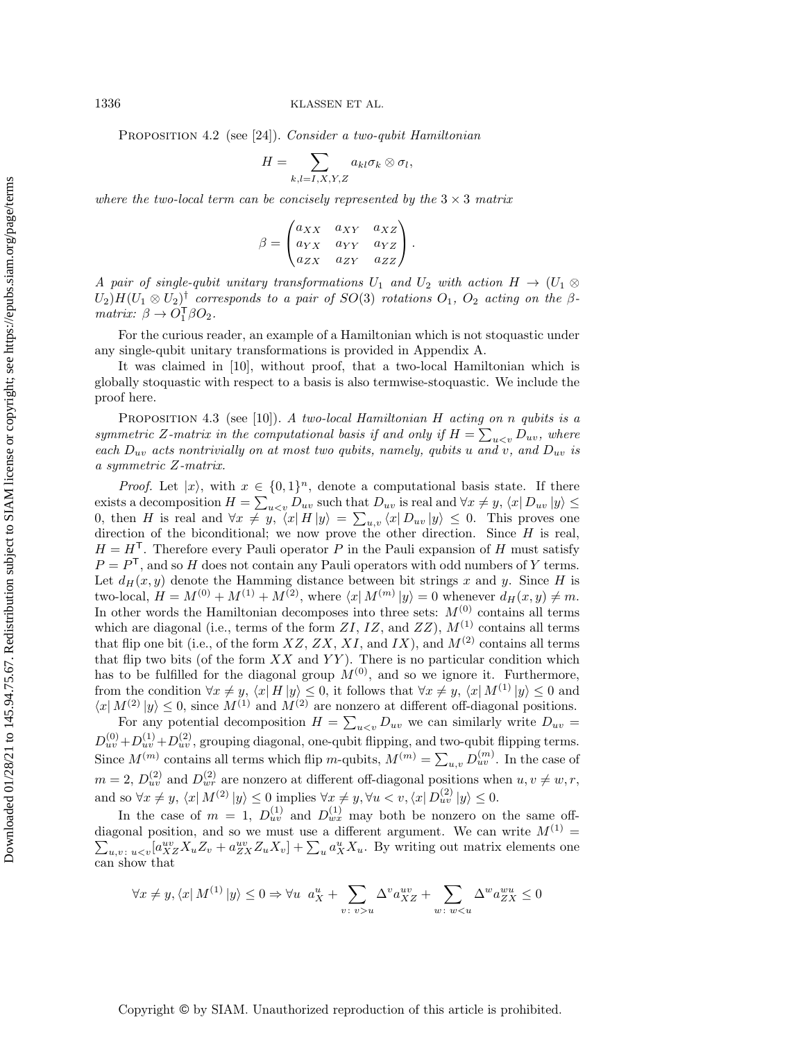PROPOSITION 4.2 (see [\[24\]](#page-30-15)). Consider a two-qubit Hamiltonian

$$
H = \sum_{k,l=I,X,Y,Z} a_{kl} \sigma_k \otimes \sigma_l,
$$

where the two-local term can be concisely represented by the  $3 \times 3$  matrix

$$
\beta = \begin{pmatrix} a_{XX} & a_{XY} & a_{XZ} \\ a_{YX} & a_{YY} & a_{YZ} \\ a_{ZX} & a_{ZY} & a_{ZZ} \end{pmatrix}.
$$

A pair of single-qubit unitary transformations  $U_1$  and  $U_2$  with action  $H \rightarrow (U_1 \otimes$  $(U_2)H(U_1 \otimes U_2)^{\dagger}$  corresponds to a pair of  $SO(3)$  rotations  $O_1$ ,  $O_2$  acting on the  $\beta$ matrix:  $\beta \rightarrow O_1^{\mathsf{T}} \beta O_2$ .

For the curious reader, an example of a Hamiltonian which is not stoquastic under any single-qubit unitary transformations is provided in Appendix [A.](#page-26-1)

It was claimed in [\[10\]](#page-30-1), without proof, that a two-local Hamiltonian which is globally stoquastic with respect to a basis is also termwise-stoquastic. We include the proof here.

<span id="page-5-0"></span>PROPOSITION 4.3 (see [\[10\]](#page-30-1)). A two-local Hamiltonian H acting on n qubits is a symmetric Z-matrix in the computational basis if and only if  $H = \sum_{u \leq v} D_{uv}$ , where each  $D_{uv}$  acts nontrivially on at most two qubits, namely, qubits u and v, and  $D_{uv}$  is a symmetric Z-matrix.

*Proof.* Let  $|x\rangle$ , with  $x \in \{ 0, 1\}^n$ , denote a computational basis state. If there exists a decomposition  $H = \sum_{u \lt v} D_{uv}$  such that  $D_{uv}$  is real and  $\forall x \neq y, \langle x| D_{uv} | y \rangle \leq \langle x| D_{uv} | y \rangle$ 0, then H is real and  $\forall x \neq y, \langle x| H | y\rangle = \sum_{u,v} \langle x| D_{uv} | y\rangle \leq 0$ . This proves one direction of the biconditional; we now prove the other direction. Since  $H$  is real,  $H = H<sup>T</sup>$ . Therefore every Pauli operator P in the Pauli expansion of H must satisfy  $P = P<sup>T</sup>$ , and so H does not contain any Pauli operators with odd numbers of Y terms. Let  $d_H(x, y)$  denote the Hamming distance between bit strings x and y. Since H is two-local,  $H = M^{(0)} + M^{(1)} + M^{(2)}$ , where  $\langle x| M^{(m)} | y \rangle = 0$  whenever  $d_H(x, y) \neq m$ . In other words the Hamiltonian decomposes into three sets:  $M^{(0)}$  contains all terms which are diagonal (i.e., terms of the form  $ZI$ ,  $IZ$ , and  $ZZ$ ),  $M^{(1)}$  contains all terms that flip one bit (i.e., of the form  $XZ$ ,  $ZX$ ,  $XI$ , and  $IX$ ), and  $M^{(2)}$  contains all terms that flip two bits (of the form  $XX$  and  $YY$ ). There is no particular condition which has to be fulfilled for the diagonal group  $M^{(0)}$ , and so we ignore it. Furthermore, from the condition  $\forall x \neq y, \langle x| H |y\rangle \leq 0$ , it follows that  $\forall x \neq y, \langle x| M^{(1)} |y\rangle \leq 0$  and  $\langle x | M^{(2)} | y \rangle \leq 0$ , since  $M^{(1)}$  and  $M^{(2)}$  are nonzero at different off-diagonal positions.

For any potential decomposition  $H = \sum_{u \lt v} D_{uv}$  we can similarly write  $D_{uv} =$  $D_{uv}^{(0)} + D_{uv}^{(1)} + D_{uv}^{(2)}$ , grouping diagonal, one-qubit flipping, and two-qubit flipping terms. Since  $M^{(m)}$  contains all terms which flip m-qubits,  $M^{(m)} = \sum_{u,v} D_{uv}^{(m)}$ . In the case of  $m = 2$ ,  $D_{uv}^{(2)}$  and  $D_{wr}^{(2)}$  are nonzero at different off-diagonal positions when  $u, v \neq w, r$ , and so  $\forall x \neq y, \langle x| M^{(2)} |y\rangle \leq 0$  implies  $\forall x \neq y, \forall u < v, \langle x| D_{uv}^{(2)} |y\rangle \leq 0$ .

In the case of  $m = 1$ ,  $D_{uv}^{(1)}$  and  $D_{wx}^{(1)}$  may both be nonzero on the same offdiagonal position, and so we must use a different argument. We can write  $M^{(1)} =$  $\sum_{u,v} u_{\leq v}[a^{uv}_{XZ}X_uZ_v + a^{uv}_{ZX}Z_uX_v] + \sum_u a^u_XX_u$ . By writing out matrix elements one can show that

$$
\forall x \neq y, \langle x | M^{(1)} | y \rangle \leq 0 \Rightarrow \forall u \ a_X^u + \sum_{v \colon v > u} \Delta^v a_{XZ}^{uv} + \sum_{w \colon w < u} \Delta^w a_{ZX}^{wu} \leq 0
$$

### Copyright © by SIAM. Unauthorized reproduction of this article is prohibited.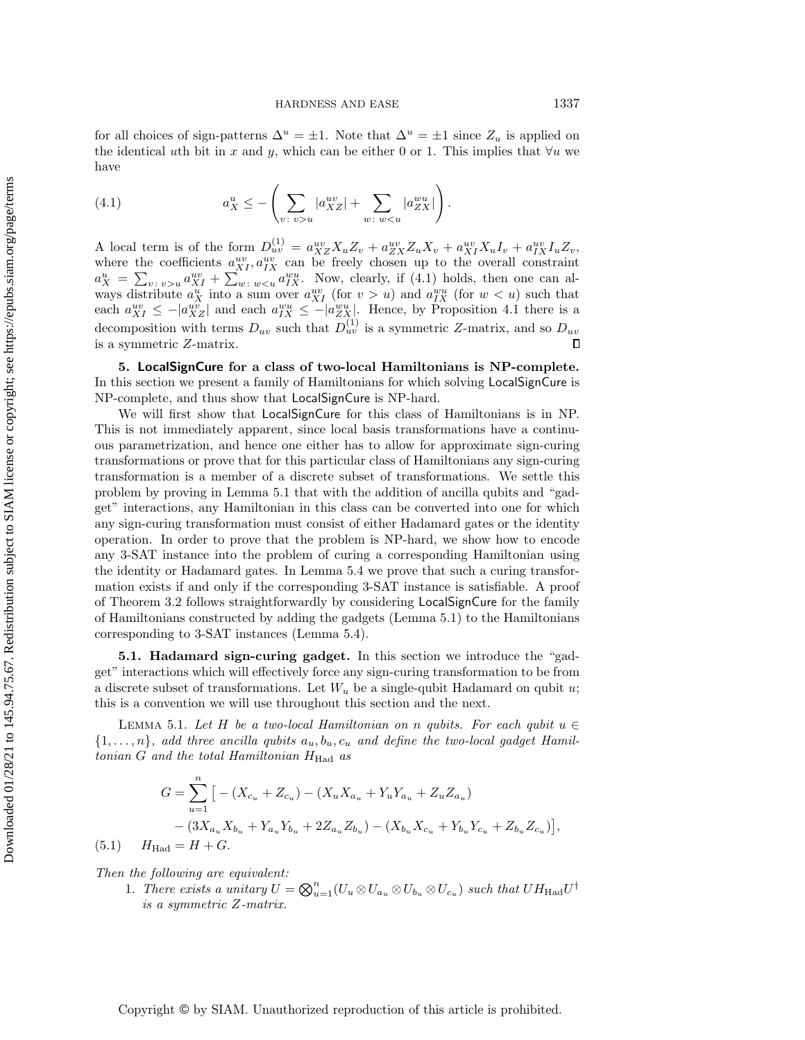for all choices of sign-patterns  $\Delta^u = \pm 1$ . Note that  $\Delta^u = \pm 1$  since  $Z_u$  is applied on the identical uth bit in x and y, which can be either 0 or 1. This implies that  $\forall u$  we have

<span id="page-6-1"></span>(4.1) 
$$
a_X^u \le -\left(\sum_{v:\ v > u} |a_{XZ}^{uv}| + \sum_{w:\ w < u} |a_{ZX}^{wu}| \right).
$$

A local term is of the form  $D_{uv}^{(1)} = a_{XZ}^{uv} X_u Z_v + a_{ZX}^{uv} Z_u X_v + a_{XI}^{uv} X_u I_v + a_{IX}^{uv} I_u Z_v$ , where the coefficients  $a_{XI}^{uv}$ ,  $a_{IX}^{uv}$  can be freely chosen up to the overall constraint  $a_X^u = \sum_{v : v > u} a_{XI}^{uv} + \sum_{w : w < u} a_{IX}^{wu}$ . Now, clearly, if [\(4.1\)](#page-6-1) holds, then one can always distribute  $a_X^u$  into a sum over  $a_{XI}^{uv}$  (for  $v > u$ ) and  $a_{IX}^{wu}$  (for  $w < u$ ) such that each  $a_{XI}^{uv} \leq - | a_{XZ}^{uv} |$  and each  $a_{IX}^{wu} \leq - | a_{ZX}^{wu} |$ . Hence, by Proposition [4.1](#page-4-2) there is a decomposition with terms  $D_{uv}$  such that  $D_{uv}^{(1)}$  is a symmetric Z-matrix, and so  $D_{uv}$ is a symmetric Z-matrix.  $\Box$ 

<span id="page-6-0"></span>5. LocalSignCure for a class of two-local Hamiltonians is NP-complete. In this section we present a family of Hamiltonians for which solving LocalSignCure is NP-complete, and thus show that LocalSignCure is NP-hard.

We will first show that LocalSignCure for this class of Hamiltonians is in NP. This is not immediately apparent, since local basis transformations have a continuous parametrization, and hence one either has to allow for approximate sign-curing transformations or prove that for this particular class of Hamiltonians any sign-curing transformation is a member of a discrete subset of transformations. We settle this problem by proving in Lemma [5.1](#page-6-2) that with the addition of ancilla qubits and "gadget"" interactions, any Hamiltonian in this class can be converted into one for which any sign-curing transformation must consist of either Hadamard gates or the identity operation. In order to prove that the problem is NP-hard, we show how to encode any 3-SAT instance into the problem of curing a corresponding Hamiltonian using the identity or Hadamard gates. In Lemma [5.4](#page-9-0) we prove that such a curing transformation exists if and only if the corresponding 3-SAT instance is satisfiable. A proof of Theorem [3.2](#page-4-0) follows straightforwardly by considering LocalSignCure for the family of Hamiltonians constructed by adding the gadgets (Lemma [5.1\)](#page-6-2) to the Hamiltonians corresponding to 3-SAT instances (Lemma [5.4\)](#page-9-0).

5.1. Hadamard sign-curing gadget. In this section we introduce the "gadget"" interactions which will effectively force any sign-curing transformation to be from a discrete subset of transformations. Let  $W_u$  be a single-qubit Hadamard on qubit u; this is a convention we will use throughout this section and the next.

<span id="page-6-2"></span>LEMMA 5.1. Let H be a two-local Hamiltonian on n qubits. For each qubit  $u \in$  $\{ 1, \ldots, n\}$ , add three ancilla qubits  $a_u, b_u, c_u$  and define the two-local gadget Hamiltonian  $G$  and the total Hamiltonian  $H_{\text{Had}}$  as

$$
G = \sum_{u=1} \left[ -\left(X_{c_u} + Z_{c_u}\right) - \left(X_u X_{a_u} + Y_u Y_{a_u} + Z_u Z_{a_u}\right) \right. \\
\left. - \left(3X_{a_u} X_{b_u} + Y_{a_u} Y_{b_u} + 2Z_{a_u} Z_{b_u}\right) - \left(X_{b_u} X_{c_u} + Y_{b_u} Y_{c_u} + Z_{b_u} Z_{c_u}\right) \right],
$$
\n(5.1) 
$$
H_{\text{Had}} = H + G.
$$

<span id="page-6-3"></span>

Then the following are equivalent:

 $\overline n$ 

1. There exists a unitary  $U = \bigotimes_{u=1}^{n} (U_u \otimes U_{a_u} \otimes U_{b_u} \otimes U_{c_u})$  such that  $UH_{\text{Had}}U^{\dagger}$ is a symmetric Z-matrix.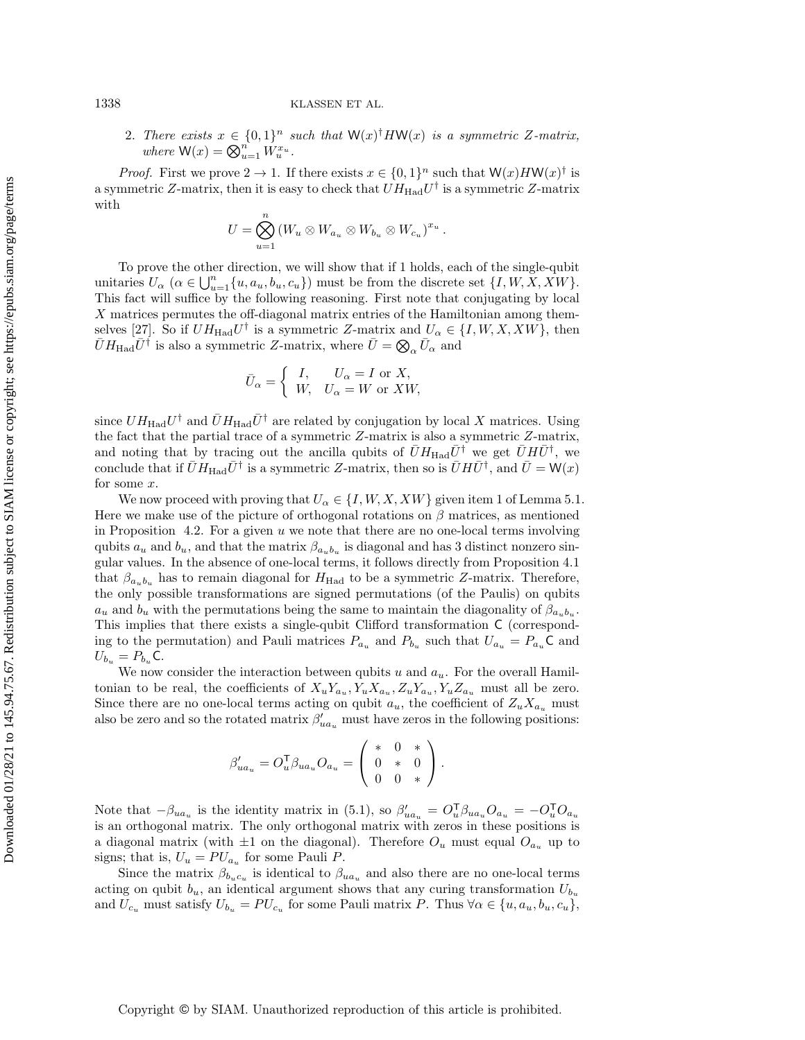1338 KLASSEN ET AL.

2. There exists  $x \in \{ 0, 1\}^n$  such that  $\mathsf{W}(x)^\dagger H \mathsf{W}(x)$  is a symmetric Z-matrix, where  $\mathsf{W}(x) = \bigotimes_{u=1}^n \tilde{W}_u^{x_u}.$ 

*Proof.* First we prove  $2 \rightarrow 1$ . If there exists  $x \in \{ 0, 1\}^n$  such that  $W(x)HW(x)^\dagger$  is a symmetric Z-matrix, then it is easy to check that  $UH_{\text{Had}}U^{\dagger}$  is a symmetric Z-matrix with

$$
U=\bigotimes_{u=1}^n (W_u\otimes W_{a_u}\otimes W_{b_u}\otimes W_{c_u})^{x_u}.
$$

To prove the other direction, we will show that if 1 holds, each of the single-qubit unitaries  $U_\alpha$   $(\alpha \in \bigcup_{u=1}^n \{u, a_u, b_u, c_u\})$  must be from the discrete set  $\{I, W, X, XW\}$ . This fact will suffice by the following reasoning. First note that conjugating by local X matrices permutes the off-diagonal matrix entries of the Hamiltonian among them-selves [\[27\]](#page-31-1). So if  $UH_{\text{Had}}U^{\dagger}$  is a symmetric Z-matrix and  $U_{\alpha} \in \{I, W, X, XW\}$ , then  $\bar U H_{\rm Had} \bar U^{\dagger}$  is also a symmetric Z-matrix, where  $\bar U= \bigotimes_{\alpha} \bar U_{\alpha}$  and

$$
\bar{U}_{\alpha} = \begin{cases} I, & U_{\alpha} = I \text{ or } X, \\ W, & U_{\alpha} = W \text{ or } XW, \end{cases}
$$

since  $U H_{\text{Had}} U^{\dagger}$  and  $\bar{U} H_{\text{Had}} \bar{U}^{\dagger}$  are related by conjugation by local X matrices. Using the fact that the partial trace of a symmetric Z-matrix is also a symmetric Z-matrix, and noting that by tracing out the ancilla qubits of  $\bar U H_{\text{Had}} \bar U^{\dagger}$  we get  $\bar U H \bar U^{\dagger}$ , we conclude that if  $\bar{U}H_{\text{Had}}\bar{U}^{\dagger}$  is a symmetric Z-matrix, then so is  $\bar{U}H\bar{U}^{\dagger}$ , and  $\bar{U}=\mathsf{W}(x)$ for some x.

We now proceed with proving that  $U_\alpha \in \{ I, W, X, XW\}$  given item 1 of Lemma [5.1.](#page-6-2) Here we make use of the picture of orthogonal rotations on  $\beta$  matrices, as mentioned in Proposition [4.2.](#page-4-3) For a given  $u$  we note that there are no one-local terms involving qubits  $a_u$  and  $b_u$ , and that the matrix  $\beta_{a_u b_u}$  is diagonal and has 3 distinct nonzero singular values. In the absence of one-local terms, it follows directly from Proposition [4.1](#page-4-2) that  $\beta_{a_n b_n}$  has to remain diagonal for  $H_{\text{Had}}$  to be a symmetric Z-matrix. Therefore, the only possible transformations are signed permutations (of the Paulis) on qubits  $a_u$  and  $b_u$  with the permutations being the same to maintain the diagonality of  $\beta_{a_u b_u}$ . This implies that there exists a single-qubit Clifford transformation C (corresponding to the permutation) and Pauli matrices  $P_{a_u}$  and  $P_{b_u}$  such that  $U_{a_u} = P_{a_u} \mathsf{C}$  and  $U_{b_u} = P_{b_u} \mathsf{C}.$ 

We now consider the interaction between qubits u and  $a_u$ . For the overall Hamiltonian to be real, the coefficients of  $X_u Y_{a_u}, Y_u X_{a_u}, Z_u Y_{a_u}, Y_u Z_{a_u}$  must all be zero. Since there are no one-local terms acting on qubit  $a_u$ , the coefficient of  $Z_u X_{a_u}$  must also be zero and so the rotated matrix  $\beta'_{ua_u}$  must have zeros in the following positions:

$$
\beta'_{ua_u} = O_u^{\mathsf{T}} \beta_{ua_u} O_{a_u} = \begin{pmatrix} * & 0 & * \\ 0 & * & 0 \\ 0 & 0 & * \end{pmatrix}.
$$

Note that  $-\beta_{ua_u}$  is the identity matrix in [\(5.1\)](#page-6-3), so  $\beta'_{ua_u} = O_u^{\mathsf{T}} \beta_{ua_u} O_{a_u} = -O_u^{\mathsf{T}} O_{a_u}$ is an orthogonal matrix. The only orthogonal matrix with zeros in these positions is a diagonal matrix (with  $\pm 1$  on the diagonal). Therefore  $O_u$  must equal  $O_{a_u}$  up to signs; that is,  $U_u = PU_{a_u}$  for some Pauli P.

Since the matrix  $\beta_{b_u c_u}$  is identical to  $\beta_{u a_u}$  and also there are no one-local terms acting on qubit  $b_u$ , an identical argument shows that any curing transformation  $U_{b_u}$ and  $U_{c_u}$  must satisfy  $U_{b_u} = PU_{c_u}$  for some Pauli matrix P. Thus  $\forall \alpha \in \{u, a_u, b_u, c_u\}$ ,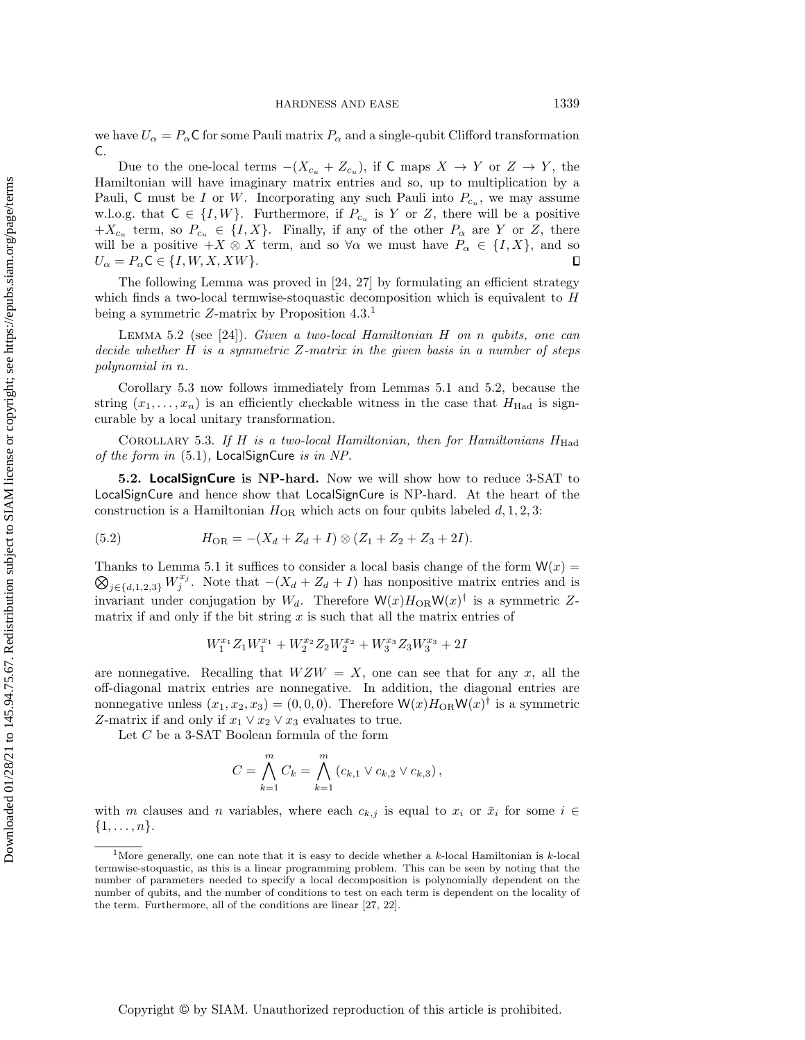we have  $U_\alpha = P_\alpha C$  for some Pauli matrix  $P_\alpha$  and a single-qubit Clifford transformation C.

Due to the one-local terms  $-(X_{c_u} + Z_{c_u})$ , if C maps  $X \rightarrow Y$  or  $Z \rightarrow Y$ , the Hamiltonian will have imaginary matrix entries and so, up to multiplication by a Pauli, C must be I or W. Incorporating any such Pauli into  $P_{c_u}$ , we may assume w.l.o.g. that  $C \in \{ I, W \}$ . Furthermore, if  $P_{c_u}$  is Y or Z, there will be a positive  $+X_{c_u}$  term, so  $P_{c_u} \in \{I, X\}$ . Finally, if any of the other  $P_\alpha$  are Y or Z, there will be a positive  $+X \otimes X$  term, and so  $\forall \alpha$  we must have  $P_\alpha \in \{I, X\}$ , and so  $U_\alpha = P_\alpha \mathsf{C} \in \{I, W, X, XW\}$ .  $U_\alpha = P_\alpha C \in \{ I, W, X, XW\}$ .

The following Lemma was proved in [\[24,](#page-30-15) [27\]](#page-31-1) by formulating an efficient strategy which finds a two-local termwise-stoquastic decomposition which is equivalent to H being a symmetric Z-matrix by Proposition [4.3.](#page-5-0)[1](#page-8-0)

<span id="page-8-2"></span>LEMMA 5.2 (see [\[24\]](#page-30-15)). Given a two-local Hamiltonian H on n qubits, one can decide whether  $H$  is a symmetric Z-matrix in the given basis in a number of steps polynomial in n.

Corollary [5.3](#page-8-1) now follows immediately from Lemmas [5.1](#page-6-2) and [5.2,](#page-8-2) because the string  $(x_1, \ldots, x_n)$  is an efficiently checkable witness in the case that  $H_{\text{Had}}$  is signcurable by a local unitary transformation.

<span id="page-8-1"></span>COROLLARY 5.3. If H is a two-local Hamiltonian, then for Hamiltonians  $H_{\text{Had}}$ of the form in  $(5.1)$ , LocalSignCure is in NP.

5.2. LocalSignCure is NP-hard. Now we will show how to reduce 3-SAT to LocalSignCure and hence show that LocalSignCure is NP-hard. At the heart of the construction is a Hamiltonian  $H_{OR}$  which acts on four qubits labeled  $d, 1, 2, 3$ :

(5.2) 
$$
H_{\text{OR}} = -(X_d + Z_d + I) \otimes (Z_1 + Z_2 + Z_3 + 2I).
$$

 $\bigotimes_{j\in \{d,1,2,3\}} W_j^{x_j}$ . Note that  $-(X_d + Z_d + I)$  has nonpositive matrix entries and is Thanks to Lemma [5.1](#page-6-2) it suffices to consider a local basis change of the form  $W(x)$  = invariant under conjugation by  $W_d$ . Therefore  $\mathsf{W}(x)H_{\text{OR}}\mathsf{W}(x)^\dagger$  is a symmetric Zmatrix if and only if the bit string  $x$  is such that all the matrix entries of

$$
W_1^{x_1}Z_1W_1^{x_1} + W_2^{x_2}Z_2W_2^{x_2} + W_3^{x_3}Z_3W_3^{x_3} + 2I
$$

are nonnegative. Recalling that  $WZW = X$ , one can see that for any x, all the off-diagonal matrix entries are nonnegative. In addition, the diagonal entries are nonnegative unless  $(x_1, x_2, x_3) = (0, 0, 0)$ . Therefore  $\mathsf{W}(x)H_{\text{OR}}\mathsf{W}(x)$ <sup>†</sup> is a symmetric Z-matrix if and only if  $x_1 \vee x_2 \vee x_3$  evaluates to true.

Let  $C$  be a 3-SAT Boolean formula of the form

$$
C = \bigwedge_{k=1}^{m} C_k = \bigwedge_{k=1}^{m} (c_{k,1} \vee c_{k,2} \vee c_{k,3}),
$$

with m clauses and n variables, where each  $c_{k,j}$  is equal to  $x_i$  or  $\bar{x}_i$  for some  $i \in$  $\{ 1, \ldots, n\}$ .

<span id="page-8-0"></span><sup>&</sup>lt;sup>1</sup>More generally, one can note that it is easy to decide whether a k-local Hamiltonian is k-local termwise-stoquastic, as this is a linear programming problem. This can be seen by noting that the number of parameters needed to specify a local decomposition is polynomially dependent on the number of qubits, and the number of conditions to test on each term is dependent on the locality of the term. Furthermore, all of the conditions are linear [\[27,](#page-31-1) [22\]](#page-30-23).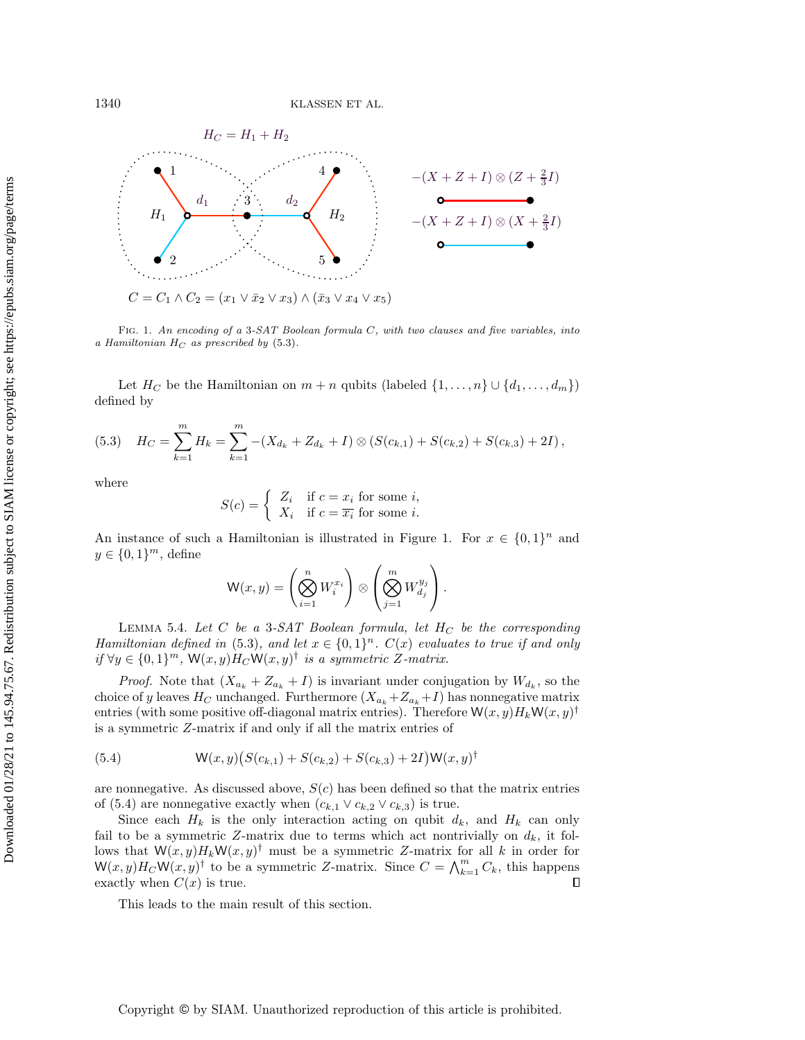<span id="page-9-2"></span>

FIG. 1. An encoding of a 3-SAT Boolean formula  $C$ , with two clauses and five variables, into a Hamiltonian  $H_C$  as prescribed by [\(5.3\)](#page-9-1).

Let  $H_C$  be the Hamiltonian on  $m + n$  qubits (labeled  $\{ 1, \ldots, n\} \cup \{ d_1, \ldots, d_m \}$ ) defined by

<span id="page-9-1"></span>
$$
(5.3) \quad H_C = \sum_{k=1}^m H_k = \sum_{k=1}^m -(X_{d_k} + Z_{d_k} + I) \otimes (S(c_{k,1}) + S(c_{k,2}) + S(c_{k,3}) + 2I),
$$

where

$$
S(c) = \begin{cases} Z_i & \text{if } c = x_i \text{ for some } i, \\ X_i & \text{if } c = \overline{x_i} \text{ for some } i. \end{cases}
$$

An instance of such a Hamiltonian is illustrated in Figure [1.](#page-9-2) For  $x \in \{ 0, 1\}^n$  and  $y \in \{ 0, 1\}^m$ , define

$$
\mathsf{W}(x,y)=\left(\bigotimes_{i=1}^n W_i^{x_i}\right)\otimes\left(\bigotimes_{j=1}^m W_{d_j}^{y_j}\right).
$$

<span id="page-9-0"></span>LEMMA 5.4. Let C be a 3-SAT Boolean formula, let  $H_C$  be the corresponding Hamiltonian defined in [\(5.3\)](#page-9-1), and let  $x \in \{ 0, 1\}^n$ .  $C(x)$  evaluates to true if and only if  $\forall y \in \{0, 1\}^m$ ,  $\mathsf{W}(x, y)H_C\mathsf{W}(x, y)^\dagger$  is a symmetric Z-matrix.

*Proof.* Note that  $(X_{a_k} + Z_{a_k} + I)$  is invariant under conjugation by  $W_{d_k}$ , so the choice of y leaves  $H_C$  unchanged. Furthermore  $(X_{a_k} + Z_{a_k} + I)$  has nonnegative matrix entries (with some positive off-diagonal matrix entries). Therefore  $\mathsf{W}(x, y)H_k\mathsf{W}(x, y)^\dagger$ is a symmetric Z-matrix if and only if all the matrix entries of

<span id="page-9-3"></span>(5.4) 
$$
W(x,y)(S(c_{k,1})+S(c_{k,2})+S(c_{k,3})+2I)W(x,y)^{\dagger}
$$

are nonnegative. As discussed above,  $S(c)$  has been defined so that the matrix entries of [\(5.4\)](#page-9-3) are nonnegative exactly when  $(c_{k,1} \vee c_{k,2} \vee c_{k,3})$  is true.

Since each  $H_k$  is the only interaction acting on qubit  $d_k$ , and  $H_k$  can only fail to be a symmetric Z-matrix due to terms which act nontrivially on  $d_k$ , it follows that  $W(x, y)H_kW(x, y)$ <sup>†</sup> must be a symmetric Z-matrix for all k in order for  $\mathsf{W}(x,y)H_C\mathsf{W}(x,y)^\dagger$  to be a symmetric Z-matrix. Since  $C = \bigwedge_{k=1}^m C_k$ , this happens exactly when  $C(x)$  is true.

This leads to the main result of this section.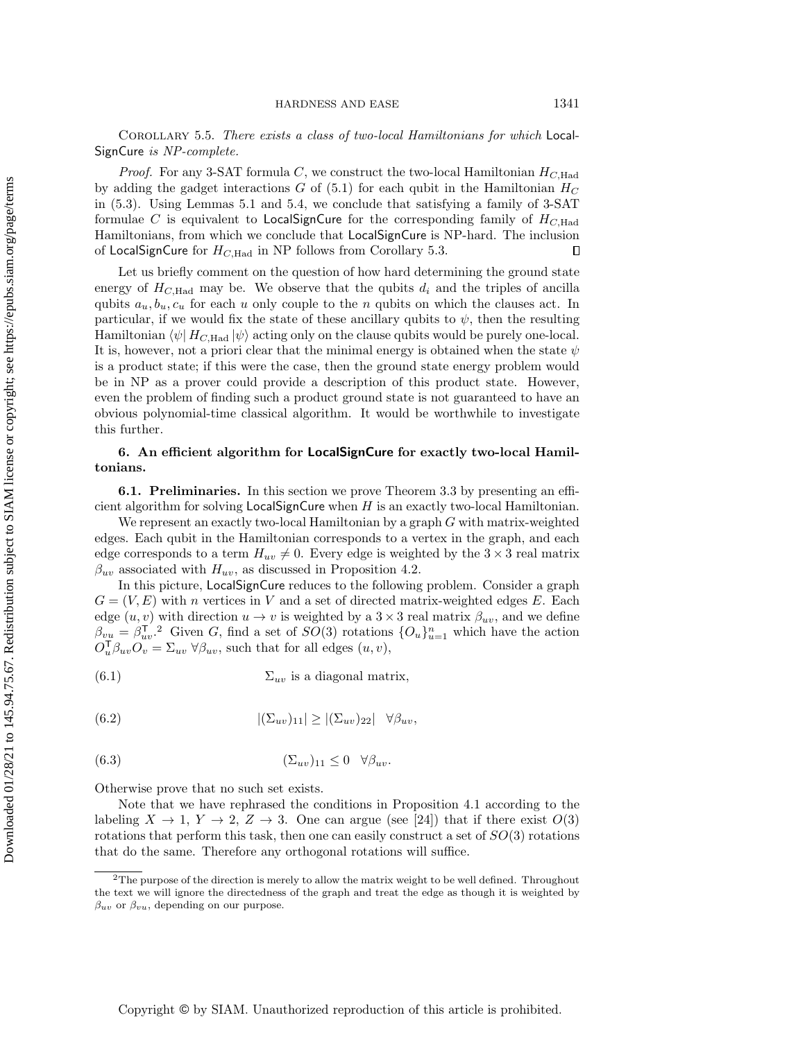Corollary 5.5. There exists a class of two-local Hamiltonians for which Local-SignCure is NP-complete.

*Proof.* For any 3-SAT formula C, we construct the two-local Hamiltonian  $H_{C,Had}$ by adding the gadget interactions  $G$  of [\(5.1\)](#page-6-3) for each qubit in the Hamiltonian  $H_C$ in [\(5.3\)](#page-9-1). Using Lemmas [5.1](#page-6-2) and [5.4,](#page-9-0) we conclude that satisfying a family of 3-SAT formulae C is equivalent to LocalSignCure for the corresponding family of  $H_{C,\text{Had}}$ Hamiltonians, from which we conclude that LocalSignCure is NP-hard. The inclusion of LocalSignCure for  $H_{C,\text{Had}}$  in NP follows from Corollary [5.3.](#page-8-1)  $\Box$ 

Let us briefly comment on the question of how hard determining the ground state energy of  $H_{C,Had}$  may be. We observe that the qubits  $d_i$  and the triples of ancilla qubits  $a_u, b_u, c_u$  for each u only couple to the n qubits on which the clauses act. In particular, if we would fix the state of these ancillary qubits to  $\psi$ , then the resulting Hamiltonian  $\langle \psi | H_{C,Had} | \psi \rangle$  acting only on the clause qubits would be purely one-local. It is, however, not a priori clear that the minimal energy is obtained when the state  $\psi$ is a product state; if this were the case, then the ground state energy problem would be in NP as a prover could provide a description of this product state. However, even the problem of finding such a product ground state is not guaranteed to have an obvious polynomial-time classical algorithm. It would be worthwhile to investigate this further.

### <span id="page-10-0"></span>6. An efficient algorithm for LocalSignCure for exactly two-local Hamiltonians.

6.1. Preliminaries. In this section we prove Theorem [3.3](#page-4-1) by presenting an efficient algorithm for solving  $LocalSignCure$  when  $H$  is an exactly two-local Hamiltonian.

We represent an exactly two-local Hamiltonian by a graph G with matrix-weighted edges. Each qubit in the Hamiltonian corresponds to a vertex in the graph, and each edge corresponds to a term  $H_{uv} \neq 0$ . Every edge is weighted by the  $3 \times 3$  real matrix  $\beta_{uv}$  associated with  $H_{uv}$ , as discussed in Proposition [4.2.](#page-4-3)

In this picture, LocalSignCure reduces to the following problem. Consider a graph  $G = (V, E)$  with n vertices in V and a set of directed matrix-weighted edges E. Each edge  $(u, v)$  with direction  $u \to v$  is weighted by a  $3 \times 3$  real matrix  $\beta_{uv}$ , and we define  $\beta_{vu} = \beta_{uv}^T$ . Given G, find a set of  $SO(3)$  rotations  $\{O_u\}_{u=1}^n$  which have the action  $O_u^{\mathsf{T}} \beta_{uv} O_v = \Sigma_{uv} \forall \beta_{uv}$ , such that for all edges  $(u, v)$ ,

<span id="page-10-2"></span>(6.1) 
$$
\sum_{uv} \text{ is a diagonal matrix,}
$$

<span id="page-10-3"></span>(6.2) 
$$
|(\Sigma_{uv})_{11}| \ge |(\Sigma_{uv})_{22}| \quad \forall \beta_{uv},
$$

$$
(6.3) \t\t\t (\Sigma_{uv})_{11} \leq 0 \quad \forall \beta_{uv}.
$$

Otherwise prove that no such set exists.

Note that we have rephrased the conditions in Proposition [4.1](#page-4-2) according to the labeling  $X \rightarrow 1, Y \rightarrow 2, Z \rightarrow 3$ . One can argue (see [\[24\]](#page-30-15)) that if there exist  $O(3)$ rotations that perform this task, then one can easily construct a set of  $SO(3)$  rotations that do the same. Therefore any orthogonal rotations will suffice.

<span id="page-10-1"></span> $2$ The purpose of the direction is merely to allow the matrix weight to be well defined. Throughout the text we will ignore the directedness of the graph and treat the edge as though it is weighted by  $\beta_{uv}$  or  $\beta_{vu}$ , depending on our purpose.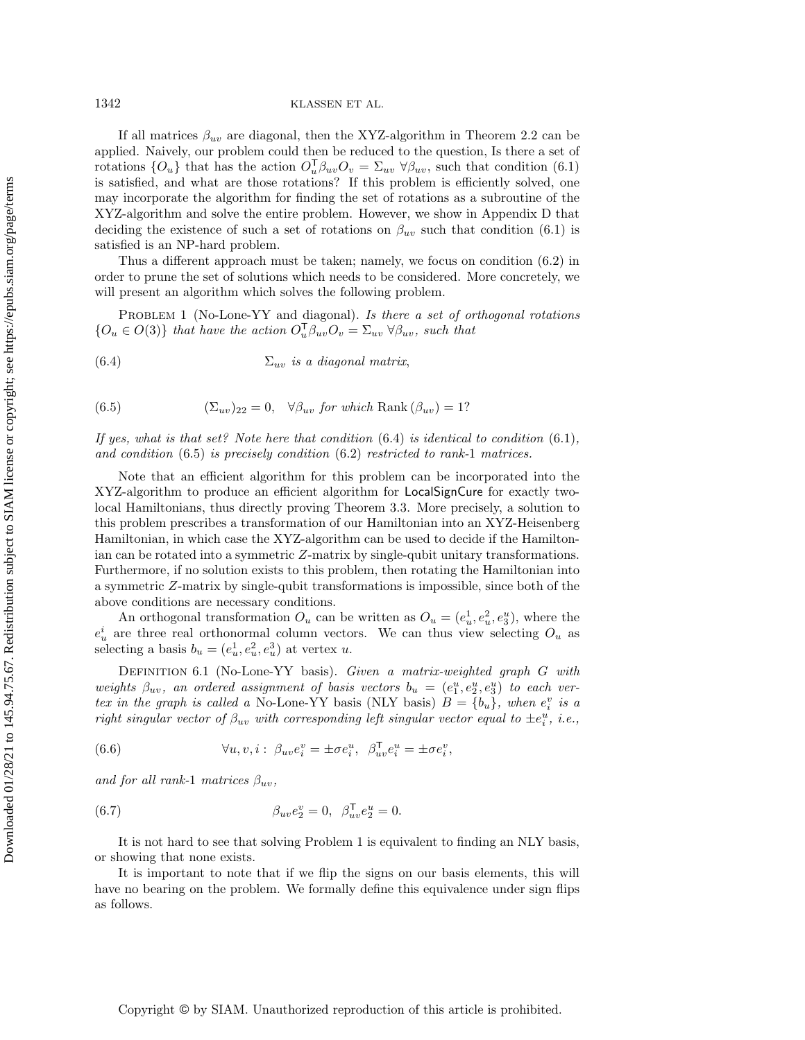If all matrices  $\beta_{uv}$  are diagonal, then the XYZ-algorithm in Theorem [2.2](#page-3-1) can be applied. Naively, our problem could then be reduced to the question, Is there a set of rotations  $\{O_u\}$  that has the action  $O_u^{\mathsf{T}} \beta_{uv} O_v = \Sigma_{uv} \ \forall \beta_{uv}$ , such that condition [\(6.1\)](#page-10-2) is satisfied, and what are those rotations? If this problem is efficiently solved, one may incorporate the algorithm for finding the set of rotations as a subroutine of the XYZ-algorithm and solve the entire problem. However, we show in Appendix [D](#page-29-0) that deciding the existence of such a set of rotations on  $\beta_{uv}$  such that condition [\(6.1\)](#page-10-2) is satisfied is an NP-hard problem.

Thus a different approach must be taken; namely, we focus on condition [\(6.2\)](#page-10-3) in order to prune the set of solutions which needs to be considered. More concretely, we will present an algorithm which solves the following problem.

<span id="page-11-2"></span>PROBLEM 1 (No-Lone-YY and diagonal). Is there a set of orthogonal rotations  $\{ O_u \in O(3)\}$  that have the action  $O_u^{\mathsf{T}} \beta_{uv} O_v = \Sigma_{uv} \ \forall \beta_{uv},$  such that

- <span id="page-11-0"></span>(6.4)  $\Sigma_{uv}$  is a diagonal matrix,
- <span id="page-11-1"></span>(6.5)  $(\Sigma_{uv})_{22} = 0, \quad \forall \beta_{uv}$  for which Rank  $(\beta_{uv}) = 1?$

If yes, what is that set? Note here that condition  $(6.4)$  is identical to condition  $(6.1)$ , and condition [\(6.5\)](#page-11-1) is precisely condition [\(6.2\)](#page-10-3) restricted to rank-1 matrices.

Note that an efficient algorithm for this problem can be incorporated into the XYZ-algorithm to produce an efficient algorithm for LocalSignCure for exactly twolocal Hamiltonians, thus directly proving Theorem [3.3.](#page-4-1) More precisely, a solution to this problem prescribes a transformation of our Hamiltonian into an XYZ-Heisenberg Hamiltonian, in which case the XYZ-algorithm can be used to decide if the Hamiltonian can be rotated into a symmetric Z-matrix by single-qubit unitary transformations. Furthermore, if no solution exists to this problem, then rotating the Hamiltonian into a symmetric Z-matrix by single-qubit transformations is impossible, since both of the above conditions are necessary conditions.

An orthogonal transformation  $O_u$  can be written as  $O_u = (e_u^1, e_u^2, e_y^u)$ , where the  $e_u^i$  are three real orthonormal column vectors. We can thus view selecting  $O_u$  as selecting a basis  $b_u = (e_u^1, e_u^2, e_u^3)$  at vertex u.

DEFINITION 6.1 (No-Lone-YY basis). Given a matrix-weighted graph G with weights  $\beta_{uv}$ , an ordered assignment of basis vectors  $b_u = (e_1^u, e_2^u, e_3^u)$  to each vertex in the graph is called a No-Lone-YY basis (NLY basis)  $B = \{ b_u \}$ , when  $e_i^v$  is a right singular vector of  $\beta_{uv}$  with corresponding left singular vector equal to  $\pm e_i^u$ , i.e.,

<span id="page-11-3"></span>(6.6) 
$$
\forall u, v, i: \ \beta_{uv} e_i^v = \pm \sigma e_i^u, \ \ \beta_{uv}^\mathsf{T} e_i^u = \pm \sigma e_i^v,
$$

and for all rank-1 matrices  $\beta_{uv}$ ,

<span id="page-11-4"></span>(6.7) 
$$
\beta_{uv} e_2^v = 0, \ \beta_{uv}^\mathsf{T} e_2^u = 0.
$$

It is not hard to see that solving Problem [1](#page-11-2) is equivalent to finding an NLY basis, or showing that none exists.

It is important to note that if we flip the signs on our basis elements, this will have no bearing on the problem. We formally define this equivalence under sign flips as follows.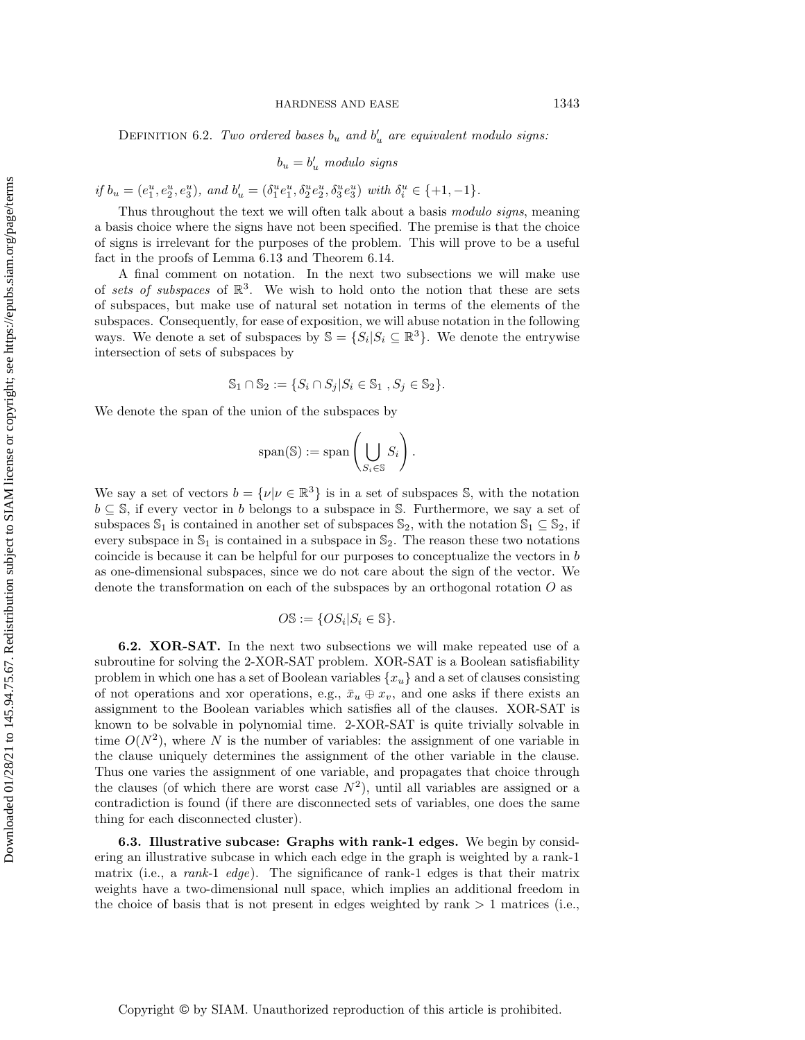DEFINITION 6.2. Two ordered bases  $b_u$  and  $b'_u$  are equivalent modulo signs:

$$
b_u = b'_u \enskip modulo \enskip signs
$$

if  $b_u = (e_1^u, e_2^u, e_3^u)$ , and  $b_u' = (\delta_1^u e_1^u, \delta_2^u e_2^u, \delta_3^u e_3^u)$  with  $\delta_i^u \in \{+1, -1\}$ .

Thus throughout the text we will often talk about a basis modulo signs, meaning a basis choice where the signs have not been specified. The premise is that the choice of signs is irrelevant for the purposes of the problem. This will prove to be a useful fact in the proofs of Lemma [6.13](#page-19-0) and Theorem [6.14.](#page-23-0)

A final comment on notation. In the next two subsections we will make use of sets of subspaces of  $\mathbb{R}^3$ . We wish to hold onto the notion that these are sets of subspaces, but make use of natural set notation in terms of the elements of the subspaces. Consequently, for ease of exposition, we will abuse notation in the following ways. We denote a set of subspaces by  $\mathbb{S} = \{ S_i | S_i \subseteq \mathbb{R}^3 \}$ . We denote the entrywise intersection of sets of subspaces by

$$
\mathbb{S}_1\cap\mathbb{S}_2:=\{S_i\cap S_j|S_i\in\mathbb{S}_1\ ,S_j\in\mathbb{S}_2\}.
$$

We denote the span of the union of the subspaces by

$$
\mathrm{span}(\mathbb{S}) := \mathrm{span}\left(\bigcup_{S_i \in \mathbb{S}} S_i\right).
$$

We say a set of vectors  $b = {\{ \nu | \nu \in \Bbb R^3\}}$  is in a set of subspaces S, with the notation  $b \subseteq \mathbb{S}$ , if every vector in b belongs to a subspace in  $\mathbb{S}$ . Furthermore, we say a set of subspaces  $\mathbb S_1$  is contained in another set of subspaces  $\mathbb S_2$ , with the notation  $\mathbb S_1 \subseteq \mathbb S_2$ , if every subspace in  $\mathbb{S}_1$  is contained in a subspace in  $\mathbb{S}_2$ . The reason these two notations coincide is because it can be helpful for our purposes to conceptualize the vectors in  $b$ as one-dimensional subspaces, since we do not care about the sign of the vector. We denote the transformation on each of the subspaces by an orthogonal rotation  $O$  as

$$
O\mathbb{S}:=\{OS_i|S_i\in\mathbb{S}\}.
$$

6.2. XOR-SAT. In the next two subsections we will make repeated use of a subroutine for solving the 2-XOR-SAT problem. XOR-SAT is a Boolean satisfiability problem in which one has a set of Boolean variables  $\{ x_u\}$  and a set of clauses consisting of not operations and xor operations, e.g.,  $\bar{x}_u \oplus x_v$ , and one asks if there exists an assignment to the Boolean variables which satisfies all of the clauses. XOR-SAT is known to be solvable in polynomial time. 2-XOR-SAT is quite trivially solvable in time  $O(N^2)$ , where N is the number of variables: the assignment of one variable in the clause uniquely determines the assignment of the other variable in the clause. Thus one varies the assignment of one variable, and propagates that choice through the clauses (of which there are worst case  $N^2$ ), until all variables are assigned or a contradiction is found (if there are disconnected sets of variables, one does the same thing for each disconnected cluster).

<span id="page-12-0"></span>6.3. Illustrative subcase: Graphs with rank-1 edges. We begin by considering an illustrative subcase in which each edge in the graph is weighted by a rank-1 matrix (i.e., a *rank-1 edge*). The significance of rank-1 edges is that their matrix weights have a two-dimensional null space, which implies an additional freedom in the choice of basis that is not present in edges weighted by rank  $> 1$  matrices (i.e.,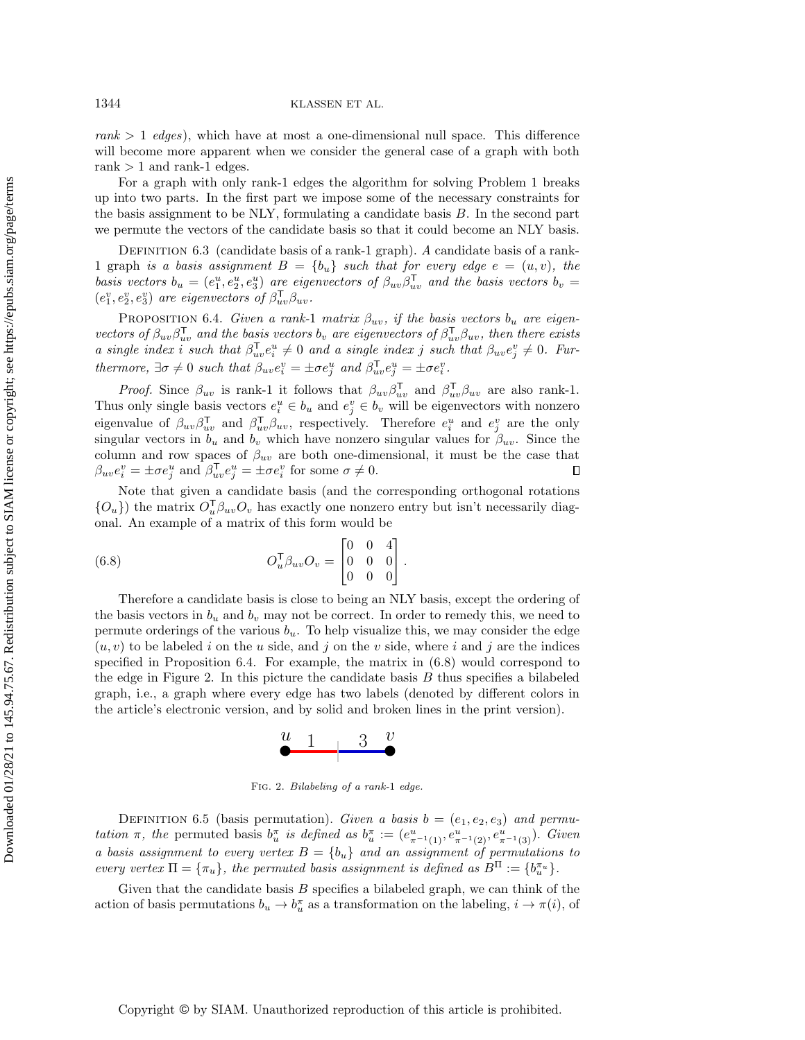$rank > 1$  edges), which have at most a one-dimensional null space. This difference will become more apparent when we consider the general case of a graph with both rank  $> 1$  and rank-1 edges.

For a graph with only rank-1 edges the algorithm for solving Problem [1](#page-11-2) breaks up into two parts. In the first part we impose some of the necessary constraints for the basis assignment to be NLY, formulating a candidate basis B. In the second part we permute the vectors of the candidate basis so that it could become an NLY basis.

DEFINITION  $6.3$  (candidate basis of a rank-1 graph). A candidate basis of a rank-1 graph is a basis assignment  $B = \{ b_u\}$  such that for every edge  $e = (u, v)$ , the basis vectors  $b_u = (e_1^u, e_2^u, e_3^u)$  are eigenvectors of  $\beta_{uv}\beta_{uv}^T$  and the basis vectors  $b_v =$  $(e_1^v, e_2^v, e_3^v)$  are eigenvectors of  $\beta_{uv}^\mathsf{T} \beta_{uv}$ .

<span id="page-13-0"></span>PROPOSITION 6.4. Given a rank-1 matrix  $\beta_{uv}$ , if the basis vectors  $b_u$  are eigenvectors of  $\beta_{uv}\beta_{uv}^T$  and the basis vectors  $b_v$  are eigenvectors of  $\beta_{uv}^T\beta_{uv}$ , then there exists a single index i such that  $\beta_{uv}^{\mathsf{T}} e_i^u \neq 0$  and a single index j such that  $\beta_{uv} e_j^v \neq 0$ . Furthermore,  $\exists \sigma \neq 0$  such that  $\beta_{uv} e_i^v = \pm \sigma e_j^u$  and  $\beta_{uv}^{\mathsf{T}} e_j^u = \pm \sigma e_i^v$ .

*Proof.* Since  $\beta_{uv}$  is rank-1 it follows that  $\beta_{uv}\beta_{uv}^T$  and  $\beta_{uv}^T\beta_{uv}$  are also rank-1. Thus only single basis vectors  $e_i^u \in b_u$  and  $e_j^v \in b_v$  will be eigenvectors with nonzero eigenvalue of  $\beta_{uv}\beta_{uv}^{\mathsf{T}}$  and  $\beta_{uv}^{\mathsf{T}}\beta_{uv}$ , respectively. Therefore  $e_i^u$  and  $e_j^v$  are the only singular vectors in  $b_u$  and  $b_v$  which have nonzero singular values for  $\beta_{uv}$ . Since the column and row spaces of  $\beta_{uv}$  are both one-dimensional, it must be the case that  $\beta_{uv} e_i^v = \pm \sigma e_j^u$  and  $\beta_{uv}^{\mathsf{T}} e_j^u = \pm \sigma e_i^v$  for some  $\sigma \neq 0$ .  $\Box$ 

Note that given a candidate basis (and the corresponding orthogonal rotations  $\{O_u\}$  the matrix  $O_u^{\mathsf{T}} \beta_{uv}O_v$  has exactly one nonzero entry but isn't necessarily diagonal. An example of a matrix of this form would be

<span id="page-13-1"></span>(6.8) 
$$
O_u^{\mathsf{T}} \beta_{uv} O_v = \begin{bmatrix} 0 & 0 & 4 \\ 0 & 0 & 0 \\ 0 & 0 & 0 \end{bmatrix}.
$$

Therefore a candidate basis is close to being an NLY basis, except the ordering of the basis vectors in  $b_u$  and  $b_v$  may not be correct. In order to remedy this, we need to permute orderings of the various  $b<sub>u</sub>$ . To help visualize this, we may consider the edge  $(u, v)$  to be labeled i on the u side, and j on the v side, where i and j are the indices specified in Proposition [6.4.](#page-13-0) For example, the matrix in [\(6.8\)](#page-13-1) would correspond to the edge in Figure [2.](#page-13-2) In this picture the candidate basis  $B$  thus specifies a bilabeled graph, i.e., a graph where every edge has two labels (denoted by different colors in the article's electronic version, and by solid and broken lines in the print version).



Fig. 2. Bilabeling of a rank-1 edge.

<span id="page-13-2"></span>DEFINITION 6.5 (basis permutation). Given a basis  $b = (e_1, e_2, e_3)$  and permutation  $\pi$ , the permuted basis  $b_u^{\pi}$  is defined as  $b_u^{\pi} := (e_{\pi^{-1}(1)}^u, e_{\pi^{-1}(2)}^u, e_{\pi^{-1}(3)}^u)$ . Given a basis assignment to every vertex  $B = \{ b_u\}$  and an assignment of permutations to every vertex  $\Pi = \{ \pi_u \}$ , the permuted basis assignment is defined as  $B^{\Pi} := \{ b_u^{\pi_u} \}.$ 

Given that the candidate basis  $B$  specifies a bilabeled graph, we can think of the action of basis permutations  $b_u \rightarrow b_u^{\pi}$  as a transformation on the labeling,  $i \rightarrow \pi (i)$ , of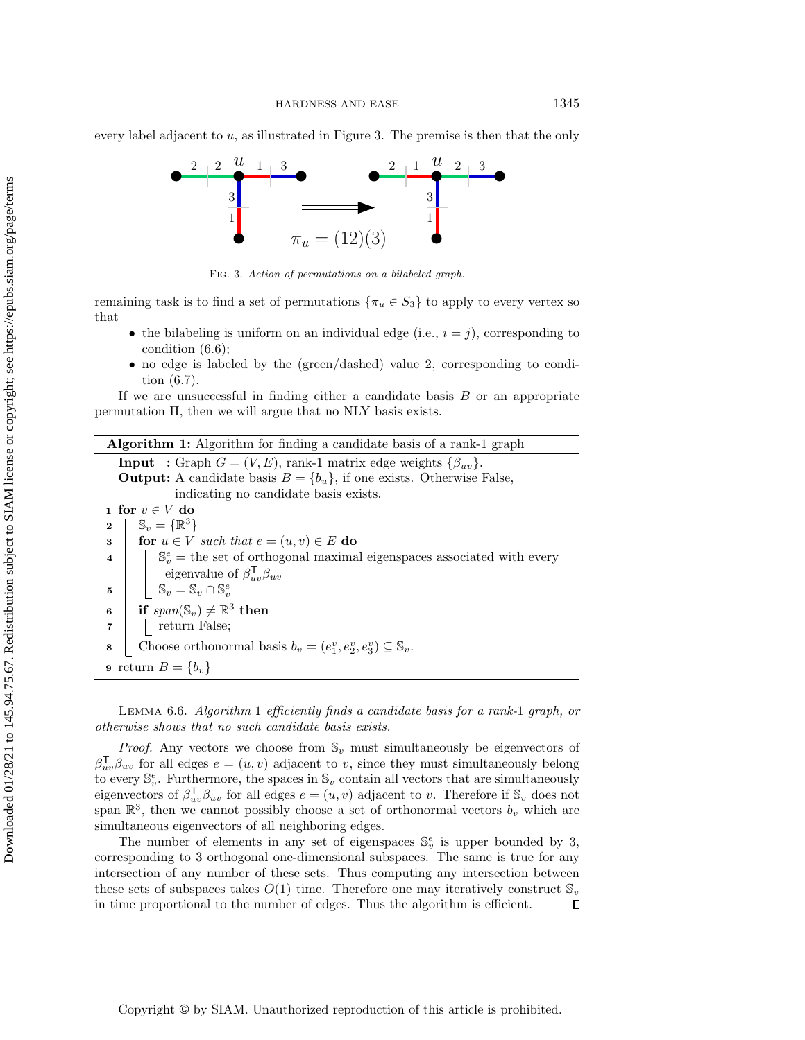<span id="page-14-0"></span>every label adjacent to  $u$ , as illustrated in Figure [3.](#page-14-0) The premise is then that the only



Fig. 3. Action of permutations on a bilabeled graph.

remaining task is to find a set of permutations  $\{ \pi_u \in S_3\}$  to apply to every vertex so that

- $\bullet$  the bilabeling is uniform on an individual edge (i.e.,  $i = j$ ), corresponding to condition [\(6.6\)](#page-11-3);
- $\bullet$  no edge is labeled by the (green/dashed) value 2, corresponding to condition [\(6.7\)](#page-11-4).

If we are unsuccessful in finding either a candidate basis  $B$  or an appropriate permutation  $\Pi$ , then we will argue that no NLY basis exists.

| <b>Algorithm 1:</b> Algorithm for finding a candidate basis of a rank-1 graph                                     |  |  |  |  |
|-------------------------------------------------------------------------------------------------------------------|--|--|--|--|
| <b>Input</b> : Graph $G = (V, E)$ , rank-1 matrix edge weights $\{\beta_{uv}\}.$                                  |  |  |  |  |
| <b>Output:</b> A candidate basis $B = \{b_u\}$ , if one exists. Otherwise False,                                  |  |  |  |  |
| indicating no candidate basis exists.                                                                             |  |  |  |  |
| 1 for $v \in V$ do                                                                                                |  |  |  |  |
| $\mathbb{S}_v = {\mathbb{R}^3}$<br>$\mathbf{2}$                                                                   |  |  |  |  |
| for $u \in V$ such that $e = (u, v) \in E$ do<br>3                                                                |  |  |  |  |
| $\mathbb{S}_{n}^{e}$ = the set of orthogonal maximal eigenspaces associated with every<br>$\overline{\mathbf{4}}$ |  |  |  |  |
| eigenvalue of $\beta_{uv}^{\mathsf{T}}\beta_{uv}$                                                                 |  |  |  |  |
| $\mathbb{S}_v = \mathbb{S}_v \cap \mathbb{S}_v^e$<br>5                                                            |  |  |  |  |
| if $span(\mathbb{S}_v) \neq \mathbb{R}^3$ then<br>6                                                               |  |  |  |  |
| return False;<br>$\overline{\mathbf{r}}$                                                                          |  |  |  |  |
| Choose orthonormal basis $b_v = (e_1^v, e_2^v, e_3^v) \subseteq \mathbb{S}_v$ .<br>8                              |  |  |  |  |
| <b>9</b> return $B = \{b_v\}$                                                                                     |  |  |  |  |

<span id="page-14-2"></span><span id="page-14-1"></span>LEMMA 6.6. Algorithm [1](#page-14-1) efficiently finds a candidate basis for a rank-1 graph, or otherwise shows that no such candidate basis exists.

*Proof.* Any vectors we choose from  $\mathbb{S}_v$  must simultaneously be eigenvectors of  $\beta_{uv}^{\mathsf{T}} \beta_{uv}$  for all edges  $e = (u, v)$  adjacent to v, since they must simultaneously belong to every  $\mathbb{S}^e_v$ . Furthermore, the spaces in  $\mathbb{S}_v$  contain all vectors that are simultaneously eigenvectors of  $\beta_{uv}^{\mathsf{T}} \beta_{uv}$  for all edges  $e = (u, v)$  adjacent to v. Therefore if  $\mathbb{S}_v$  does not span  $\mathbb{R}^3$ , then we cannot possibly choose a set of orthonormal vectors  $b_v$  which are simultaneous eigenvectors of all neighboring edges.

The number of elements in any set of eigenspaces  $\mathbb{S}^e_v$  is upper bounded by 3, corresponding to 3 orthogonal one-dimensional subspaces. The same is true for any intersection of any number of these sets. Thus computing any intersection between these sets of subspaces takes  $O(1)$  time. Therefore one may iteratively construct  $\mathbb S_v$ in time proportional to the number of edges. Thus the algorithm is efficient.  $\Box$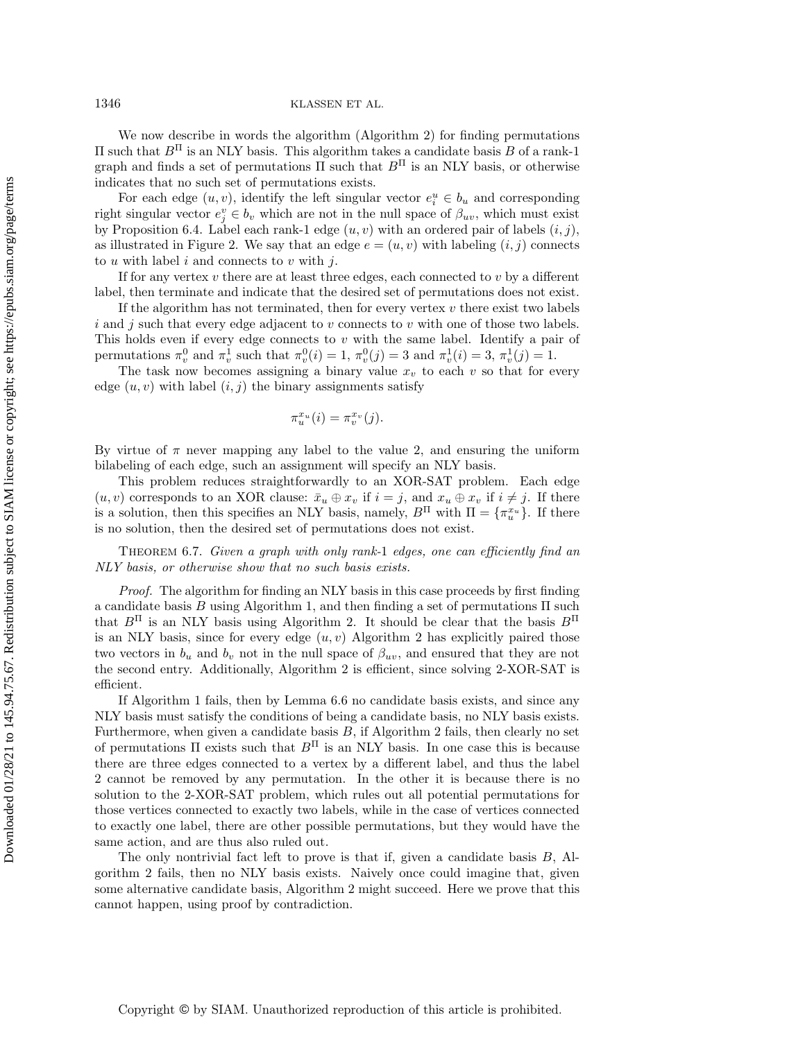1346 KLASSEN ET AL.

We now describe in words the algorithm (Algorithm [2\)](#page-16-0) for finding permutations  $\Pi$  such that  $B<sup>\Pi</sup>$  is an NLY basis. This algorithm takes a candidate basis B of a rank-1 graph and finds a set of permutations  $\Pi$  such that  $B<sup>\Pi</sup>$  is an NLY basis, or otherwise indicates that no such set of permutations exists.

For each edge  $(u, v)$ , identify the left singular vector  $e_i^u \in b_u$  and corresponding right singular vector  $e_j^v \in b_v$  which are not in the null space of  $\beta_{uv}$ , which must exist by Proposition [6.4.](#page-13-0) Label each rank-1 edge  $(u, v)$  with an ordered pair of labels  $(i, j)$ , as illustrated in Figure [2.](#page-13-2) We say that an edge  $e = (u, v)$  with labeling  $(i, j)$  connects to  $u$  with label  $i$  and connects to  $v$  with  $j$ .

If for any vertex  $v$  there are at least three edges, each connected to  $v$  by a different label, then terminate and indicate that the desired set of permutations does not exist.

If the algorithm has not terminated, then for every vertex  $v$  there exist two labels  $i$  and  $j$  such that every edge adjacent to  $v$  connects to  $v$  with one of those two labels. This holds even if every edge connects to  $v$  with the same label. Identify a pair of permutations  $\pi_v^0$  and  $\pi_v^1$  such that  $\pi_v^0(i) = 1$ ,  $\pi_v^0(j) = 3$  and  $\pi_v^1(i) = 3$ ,  $\pi_v^1(j) = 1$ .

The task now becomes assigning a binary value  $x<sub>v</sub>$  to each v so that for every edge  $(u, v)$  with label  $(i, j)$  the binary assignments satisfy

$$
\pi_u^{x_u}(i) = \pi_v^{x_v}(j).
$$

By virtue of  $\pi$  never mapping any label to the value 2, and ensuring the uniform bilabeling of each edge, such an assignment will specify an NLY basis.

This problem reduces straightforwardly to an XOR-SAT problem. Each edge  $(u, v)$  corresponds to an XOR clause:  $\bar{x}_u \oplus x_v$  if  $i = j$ , and  $x_u \oplus x_v$  if  $i \neq j$ . If there is a solution, then this specifies an NLY basis, namely,  $B^{\Pi}$  with  $\Pi = \{ \pi_u^{x_u} \}$ . If there is no solution, then the desired set of permutations does not exist.

<span id="page-15-0"></span>THEOREM 6.7. Given a graph with only rank-1 edges, one can efficiently find an NLY basis, or otherwise show that no such basis exists.

Proof. The algorithm for finding an NLY basis in this case proceeds by first finding a candidate basis B using Algorithm [1,](#page-14-1) and then finding a set of permutations  $\Pi$  such that  $B^{\Pi}$  is an NLY basis using Algorithm [2.](#page-16-0) It should be clear that the basis  $B^{\Pi}$ is an NLY basis, since for every edge  $(u, v)$  Algorithm [2](#page-16-0) has explicitly paired those two vectors in  $b_u$  and  $b_v$  not in the null space of  $\beta_{uv}$ , and ensured that they are not the second entry. Additionally, Algorithm [2](#page-16-0) is efficient, since solving 2-XOR-SAT is efficient.

If Algorithm [1](#page-14-1) fails, then by Lemma [6.6](#page-14-2) no candidate basis exists, and since any NLY basis must satisfy the conditions of being a candidate basis, no NLY basis exists. Furthermore, when given a candidate basis  $B$ , if Algorithm [2](#page-16-0) fails, then clearly no set of permutations  $\Pi$  exists such that  $B<sup>\Pi</sup>$  is an NLY basis. In one case this is because there are three edges connected to a vertex by a different label, and thus the label 2 cannot be removed by any permutation. In the other it is because there is no solution to the 2-XOR-SAT problem, which rules out all potential permutations for those vertices connected to exactly two labels, while in the case of vertices connected to exactly one label, there are other possible permutations, but they would have the same action, and are thus also ruled out.

The only nontrivial fact left to prove is that if, given a candidate basis  $B$ , Algorithm [2](#page-16-0) fails, then no NLY basis exists. Naively once could imagine that, given some alternative candidate basis, Algorithm [2](#page-16-0) might succeed. Here we prove that this cannot happen, using proof by contradiction.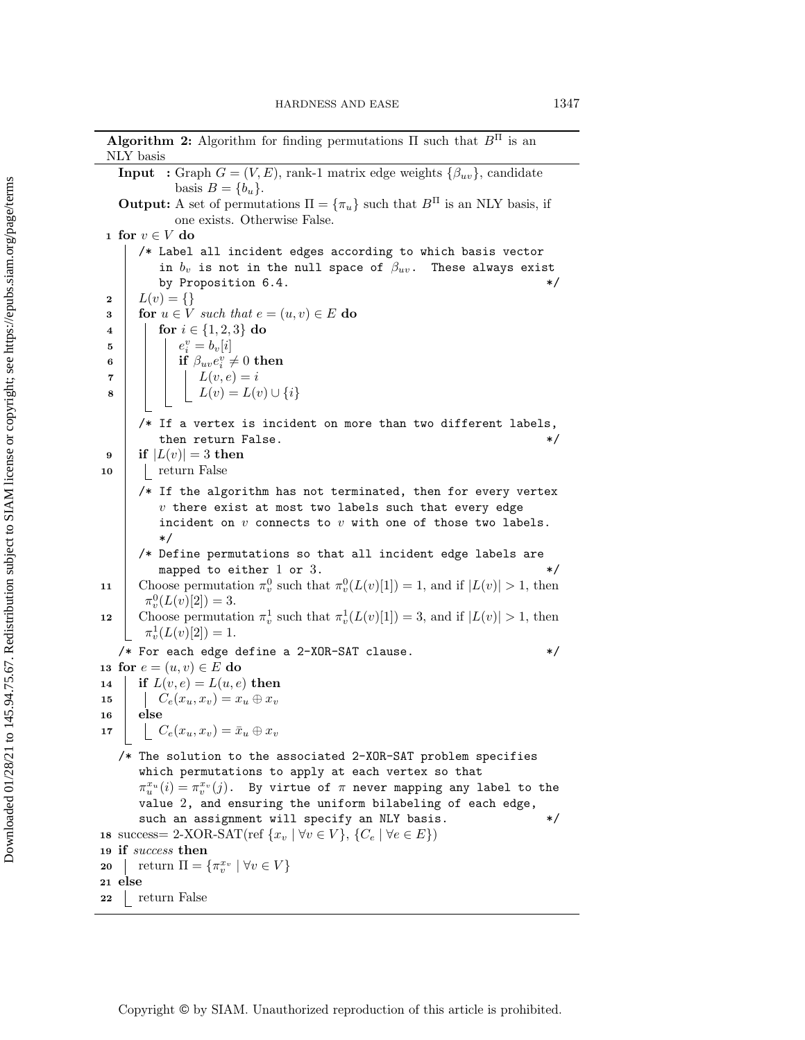<span id="page-16-0"></span>Algorithm 2: Algorithm for finding permutations  $\Pi$  such that  $B<sup>\Pi</sup>$  is an NLY basis **Input** : Graph  $G = (V, E)$ , rank-1 matrix edge weights  $\{ \beta_{uv}\}$ , candidate basis  $B = \{ b_u\}.$ **Output:** A set of permutations  $\Pi = \{ \pi_u \}$  such that  $B^{\Pi}$  is an NLY basis, if one exists. Otherwise False. 1 for  $v \in V$  do /\* Label all incident edges according to which basis vector in  $b_v$  is not in the null space of  $\beta_{uv}$ . These always exist by Proposition [6.4.](#page-13-0)  $*/$  $\begin{array}{c} \mathbf{2} \\ \mathbf{3} \end{array} \left| \begin{array}{c} L(v) = \{ \\ \textbf{for } u \in V \end{array} \right.$ 3 for  $u \in V$  such that  $e = (u, v) \in E$  do <br>4 for  $i \in \{1, 2, 3\}$  do 4 **for**  $i \in \{1, 2, 3\}$  do<br>5  $e^v_i = b_v[i]$ 5  $e_i^v = b_v[i]$  $\begin{array}{|c|c|c|}\hline \textbf{6} & \textbf{1} & \textbf{if }\beta_{uv}e^v_i\neq 0\textbf{ then} \hline \end{array}$ 7 | | |  $L(v, e) = i$ 8 | | |  $L(v) = L(v) \cup \{ i\}$ /\* If a vertex is incident on more than two different labels, then return False.  $*/$ 9 if  $|L(v)| = 3$  then<br>10 cturn False  $\mathcal{L}$ return False /\* If the algorithm has not terminated, then for every vertex  $v$  there exist at most two labels such that every edge incident on  $v$  connects to  $v$  with one of those two labels. \*/ /\* Define permutations so that all incident edge labels are mapped to either  $1$  or  $3$ .  $*$ 11 Choose permutation  $\pi_v^0$  such that  $\pi_v^0(L(v)[1]) = 1$ , and if  $|L(v)| > 1$ , then  $\pi_v^0(L(v)[2]) = 3.$ 12 Choose permutation  $\pi_v^1$  such that  $\pi_v^1(L(v)[1]) = 3$ , and if  $|L(v)| > 1$ , then  $\pi_v^1(L(v)[2]) = 1.$ /\* For each edge define a 2-XOR-SAT clause.  $*$ / 13 for  $e = (u, v) \in E$  do<br>
14 fit  $L(v, e) = L(u, e)$ if  $L(v, e) = L(u, e)$  then 15  $\begin{array}{|c|c|} \hline & C_e(x_u, x_v) = x_u \oplus x_v \ \hline \hline \end{array}$  else else 17  $\Big| \Big| \Big| C_e(x_u, x_v) = \bar{x}_u \oplus x_v$ /\* The solution to the associated 2-XOR-SAT problem specifies which permutations to apply at each vertex so that  $\pi_u^{x_u}(i) = \pi_v^{x_v}(j)$ . By virtue of  $\pi$  never mapping any label to the value 2, and ensuring the uniform bilabeling of each edge, such an assignment will specify an NLY basis.  $*/$ 18 success= 2-XOR-SAT(ref  $\{ x_v \mid \forall v \in V \} , \{ C_e \mid \forall e \in E \}$ ) <sup>19</sup> if success then 20 | return  $\Pi = \{ \pi_v^{x_v} \mid \forall v \in V \}$ <sup>21</sup> else 22 return False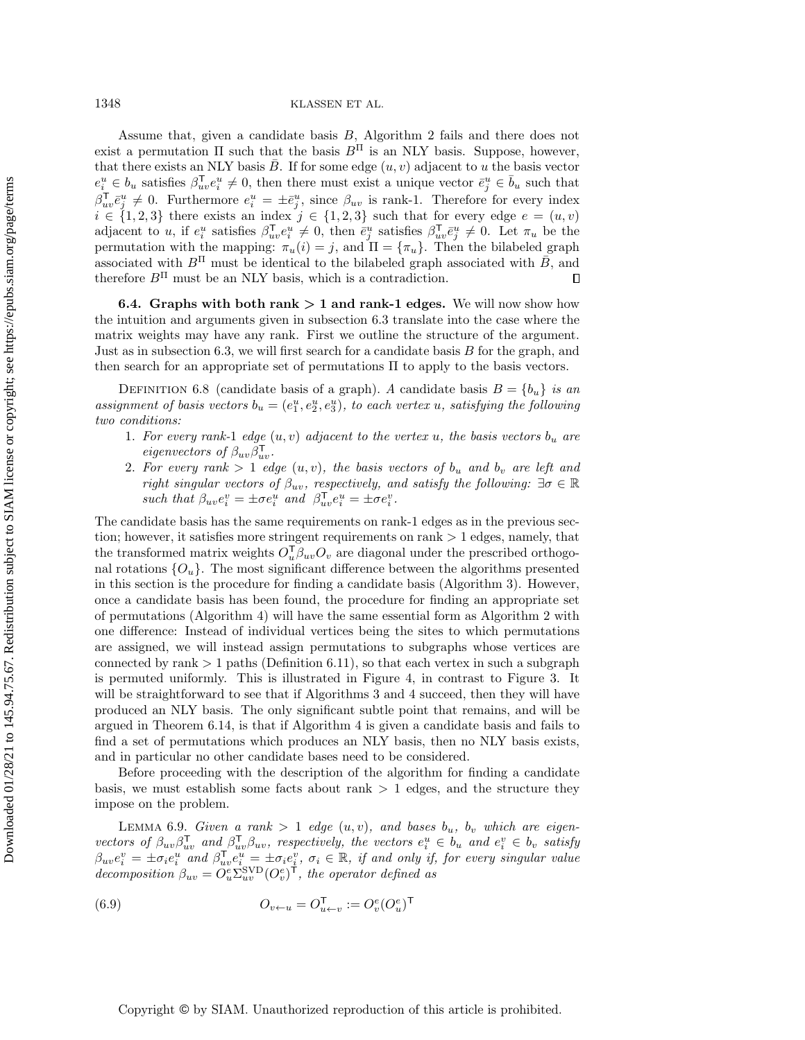1348 KLASSEN ET AL.

Assume that, given a candidate basis B, Algorithm [2](#page-16-0) fails and there does not exist a permutation  $\Pi$  such that the basis  $B<sup>\Pi</sup>$  is an NLY basis. Suppose, however, that there exists an NLY basis  $\bar{B}$ . If for some edge  $(u, v)$  adjacent to u the basis vector  $e_i^u \in b_u$  satisfies  $\beta_{uv}^{\mathsf{T}} e_i^u \neq 0$ , then there must exist a unique vector  $\bar{e}_j^u \in \bar{b}_u$  such that  $\beta_{uv}^{\mathsf{T}}\bar{e}^u_j \neq 0$ . Furthermore  $e^u_i = \pm \bar{e}^u_j$ , since  $\beta_{uv}$  is rank-1. Therefore for every index  $i \in \{ 1, 2, 3\}$  there exists an index  $j \in \{ 1, 2, 3\}$  such that for every edge  $e = (u, v)$ adjacent to u, if  $e_i^u$  satisfies  $\beta_{uv}^{\mathsf{T}} e_i^u \neq 0$ , then  $\bar{e}_j^u$  satisfies  $\beta_{uv}^{\mathsf{T}} \bar{e}_j^u \neq 0$ . Let  $\pi_u$  be the permutation with the mapping:  $\pi_u(i) = j$ , and  $\Pi = \{ \pi_u\}$ . Then the bilabeled graph associated with  $B<sup>\Pi</sup>$  must be identical to the bilabeled graph associated with  $\bar{B}$ , and therefore  $B<sup>\Pi</sup>$  must be an NLY basis, which is a contradiction.  $\Box$ 

6.4. Graphs with both rank  $> 1$  and rank-1 edges. We will now show how the intuition and arguments given in subsection [6.3](#page-12-0) translate into the case where the matrix weights may have any rank. First we outline the structure of the argument. Just as in subsection [6.3,](#page-12-0) we will first search for a candidate basis  $B$  for the graph, and then search for an appropriate set of permutations  $\Pi$  to apply to the basis vectors.

<span id="page-17-1"></span>DEFINITION 6.8 (candidate basis of a graph). A candidate basis  $B = \{ b_u\}$  is an assignment of basis vectors  $b_u = (e_1^u, e_2^u, e_3^u)$ , to each vertex u, satisfying the following two conditions:

- 1. For every rank-1 edge  $(u, v)$  adjacent to the vertex u, the basis vectors  $b_u$  are eigenvectors of  $\beta_{uv}\beta_{uv}^{\mathsf{T}}$ .
- 2. For every rank  $> 1$  edge  $(u, v)$ , the basis vectors of  $b_u$  and  $b_v$  are left and right singular vectors of  $\beta_{uv}$ , respectively, and satisfy the following:  $\exists \sigma \in \mathbb{R}$ such that  $\beta_{uv} e_i^v = \pm \sigma e_i^u$  and  $\beta_{uv}^\mathsf{T} e_i^u = \pm \sigma e_i^v$ .

The candidate basis has the same requirements on rank-1 edges as in the previous section; however, it satisfies more stringent requirements on rank  $> 1$  edges, namely, that the transformed matrix weights  $O_u^{\mathsf{T}} \beta_{uv} O_v$  are diagonal under the prescribed orthogonal rotations  $\{ O_u\}$ . The most significant difference between the algorithms presented in this section is the procedure for finding a candidate basis (Algorithm [3\)](#page-20-0). However, once a candidate basis has been found, the procedure for finding an appropriate set of permutations (Algorithm [4\)](#page-24-0) will have the same essential form as Algorithm [2](#page-16-0) with one difference: Instead of individual vertices being the sites to which permutations are assigned, we will instead assign permutations to subgraphs whose vertices are connected by  $rank > 1$  paths (Definition [6.11\)](#page-19-1), so that each vertex in such a subgraph is permuted uniformly. This is illustrated in Figure [4,](#page-18-0) in contrast to Figure [3.](#page-14-0) It will be straightforward to see that if Algorithms [3](#page-20-0) and [4](#page-24-0) succeed, then they will have produced an NLY basis. The only significant subtle point that remains, and will be argued in Theorem [6.14,](#page-23-0) is that if Algorithm [4](#page-24-0) is given a candidate basis and fails to find a set of permutations which produces an NLY basis, then no NLY basis exists, and in particular no other candidate bases need to be considered.

Before proceeding with the description of the algorithm for finding a candidate basis, we must establish some facts about rank  $> 1$  edges, and the structure they impose on the problem.

LEMMA 6.9. Given a rank > 1 edge  $(u, v)$ , and bases  $b_u$ ,  $b_v$  which are eigenvectors of  $\beta_{uv}\beta_{uv}^{\mathsf{T}}$  and  $\beta_{uv}^{\mathsf{T}}\beta_{uv}$ , respectively, the vectors  $e_i^u \in b_u$  and  $e_i^v \in b_v$  satisfy  $\beta_{uv}e_i^v = \pm \sigma_i e_i^u$  and  $\beta_{uv}^{\mathsf{T}} e_i^u = \pm \sigma_i e_i^v$ ,  $\sigma_i \in \mathbb{R}$ , if and only if, for every singular value decomposition  $\beta_{uv} = O_u^e \Sigma_{uv}^{\text{SVD}} (O_v^e)^\mathsf{T}$ , the operator defined as

<span id="page-17-0"></span>(6.9) 
$$
O_{v \leftarrow u} = O_{u \leftarrow v}^{\mathsf{T}} := O_{v}^{e}(O_{u}^{e})^{\mathsf{T}}
$$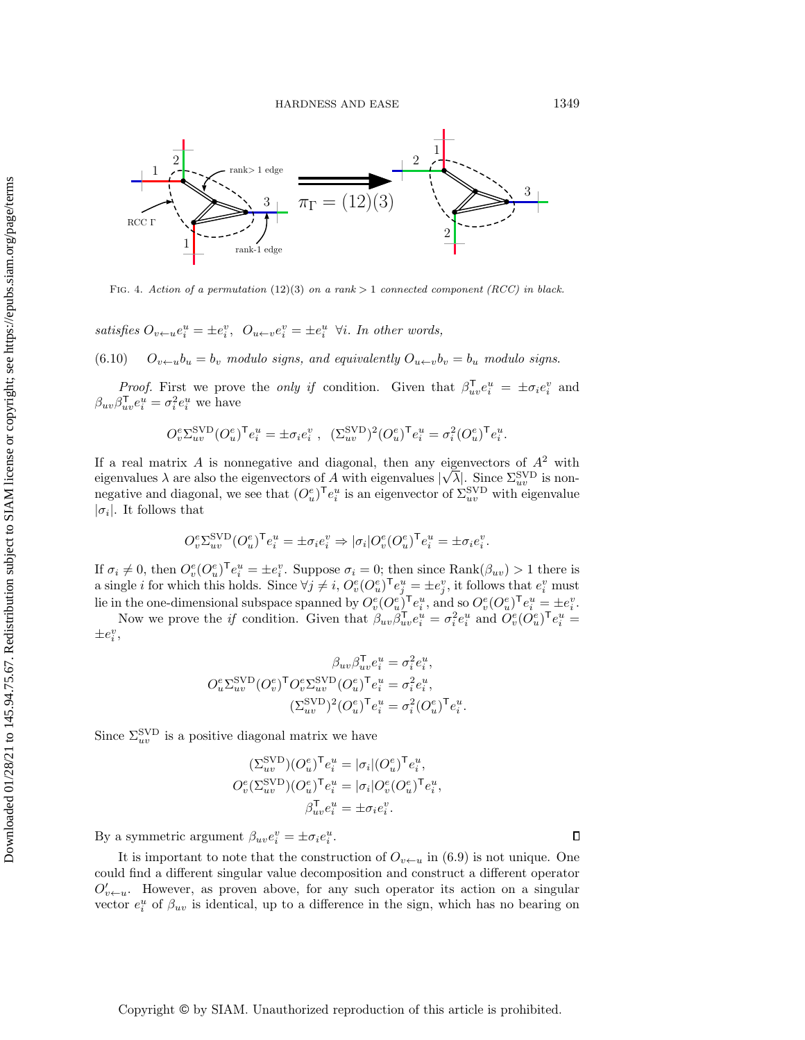<span id="page-18-0"></span>

FIG. 4. Action of a permutation (12)(3) on a rank  $> 1$  connected component (RCC) in black.

satisfies  $O_{v\leftarrow u}e_i^u = \pm e_i^v$ ,  $O_{u\leftarrow v}e_i^v = \pm e_i^u$   $\forall i$ . In other words,

(6.10)  $O_{v\leftarrow u}b_u = b_v$  modulo signs, and equivalently  $O_{u\leftarrow v}b_v = b_u$  modulo signs.

*Proof.* First we prove the *only if* condition. Given that  $\beta_{uv}^{\mathsf{T}} e_i^u = \pm \sigma_i e_i^v$  and  $\beta_{uv}\beta_{uv}^{\mathsf{T}}e_i^u = \sigma_i^2 e_i^u$  we have

$$
O_v^e\Sigma_{uv}^{\rm SVD}(O_u^e)^\mathsf{T} e_i^u = \pm \sigma_i e_i^v\ ,\ \ (\Sigma_{uv}^{\rm SVD})^2 (O_u^e)^\mathsf{T} e_i^u = \sigma_i^2 (O_u^e)^\mathsf{T} e_i^u.
$$

If a real matrix A is nonnegative and diagonal, then any eigenvectors of  $A^2$  with eigenvalues  $\lambda$  are also the eigenvectors of A with eigenvalues  $|\sqrt{\lambda}|$ . Since  $\Sigma_{uv}^{\text{SVD}}$  is nonnegative and diagonal, we see that  $(O_u^e)^\mathsf{T} e_i^u$  is an eigenvector of  $\Sigma_{uv}^{\rm SVD}$  with eigenvalue  $|\sigma_i|$ . It follows that

$$
O_v^e \Sigma_{uv}^{\text{SVD}} (O_u^e)^\mathsf{T} e_i^u = \pm \sigma_i e_i^v \Rightarrow |\sigma_i| O_v^e (O_u^e)^\mathsf{T} e_i^u = \pm \sigma_i e_i^v.
$$

If  $\sigma_i \neq 0$ , then  $O_v^e(O_u^e)^\mathsf{T} e_i^u = \pm e_i^v$ . Suppose  $\sigma_i = 0$ ; then since Rank $(\beta_{uv}) > 1$  there is a single *i* for which this holds. Since  $\forall j \neq i, O_v^e(O_u^e)^\mathsf{T} e_j^u = \pm e_j^v$ , it follows that  $e_i^v$  must lie in the one-dimensional subspace spanned by  $O_v^e(O_u^e)^\mathsf{T} e_i^u$ , and so  $O_v^e(O_u^e)^\mathsf{T} e_i^u = \pm e_i^v$ .

Now we prove the *if* condition. Given that  $\beta_{uv}\beta_{uv}^{\mathsf{T}}e_i^u = \sigma_i^2 e_i^u$  and  $O_v^e(O_u^e)^{\mathsf{T}}e_i^u =$  $\pm e_i^v$ ,

$$
\beta_{uv}\beta_{uv}^{\mathsf{T}}e_i^u = \sigma_i^2e_i^u,
$$
  

$$
O_u^e\Sigma_{uv}^{\text{SVD}}(O_v^e)^{\mathsf{T}}O_v^e\Sigma_{uv}^{\text{SVD}}(O_u^e)^{\mathsf{T}}e_i^u = \sigma_i^2e_i^u,
$$
  

$$
(\Sigma_{uv}^{\text{SVD}})^2(O_u^e)^{\mathsf{T}}e_i^u = \sigma_i^2(O_u^e)^{\mathsf{T}}e_i^u.
$$

Since  $\Sigma_{uv}^{\rm SVD}$  is a positive diagonal matrix we have

$$
(\Sigma_{uv}^{\text{SVD}})(O_u^e)^{\mathsf{T}} e_i^u = |\sigma_i|(O_u^e)^{\mathsf{T}} e_i^u,
$$
  
\n
$$
O_v^e(\Sigma_{uv}^{\text{SVD}})(O_u^e)^{\mathsf{T}} e_i^u = |\sigma_i|O_v^e(O_u^e)^{\mathsf{T}} e_i^u,
$$
  
\n
$$
\beta_{uv}^{\mathsf{T}} e_i^u = \pm \sigma_i e_i^v.
$$

By a symmetric argument  $\beta_{uv} e_i^v = \pm \sigma_i e_i^u$ .

It is important to note that the construction of  $O_{v\leftarrow u}$  in [\(6.9\)](#page-17-0) is not unique. One could find a different singular value decomposition and construct a different operator  $O'_{v\leftarrow u}$ . However, as proven above, for any such operator its action on a singular vector  $e_i^u$  of  $\beta_{uv}$  is identical, up to a difference in the sign, which has no bearing on

 $\Box$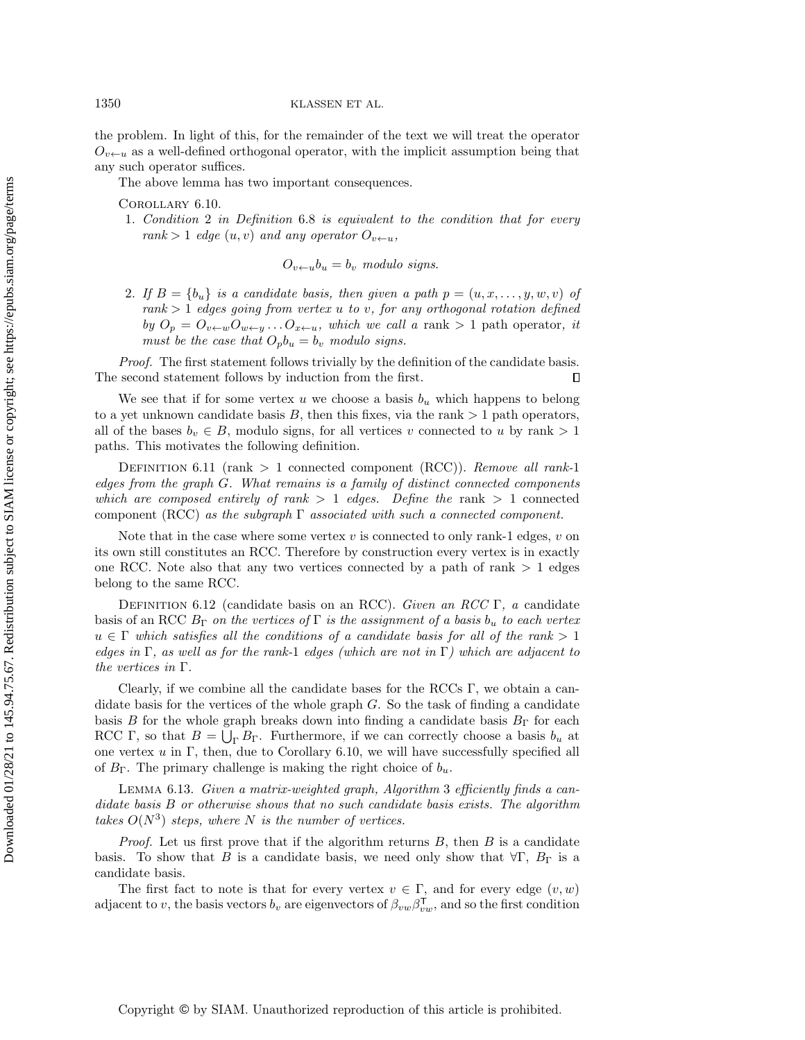the problem. In light of this, for the remainder of the text we will treat the operator  $O_{v\leftarrow u}$  as a well-defined orthogonal operator, with the implicit assumption being that any such operator suffices.

<span id="page-19-2"></span>The above lemma has two important consequences.

Corollary 6.10.

1. Condition 2 in Definition [6.8](#page-17-1) is equivalent to the condition that for every rank  $> 1$  edge  $(u, v)$  and any operator  $O_{v \leftarrow u}$ ,

 $O_{v\leftarrow u}b_u = b_v$  modulo signs.

2. If  $B = \{ b_u\}$  is a candidate basis, then given a path  $p = (u, x, \ldots, y, w, v)$  of  $rank > 1$  edges going from vertex u to v, for any orthogonal rotation defined by  $O_p = O_{v\leftarrow w}O_{w\leftarrow y} \dots O_{x\leftarrow u}$ , which we call a rank  $> 1$  path operator, it must be the case that  $O_p b_u = b_v$  modulo signs.

Proof. The first statement follows trivially by the definition of the candidate basis. The second statement follows by induction from the first.  $\Box$ 

We see that if for some vertex u we choose a basis  $b<sub>u</sub>$  which happens to belong to a yet unknown candidate basis  $B$ , then this fixes, via the rank  $> 1$  path operators, all of the bases  $b_v \in B$ , modulo signs, for all vertices v connected to u by rank  $> 1$ paths. This motivates the following definition.

<span id="page-19-1"></span>DEFINITION 6.11 (rank  $> 1$  connected component (RCC)). Remove all rank-1 edges from the graph  $G$ . What remains is a family of distinct connected components which are composed entirely of rank  $> 1$  edges. Define the rank  $> 1$  connected component (RCC) as the subgraph  $\Gamma$  associated with such a connected component.

Note that in the case where some vertex  $v$  is connected to only rank-1 edges,  $v$  on its own still constitutes an RCC. Therefore by construction every vertex is in exactly one RCC. Note also that any two vertices connected by a path of rank  $> 1$  edges belong to the same RCC.

DEFINITION 6.12 (candidate basis on an RCC). Given an RCC  $\Gamma$ , a candidate basis of an RCC  $B_{\Gamma}$  on the vertices of  $\Gamma$  is the assignment of a basis  $b_u$  to each vertex  $u \in \Gamma$  which satisfies all the conditions of a candidate basis for all of the rank  $> 1$ edges in  $\Gamma$ , as well as for the rank-1 edges (which are not in  $\Gamma$ ) which are adjacent to the vertices in  $\Gamma$ .

Clearly, if we combine all the candidate bases for the RCCs  $\Gamma$ , we obtain a candidate basis for the vertices of the whole graph  $G$ . So the task of finding a candidate basis B for the whole graph breaks down into finding a candidate basis  $B_\Gamma$  for each RCC  $\Gamma$ , so that  $B = \bigcup_{\Gamma} B_{\Gamma}$ . Furthermore, if we can correctly choose a basis  $b_u$  at one vertex  $u$  in  $\Gamma$ , then, due to Corollary [6.10,](#page-19-2) we will have successfully specified all of  $B_\Gamma$ . The primary challenge is making the right choice of  $b_u$ .

<span id="page-19-0"></span>LEMMA 6.1[3](#page-20-0). Given a matrix-weighted graph, Algorithm 3 efficiently finds a candidate basis B or otherwise shows that no such candidate basis exists. The algorithm takes  $O(N^3)$  steps, where N is the number of vertices.

*Proof.* Let us first prove that if the algorithm returns  $B$ , then  $B$  is a candidate basis. To show that B is a candidate basis, we need only show that  $\nabla \Gamma$ ,  $B_\Gamma$  is a candidate basis.

The first fact to note is that for every vertex  $v \in \Gamma$ , and for every edge  $(v, w)$ adjacent to v, the basis vectors  $b_v$  are eigenvectors of  $\beta_{vw}\beta_{vw}^{\mathsf{T}}$ , and so the first condition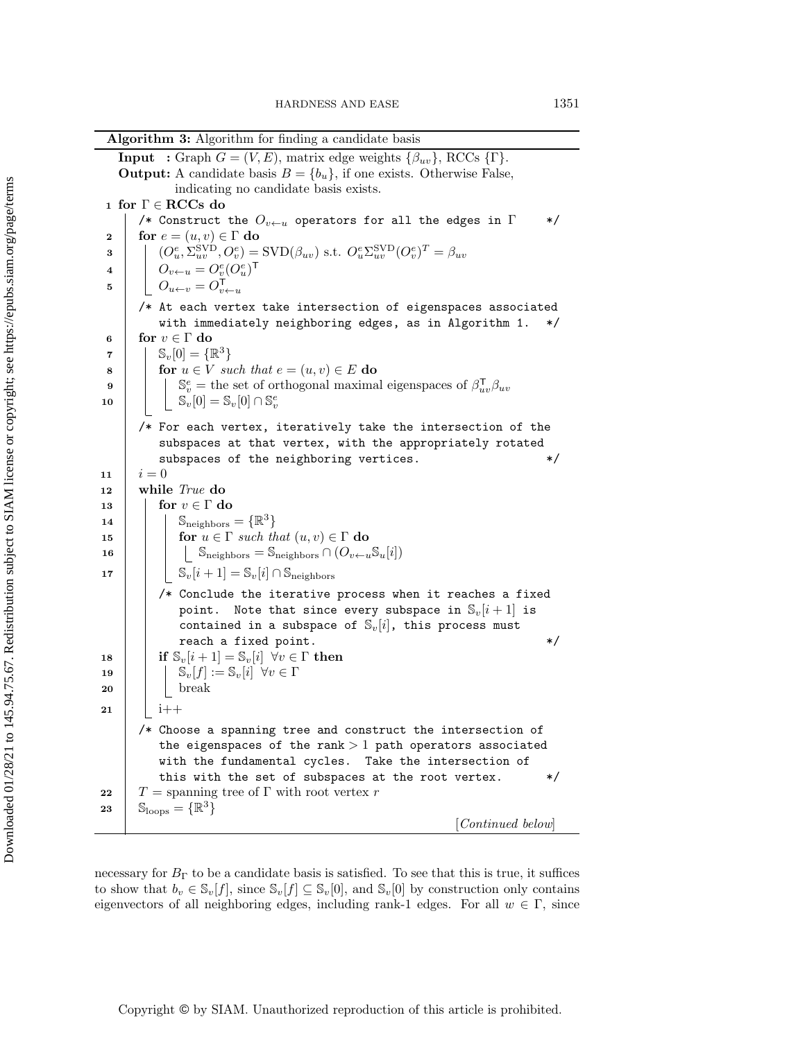<span id="page-20-2"></span>

|                                                                | <b>Algorithm 3:</b> Algorithm for finding a candidate basis                                                                                                                                                                                                                                                                                                                                                                                                                                                                                                                                                                                                                                                                                                                                                                                                                                                                                                                                                                                                                                                                                            |  |  |  |  |  |
|----------------------------------------------------------------|--------------------------------------------------------------------------------------------------------------------------------------------------------------------------------------------------------------------------------------------------------------------------------------------------------------------------------------------------------------------------------------------------------------------------------------------------------------------------------------------------------------------------------------------------------------------------------------------------------------------------------------------------------------------------------------------------------------------------------------------------------------------------------------------------------------------------------------------------------------------------------------------------------------------------------------------------------------------------------------------------------------------------------------------------------------------------------------------------------------------------------------------------------|--|--|--|--|--|
|                                                                | <b>Input</b> : Graph $G = (V, E)$ , matrix edge weights $\{\beta_{uv}\}\text{, RCCs } \{\Gamma\}.$                                                                                                                                                                                                                                                                                                                                                                                                                                                                                                                                                                                                                                                                                                                                                                                                                                                                                                                                                                                                                                                     |  |  |  |  |  |
|                                                                | <b>Output:</b> A candidate basis $B = \{b_u\}$ , if one exists. Otherwise False,                                                                                                                                                                                                                                                                                                                                                                                                                                                                                                                                                                                                                                                                                                                                                                                                                                                                                                                                                                                                                                                                       |  |  |  |  |  |
|                                                                | indicating no candidate basis exists.                                                                                                                                                                                                                                                                                                                                                                                                                                                                                                                                                                                                                                                                                                                                                                                                                                                                                                                                                                                                                                                                                                                  |  |  |  |  |  |
|                                                                | 1 for $\Gamma \in \mathbf{RCCs}$ do                                                                                                                                                                                                                                                                                                                                                                                                                                                                                                                                                                                                                                                                                                                                                                                                                                                                                                                                                                                                                                                                                                                    |  |  |  |  |  |
|                                                                | /* Construct the $O_{v\leftarrow u}$ operators for all the edges in $\Gamma$<br>*/                                                                                                                                                                                                                                                                                                                                                                                                                                                                                                                                                                                                                                                                                                                                                                                                                                                                                                                                                                                                                                                                     |  |  |  |  |  |
| $\boldsymbol{2}$                                               | for $e = (u, v) \in \Gamma$ do                                                                                                                                                                                                                                                                                                                                                                                                                                                                                                                                                                                                                                                                                                                                                                                                                                                                                                                                                                                                                                                                                                                         |  |  |  |  |  |
| 3                                                              | $(O_u^e, \Sigma_{uv}^{\rm SVD}, O_v^e) = {\rm SVD}(\beta_{uv})$ s.t. $O_u^e \Sigma_{uv}^{\rm SVD} (O_v^e)^T = \beta_{uv}$                                                                                                                                                                                                                                                                                                                                                                                                                                                                                                                                                                                                                                                                                                                                                                                                                                                                                                                                                                                                                              |  |  |  |  |  |
| 4                                                              | $O_{v \leftarrow u} = O_v^e (O_u^e)^\mathsf{T}$                                                                                                                                                                                                                                                                                                                                                                                                                                                                                                                                                                                                                                                                                                                                                                                                                                                                                                                                                                                                                                                                                                        |  |  |  |  |  |
| 5                                                              | $\overline{O_{u \leftarrow v}} = O_{v \leftarrow u}^{\mathsf{T}}$                                                                                                                                                                                                                                                                                                                                                                                                                                                                                                                                                                                                                                                                                                                                                                                                                                                                                                                                                                                                                                                                                      |  |  |  |  |  |
|                                                                | /* At each vertex take intersection of eigenspaces associated                                                                                                                                                                                                                                                                                                                                                                                                                                                                                                                                                                                                                                                                                                                                                                                                                                                                                                                                                                                                                                                                                          |  |  |  |  |  |
|                                                                | with immediately neighboring edges, as in Algorithm 1.<br>*/                                                                                                                                                                                                                                                                                                                                                                                                                                                                                                                                                                                                                                                                                                                                                                                                                                                                                                                                                                                                                                                                                           |  |  |  |  |  |
| 6                                                              | for $v \in \Gamma$ do                                                                                                                                                                                                                                                                                                                                                                                                                                                                                                                                                                                                                                                                                                                                                                                                                                                                                                                                                                                                                                                                                                                                  |  |  |  |  |  |
| 7                                                              | $\mathbb{S}_{v}[0] = {\mathbb{R}^{3}}$                                                                                                                                                                                                                                                                                                                                                                                                                                                                                                                                                                                                                                                                                                                                                                                                                                                                                                                                                                                                                                                                                                                 |  |  |  |  |  |
| 8                                                              | for $u \in V$ such that $e = (u, v) \in E$ do                                                                                                                                                                                                                                                                                                                                                                                                                                                                                                                                                                                                                                                                                                                                                                                                                                                                                                                                                                                                                                                                                                          |  |  |  |  |  |
| 9                                                              | $\mathbb{S}_{v}^e$ = the set of orthogonal maximal eigenspaces of $\beta_{uv}^{\mathsf{T}}\beta_{uv}$                                                                                                                                                                                                                                                                                                                                                                                                                                                                                                                                                                                                                                                                                                                                                                                                                                                                                                                                                                                                                                                  |  |  |  |  |  |
| 10                                                             | $\begin{bmatrix} \mathbb{S}_v[0] = \mathbb{S}_v[0] \cap \mathbb{S}_v^e \end{bmatrix}$                                                                                                                                                                                                                                                                                                                                                                                                                                                                                                                                                                                                                                                                                                                                                                                                                                                                                                                                                                                                                                                                  |  |  |  |  |  |
|                                                                | /* For each vertex, iteratively take the intersection of the                                                                                                                                                                                                                                                                                                                                                                                                                                                                                                                                                                                                                                                                                                                                                                                                                                                                                                                                                                                                                                                                                           |  |  |  |  |  |
|                                                                | subspaces at that vertex, with the appropriately rotated                                                                                                                                                                                                                                                                                                                                                                                                                                                                                                                                                                                                                                                                                                                                                                                                                                                                                                                                                                                                                                                                                               |  |  |  |  |  |
|                                                                | subspaces of the neighboring vertices.<br>*/                                                                                                                                                                                                                                                                                                                                                                                                                                                                                                                                                                                                                                                                                                                                                                                                                                                                                                                                                                                                                                                                                                           |  |  |  |  |  |
|                                                                | $i=0$                                                                                                                                                                                                                                                                                                                                                                                                                                                                                                                                                                                                                                                                                                                                                                                                                                                                                                                                                                                                                                                                                                                                                  |  |  |  |  |  |
|                                                                |                                                                                                                                                                                                                                                                                                                                                                                                                                                                                                                                                                                                                                                                                                                                                                                                                                                                                                                                                                                                                                                                                                                                                        |  |  |  |  |  |
|                                                                |                                                                                                                                                                                                                                                                                                                                                                                                                                                                                                                                                                                                                                                                                                                                                                                                                                                                                                                                                                                                                                                                                                                                                        |  |  |  |  |  |
|                                                                |                                                                                                                                                                                                                                                                                                                                                                                                                                                                                                                                                                                                                                                                                                                                                                                                                                                                                                                                                                                                                                                                                                                                                        |  |  |  |  |  |
|                                                                |                                                                                                                                                                                                                                                                                                                                                                                                                                                                                                                                                                                                                                                                                                                                                                                                                                                                                                                                                                                                                                                                                                                                                        |  |  |  |  |  |
| 16                                                             |                                                                                                                                                                                                                                                                                                                                                                                                                                                                                                                                                                                                                                                                                                                                                                                                                                                                                                                                                                                                                                                                                                                                                        |  |  |  |  |  |
|                                                                |                                                                                                                                                                                                                                                                                                                                                                                                                                                                                                                                                                                                                                                                                                                                                                                                                                                                                                                                                                                                                                                                                                                                                        |  |  |  |  |  |
|                                                                |                                                                                                                                                                                                                                                                                                                                                                                                                                                                                                                                                                                                                                                                                                                                                                                                                                                                                                                                                                                                                                                                                                                                                        |  |  |  |  |  |
|                                                                |                                                                                                                                                                                                                                                                                                                                                                                                                                                                                                                                                                                                                                                                                                                                                                                                                                                                                                                                                                                                                                                                                                                                                        |  |  |  |  |  |
|                                                                |                                                                                                                                                                                                                                                                                                                                                                                                                                                                                                                                                                                                                                                                                                                                                                                                                                                                                                                                                                                                                                                                                                                                                        |  |  |  |  |  |
|                                                                |                                                                                                                                                                                                                                                                                                                                                                                                                                                                                                                                                                                                                                                                                                                                                                                                                                                                                                                                                                                                                                                                                                                                                        |  |  |  |  |  |
|                                                                |                                                                                                                                                                                                                                                                                                                                                                                                                                                                                                                                                                                                                                                                                                                                                                                                                                                                                                                                                                                                                                                                                                                                                        |  |  |  |  |  |
|                                                                |                                                                                                                                                                                                                                                                                                                                                                                                                                                                                                                                                                                                                                                                                                                                                                                                                                                                                                                                                                                                                                                                                                                                                        |  |  |  |  |  |
| 20                                                             |                                                                                                                                                                                                                                                                                                                                                                                                                                                                                                                                                                                                                                                                                                                                                                                                                                                                                                                                                                                                                                                                                                                                                        |  |  |  |  |  |
|                                                                |                                                                                                                                                                                                                                                                                                                                                                                                                                                                                                                                                                                                                                                                                                                                                                                                                                                                                                                                                                                                                                                                                                                                                        |  |  |  |  |  |
|                                                                |                                                                                                                                                                                                                                                                                                                                                                                                                                                                                                                                                                                                                                                                                                                                                                                                                                                                                                                                                                                                                                                                                                                                                        |  |  |  |  |  |
|                                                                |                                                                                                                                                                                                                                                                                                                                                                                                                                                                                                                                                                                                                                                                                                                                                                                                                                                                                                                                                                                                                                                                                                                                                        |  |  |  |  |  |
|                                                                |                                                                                                                                                                                                                                                                                                                                                                                                                                                                                                                                                                                                                                                                                                                                                                                                                                                                                                                                                                                                                                                                                                                                                        |  |  |  |  |  |
|                                                                |                                                                                                                                                                                                                                                                                                                                                                                                                                                                                                                                                                                                                                                                                                                                                                                                                                                                                                                                                                                                                                                                                                                                                        |  |  |  |  |  |
|                                                                |                                                                                                                                                                                                                                                                                                                                                                                                                                                                                                                                                                                                                                                                                                                                                                                                                                                                                                                                                                                                                                                                                                                                                        |  |  |  |  |  |
|                                                                |                                                                                                                                                                                                                                                                                                                                                                                                                                                                                                                                                                                                                                                                                                                                                                                                                                                                                                                                                                                                                                                                                                                                                        |  |  |  |  |  |
|                                                                |                                                                                                                                                                                                                                                                                                                                                                                                                                                                                                                                                                                                                                                                                                                                                                                                                                                                                                                                                                                                                                                                                                                                                        |  |  |  |  |  |
| 11<br>12<br>13<br>14<br>15<br>17<br>18<br>19<br>21<br>22<br>23 | while <i>True</i> do<br>for $v \in \Gamma$ do<br>$\mathbb{S}_{\text{neighbors}} = \{\mathbb{R}^3\}$<br>for $u \in \Gamma$ such that $(u, v) \in \Gamma$ do<br>$\lfloor \ \ \mathbb{S}_{\text{neighbors}} = \mathbb{S}_{\text{neighbors}} \cap (O_{v \leftarrow u} \mathbb{S}_{u}[i])$<br>$\left  \quad \mathbb{S}_v[i+1] = \mathbb{S}_v[i] \cap \mathbb{S}_{\text{neighbors}}$<br>/* Conclude the iterative process when it reaches a fixed<br>point. Note that since every subspace in $\mathbb{S}_v[i+1]$ is<br>contained in a subspace of $\mathbb{S}_v[i]$ , this process must<br>reach a fixed point.<br>*/<br>if $\mathbb{S}_v[i+1] = \mathbb{S}_v[i] \ \forall v \in \Gamma$ then<br>$\mathbb{S}_v[f] := \mathbb{S}_v[i] \ \forall v \in \Gamma$<br>break<br>$i++$<br>/* Choose a spanning tree and construct the intersection of<br>the eigenspaces of the rank $>1$ path operators associated<br>with the fundamental cycles. Take the intersection of<br>this with the set of subspaces at the root vertex.<br>*/<br>$T =$ spanning tree of $\Gamma$ with root vertex r<br>$\mathbb{S}_{\text{loops}} = {\mathbb{R}^3}$<br>[Continued below] |  |  |  |  |  |

necessary for  $B_\Gamma$  to be a candidate basis is satisfied. To see that this is true, it suffices to show that  $b_v \in \mathbb S_v[f]$ , since  $\mathbb S_v[f] \subseteq \mathbb S_v[0]$ , and  $\mathbb S_v[0]$  by construction only contains eigenvectors of all neighboring edges, including rank-1 edges. For all  $w \in \Gamma$ , since

<span id="page-20-1"></span><span id="page-20-0"></span> $\overline{\phantom{a}}$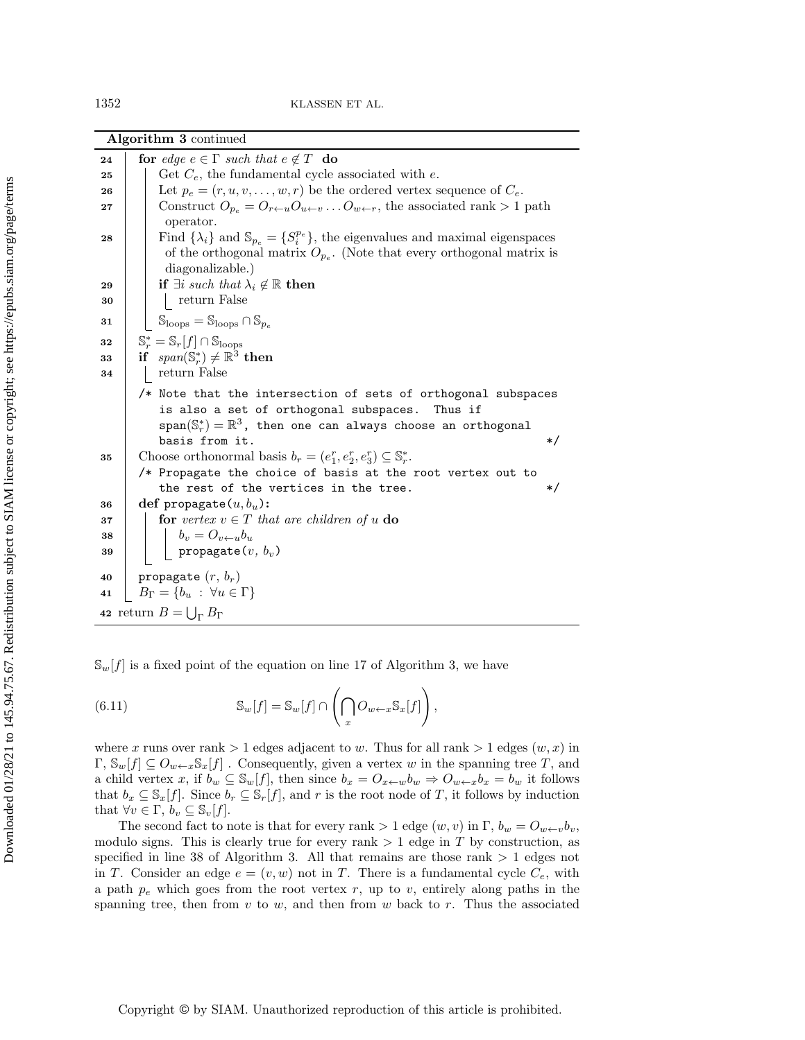<span id="page-21-5"></span><span id="page-21-4"></span><span id="page-21-3"></span><span id="page-21-2"></span>

|    | Algorithm 3 continued                                                                                               |  |  |  |
|----|---------------------------------------------------------------------------------------------------------------------|--|--|--|
| 24 | for edge $e \in \Gamma$ such that $e \notin T$ do                                                                   |  |  |  |
| 25 | Get $C_e$ , the fundamental cycle associated with e.                                                                |  |  |  |
| 26 | Let $p_e = (r, u, v, \dots, w, r)$ be the ordered vertex sequence of $C_e$ .                                        |  |  |  |
| 27 | Construct $O_{p_e} = O_{r \leftarrow u} O_{u \leftarrow v} \dots O_{w \leftarrow r}$ , the associated rank > 1 path |  |  |  |
|    | operator.                                                                                                           |  |  |  |
| 28 | Find $\{\lambda_i\}$ and $\mathbb{S}_{p_e} = \{S_i^{p_e}\}\$ , the eigenvalues and maximal eigenspaces              |  |  |  |
|    | of the orthogonal matrix $O_{p_e}$ . (Note that every orthogonal matrix is                                          |  |  |  |
|    | diagonalizable.)                                                                                                    |  |  |  |
| 29 | if $\exists i$ such that $\lambda_i \notin \mathbb{R}$ then                                                         |  |  |  |
| 30 | return False                                                                                                        |  |  |  |
| 31 | $\mathcal{S}_{\text{loops}} = \mathbb{S}_{\text{loops}} \cap \mathbb{S}_{p_e}$                                      |  |  |  |
| 32 | $\mathbb{S}_r^* = \mathbb{S}_r[f] \cap \mathbb{S}_{\text{loops}}$                                                   |  |  |  |
| 33 | if $span(\mathbb{S}_r^*) \neq \mathbb{R}^3$ then                                                                    |  |  |  |
| 34 | return False                                                                                                        |  |  |  |
|    | /* Note that the intersection of sets of orthogonal subspaces                                                       |  |  |  |
|    | is also a set of orthogonal subspaces.<br>Thus if                                                                   |  |  |  |
|    | $\texttt{span}(\mathbb{S}_r^*)=\mathbb{R}^3$ , then one can always choose an orthogonal                             |  |  |  |
|    | basis from it.<br>$\ast/$                                                                                           |  |  |  |
| 35 | Choose orthonormal basis $b_r = (e_1^r, e_2^r, e_3^r) \subseteq \mathbb{S}_r^*$ .                                   |  |  |  |
|    | /* Propagate the choice of basis at the root vertex out to                                                          |  |  |  |
|    | the rest of the vertices in the tree.<br>$\ast/$                                                                    |  |  |  |
| 36 | def propagate $(u, b_u)$ :                                                                                          |  |  |  |
| 37 | for vertex $v \in T$ that are children of u do                                                                      |  |  |  |
| 38 | $b_v = O_{v \leftarrow u} b_u$                                                                                      |  |  |  |
| 39 | $\texttt{propagate}(\boldsymbol{v},\, \boldsymbol{b_v})$                                                            |  |  |  |
| 40 | propagate $(r, b_r)$                                                                                                |  |  |  |
| 41 | $B_{\Gamma} = \{b_u : \forall u \in \Gamma\}$                                                                       |  |  |  |
|    | 42 return $B = \bigcup_{\Gamma} B_{\Gamma}$                                                                         |  |  |  |

<span id="page-21-1"></span><span id="page-21-0"></span> $\mathbb S_w[f]$  is a fixed point of the equation on line [17](#page-20-1) of Algorithm [3,](#page-20-0) we have

(6.11) 
$$
\mathbb{S}_w[f] = \mathbb{S}_w[f] \cap \left(\bigcap_x O_{w \leftarrow x} \mathbb{S}_x[f]\right),\right.
$$

where x runs over rank  $> 1$  edges adjacent to w. Thus for all rank  $> 1$  edges  $(w, x)$  in  $\Gamma, \mathbb S_w[f] \subseteq O_{w\leftarrow x}\mathbb S_x[f]$ . Consequently, given a vertex w in the spanning tree T, and a child vertex x, if  $b_w \subseteq \mathbb S_w[f]$ , then since  $b_x = O_{x \leftarrow w} b_w \Rightarrow O_{w \leftarrow x} b_x = b_w$  it follows that  $b_x \subseteq \mathbb S_x[f]$ . Since  $b_r \subseteq \mathbb S_r[f]$ , and r is the root node of T, it follows by induction that  $\forall v \in \Gamma , b_v \subseteq \mathbb S_v[f].$ 

The second fact to note is that for every rank  $> 1$  edge  $(w, v)$  in  $\Gamma$ ,  $b_w = O_{w \leftarrow v}b_v$ , modulo signs. This is clearly true for every rank  $> 1$  edge in T by construction, as specified in line [38](#page-21-0) of Algorithm [3.](#page-20-0) All that remains are those rank  $> 1$  edges not in T. Consider an edge  $e = (v, w)$  not in T. There is a fundamental cycle  $C_e$ , with a path  $p_e$  which goes from the root vertex r, up to v, entirely along paths in the spanning tree, then from  $v$  to  $w$ , and then from  $w$  back to  $r$ . Thus the associated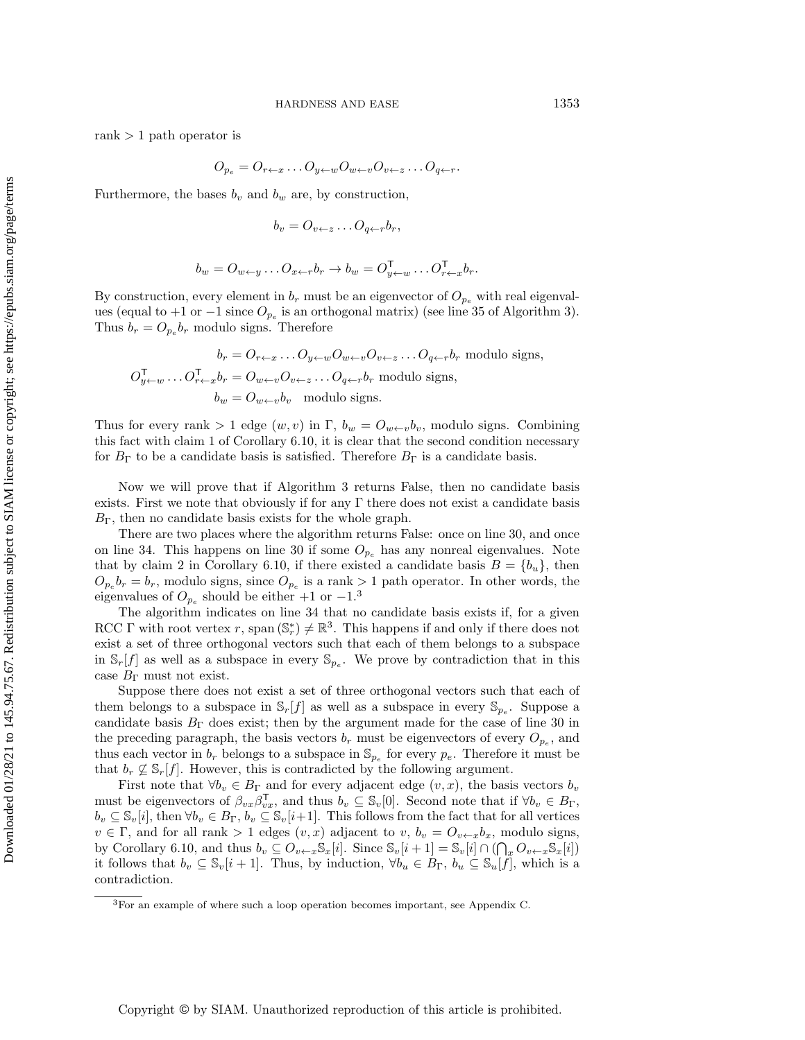rank  $> 1$  path operator is

$$
O_{p_e} = O_{r \leftarrow x} \dots O_{y \leftarrow w} O_{w \leftarrow v} O_{v \leftarrow z} \dots O_{q \leftarrow r}.
$$

Furthermore, the bases  $b_v$  and  $b_w$  are, by construction,

$$
b_v = O_{v \leftarrow z} \dots O_{q \leftarrow r} b_r,
$$

$$
b_w = O_{w \leftarrow y} \dots O_{x \leftarrow r} b_r \rightarrow b_w = O_{y \leftarrow w}^{\mathsf{T}} \dots O_{r \leftarrow x}^{\mathsf{T}} b_r.
$$

By construction, every element in  $b_r$  must be an eigenvector of  $O_{p_e}$  with real eigenvalues (equal to  $+1$  or  $-1$  since  $O_{p_e}$  is an orthogonal matrix) (see line [35](#page-21-1) of Algorithm [3\)](#page-20-0). Thus  $b_r = O_{p_e} b_r$  modulo signs. Therefore

$$
b_r = O_{r \leftarrow x} \dots O_{y \leftarrow w} O_{w \leftarrow v} O_{v \leftarrow z} \dots O_{q \leftarrow r} b_r \text{ modulo signs},
$$
  

$$
O_{y \leftarrow w}^{\mathsf{T}} \dots O_{r \leftarrow x}^{\mathsf{T}} b_r = O_{w \leftarrow v} O_{v \leftarrow z} \dots O_{q \leftarrow r} b_r \text{ modulo signs},
$$
  

$$
b_w = O_{w \leftarrow v} b_v \text{ modulo signs}.
$$

Thus for every rank  $> 1$  edge  $(w, v)$  in  $\Gamma$ ,  $b_w = O_{w \leftarrow v}b_v$ , modulo signs. Combining this fact with claim 1 of Corollary [6.10,](#page-19-2) it is clear that the second condition necessary for  $B_\Gamma$  to be a candidate basis is satisfied. Therefore  $B_\Gamma$  is a candidate basis.

Now we will prove that if Algorithm [3](#page-20-0) returns False, then no candidate basis exists. First we note that obviously if for any  $\Gamma$  there does not exist a candidate basis  $B_\Gamma$ , then no candidate basis exists for the whole graph.

There are two places where the algorithm returns False: once on line [30,](#page-21-2) and once on line [34.](#page-21-3) This happens on line [30](#page-21-2) if some  $O_{p_e}$  has any nonreal eigenvalues. Note that by claim 2 in Corollary [6.10,](#page-19-2) if there existed a candidate basis  $B = \{ b_u\}$ , then  $O_{p_e}b_r = b_r$ , modulo signs, since  $O_{p_e}$  is a rank  $> 1$  path operator. In other words, the eigenvalues of  $O_{p_e}$  should be either  $+1$  or  $-1.^3$  $-1.^3$ 

The algorithm indicates on line [34](#page-21-3) that no candidate basis exists if, for a given RCC  $\Gamma$  with root vertex r, span  $(\mathbb{S}_r^*) \neq \mathbb{R}^3$ . This happens if and only if there does not exist a set of three orthogonal vectors such that each of them belongs to a subspace in  $\mathbb S_r[f]$  as well as a subspace in every  $\mathbb S_{p_e}$ . We prove by contradiction that in this case  $B_\Gamma$  must not exist.

Suppose there does not exist a set of three orthogonal vectors such that each of them belongs to a subspace in  $\mathbb S_r[f]$  as well as a subspace in every  $\mathbb S_{p_e}$ . Suppose a candidate basis  $B_\Gamma$  does exist; then by the argument made for the case of line [30](#page-21-2) in the preceding paragraph, the basis vectors  $b_r$  must be eigenvectors of every  $O_{p_e}$ , and thus each vector in  $b_r$  belongs to a subspace in  $\mathbb{S}_{p_e}$  for every  $p_e$ . Therefore it must be that  $b_r \not\subseteq \mathbb S_r[f]$ . However, this is contradicted by the following argument.

First note that  $\forall b_v \in B_\Gamma$  and for every adjacent edge  $(v, x)$ , the basis vectors  $b_v$ must be eigenvectors of  $\beta_{vx}\beta_{vx}^T$ , and thus  $b_v \subseteq \mathbb S_v[0]$ . Second note that if  $\forall b_v \in B_\Gamma$ ,  $b_v \subseteq \mathbb S_v[i],$  then  $\forall b_v \in B_\Gamma, b_v \subseteq \mathbb S_v[i+1].$  This follows from the fact that for all vertices  $v \in \Gamma$ , and for all rank  $> 1$  edges  $(v, x)$  adjacent to  $v, b_v = O_{v\leftarrow x}b_x$ , modulo signs, by Corollary [6.10,](#page-19-2) and thus  $b_v \subseteq O_{v \leftarrow x} \mathbb{S}_x[i]$ . Since  $\mathbb{S}_v[i + 1] = \mathbb{S}_v[i] \cap (\bigcap_x O_{v \leftarrow x} \mathbb{S}_x[i])$ it follows that  $b_v \subseteq \mathbb S_v[i + 1]$ . Thus, by induction,  $\forall b_u \in B_\Gamma$ ,  $b_u \subseteq \mathbb S_u[f]$ , which is a contradiction.

<span id="page-22-0"></span><sup>3</sup>For an example of where such a loop operation becomes important, see Appendix [C.](#page-28-0)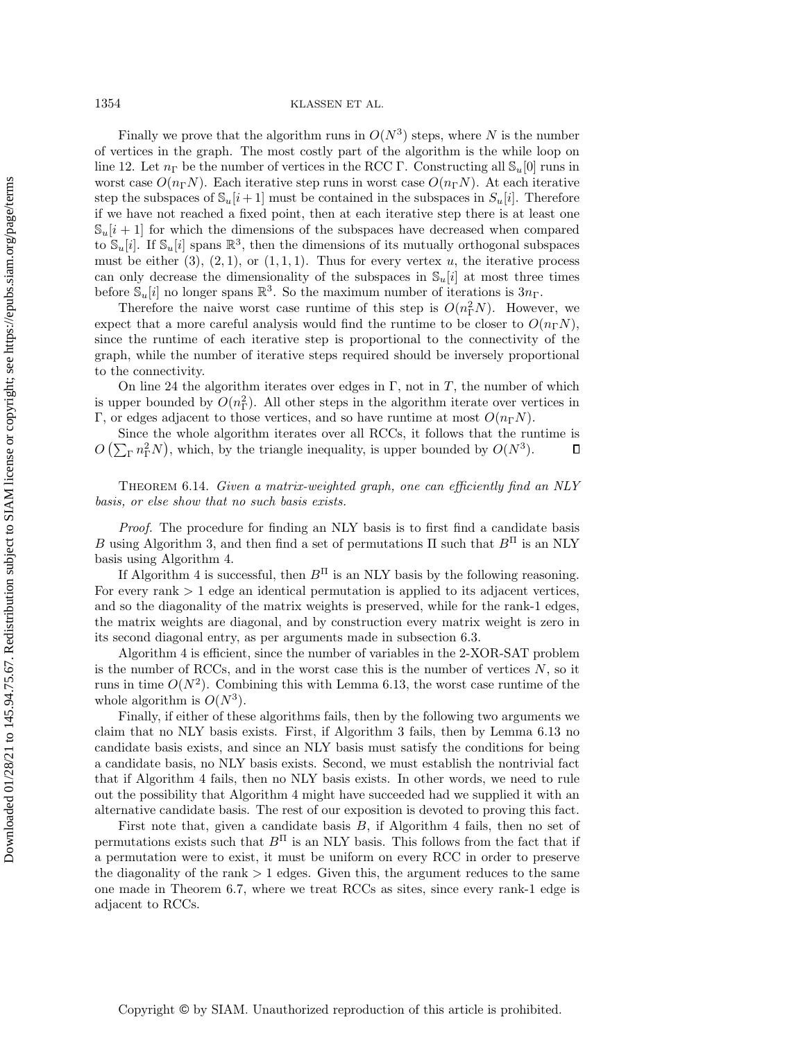1354 KLASSEN ET AL.

Finally we prove that the algorithm runs in  $O(N^3)$  steps, where N is the number of vertices in the graph. The most costly part of the algorithm is the while loop on line [12.](#page-20-2) Let  $n_\Gamma$  be the number of vertices in the RCC  $\Gamma$ . Constructing all  $\mathcal{S}_u[0]$  runs in worst case  $O(n_\Gamma N)$ . Each iterative step runs in worst case  $O(n_\Gamma N)$ . At each iterative step the subspaces of  $\mathbb S_u[i + 1]$  must be contained in the subspaces in  $S_u[i]$ . Therefore if we have not reached a fixed point, then at each iterative step there is at least one  $\mathbb{S}_u[i + 1]$  for which the dimensions of the subspaces have decreased when compared to  $\mathbb S_u[i]$ . If  $\mathbb S_u[i]$  spans  $\mathbb R^3$ , then the dimensions of its mutually orthogonal subspaces must be either  $(3)$ ,  $(2, 1)$ , or  $(1, 1, 1)$ . Thus for every vertex u, the iterative process can only decrease the dimensionality of the subspaces in  $\mathbb{S}_u[i]$  at most three times before  $\mathbb S_u[i]$  no longer spans  $\mathbb R^3$ . So the maximum number of iterations is  $3n_\Gamma$ .

Therefore the naive worst case runtime of this step is  $O(n_{\rm T}^2 N)$ . However, we expect that a more careful analysis would find the runtime to be closer to  $O(n_\Gamma N)$ , since the runtime of each iterative step is proportional to the connectivity of the graph, while the number of iterative steps required should be inversely proportional to the connectivity.

On line [24](#page-21-4) the algorithm iterates over edges in  $\Gamma$ , not in T, the number of which is upper bounded by  $O(n_{\Gamma}^2)$ . All other steps in the algorithm iterate over vertices in  $\Gamma$ , or edges adjacent to those vertices, and so have runtime at most  $O(n_\Gamma N)$ .

Since the whole algorithm iterates over all RCCs, it follows that the runtime is  $O\left( \sum_{\Gamma} n_{\Gamma}^2 N \right)$ , which, by the triangle inequality, is upper bounded by  $O(N^3)$ .  $\Box$ 

<span id="page-23-0"></span>THEOREM 6.14. Given a matrix-weighted graph, one can efficiently find an NLY basis, or else show that no such basis exists.

Proof. The procedure for finding an NLY basis is to first find a candidate basis B using Algorithm [3,](#page-20-0) and then find a set of permutations  $\Pi$  such that  $B<sup>\Pi</sup>$  is an NLY basis using Algorithm [4.](#page-24-0)

If Algorithm [4](#page-24-0) is successful, then  $B<sup>\Pi</sup>$  is an NLY basis by the following reasoning. For every rank > 1 edge an identical permutation is applied to its adjacent vertices, and so the diagonality of the matrix weights is preserved, while for the rank-1 edges, the matrix weights are diagonal, and by construction every matrix weight is zero in its second diagonal entry, as per arguments made in subsection [6.3.](#page-12-0)

Algorithm [4](#page-24-0) is efficient, since the number of variables in the 2-XOR-SAT problem is the number of RCCs, and in the worst case this is the number of vertices  $N$ , so it runs in time  $O(N^2)$ . Combining this with Lemma [6.13,](#page-19-0) the worst case runtime of the whole algorithm is  $O(N^3)$ .

Finally, if either of these algorithms fails, then by the following two arguments we claim that no NLY basis exists. First, if Algorithm [3](#page-20-0) fails, then by Lemma [6.13](#page-19-0) no candidate basis exists, and since an NLY basis must satisfy the conditions for being a candidate basis, no NLY basis exists. Second, we must establish the nontrivial fact that if Algorithm [4](#page-24-0) fails, then no NLY basis exists. In other words, we need to rule out the possibility that Algorithm [4](#page-24-0) might have succeeded had we supplied it with an alternative candidate basis. The rest of our exposition is devoted to proving this fact.

First note that, given a candidate basis  $B$ , if Algorithm [4](#page-24-0) fails, then no set of permutations exists such that  $B<sup>\Pi</sup>$  is an NLY basis. This follows from the fact that if a permutation were to exist, it must be uniform on every RCC in order to preserve the diagonality of the rank  $> 1$  edges. Given this, the argument reduces to the same one made in Theorem [6.7,](#page-15-0) where we treat RCCs as sites, since every rank-1 edge is adjacent to RCCs.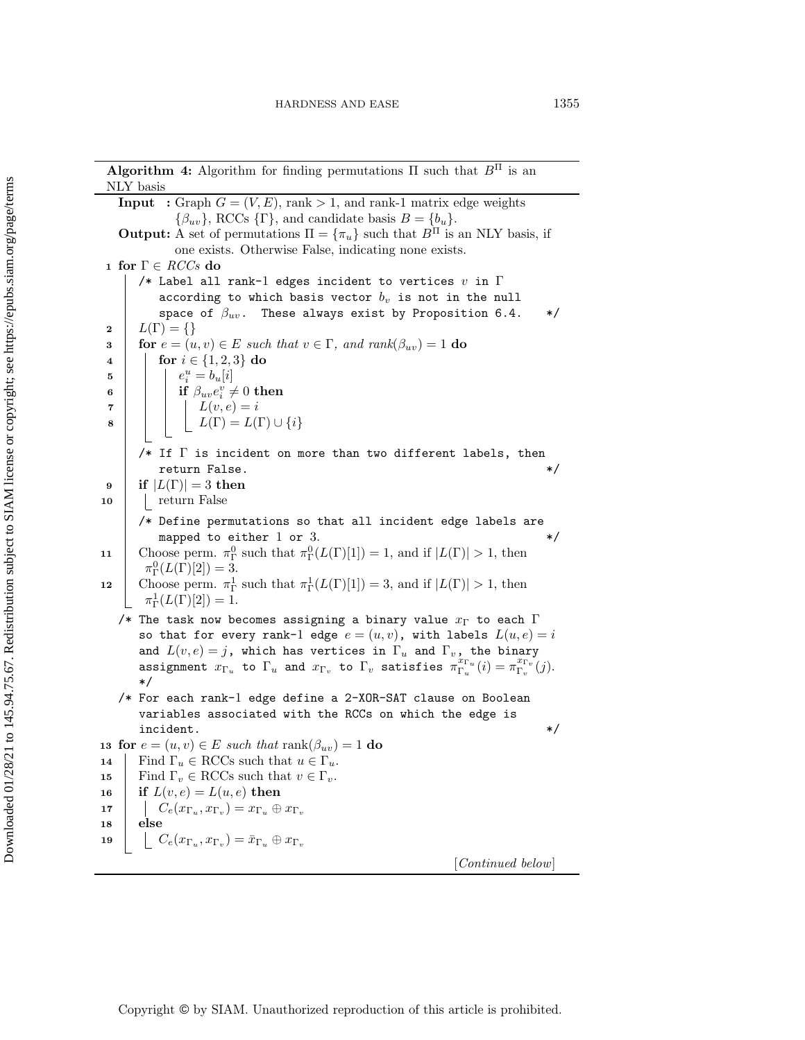## **Algorithm 4:** Algorithm for finding permutations  $\Pi$  such that  $B^{\Pi}$  is an NLY basis

<span id="page-24-0"></span>**Input** : Graph  $G = (V, E)$ , rank > 1, and rank-1 matrix edge weights  $\{ \beta_{uv}\}, \text{RCCs } \{ \Gamma \}, \text{ and candidate basis } B = \{ b_u\}.$ **Output:** A set of permutations  $\Pi = \{ \pi_u \}$  such that  $B^{\Pi}$  is an NLY basis, if one exists. Otherwise False, indicating none exists. 1 for  $\Gamma \in \mathit{RCCs}$  do /\* Label all rank-1 edges incident to vertices  $v$  in  $\Gamma$ according to which basis vector  $b_v$  is not in the null space of  $\beta_{uv}$ . These always exist by Proposition [6.4.](#page-13-0) \*/  $\begin{array}{c} \mathbf{2} \\ \mathbf{3} \end{array}$   $\begin{array}{c} L(\Gamma ) = \{ \} \\ \text{for } e = (u \end{array}$ 3 for  $e = (u, v) \in E$  such that  $v \in \Gamma$ , and rank $(\beta_{uv}) = 1$  do 4 for  $i \in \{1, 2, 3\}$  do for  $i \in \{ 1, 2, 3\}$  do 5  $\Big|$   $\Big|$   $e_i^u = b_u[i]$  $\begin{array}{|c|c|c|}\hline \textbf{6} & \textbf{1} & \textbf{if }\beta_{uv}e^v_i\neq 0\textbf{ then} \hline \end{array}$ 7 | | |  $L(v, e) = i$ 8 | | |  $L(\Gamma ) = L(\Gamma ) \cup \{ i\}$ /\* If  $\Gamma$  is incident on more than two different labels, then return False.  $*/$ 9 if  $|L(\Gamma )|=3$  then<br>10 cturn False | return False /\* Define permutations so that all incident edge labels are mapped to either 1 or 3.  $*$ / 11 Choose perm.  $\pi_{\Gamma}^0$  such that  $\pi_{\Gamma}^0(L(\Gamma)[1]) = 1$ , and if  $|L(\Gamma)| > 1$ , then  $\pi_{\Gamma}^0(L(\Gamma)[2]) = 3.$ 12 Choose perm.  $\pi_\Gamma^1$  such that  $\pi_\Gamma^1(L(\Gamma)[1]) = 3$ , and if  $|L(\Gamma)| > 1$ , then  $\pi^1_\Gamma(L(\Gamma)[2]) = 1.$ /\* The task now becomes assigning a binary value  $x_\Gamma$  to each  $\Gamma$ so that for every rank-1 edge  $e = (u, v)$ , with labels  $L(u, e) = i$ and  $L(v, e) = j$ , which has vertices in  $\Gamma_u$  and  $\Gamma_v$ , the binary assignment  $x_{\Gamma_u}$  to  $\Gamma_u$  and  $x_{\Gamma_v}$  to  $\Gamma_v$  satisfies  $\pi_{\Gamma_u}^{x_{\Gamma_u}}(i) = \pi_{\Gamma_v}^{x_{\Gamma_v}}(j)$ . \*/ /\* For each rank-1 edge define a 2-XOR-SAT clause on Boolean variables associated with the RCCs on which the edge is incident.  $*$ / 13 for  $e = (u, v) \in E$  such that rank $(\beta_{uv}) = 1$  do 14 Find  $\Gamma_u \in \text{RCCs}$  such that  $u \in \Gamma_u$ .<br>
15 Find  $\Gamma_u \in \text{RCCs}$  such that  $v \in \Gamma_u$ . 15 Find  $\Gamma_v \in \text{RCCs}$  such that  $v \in \Gamma_v$ .<br>16 if  $L(v, e) = L(u, e)$  then if  $L(v, e) = L(u, e)$  then 17  $\Big| \Big| \Big| C_e(x_{\Gamma_u}, x_{\Gamma_v}) = x_{\Gamma_u} \oplus x_{\Gamma_v}$ <sup>18</sup> else 19  $\left[\begin{array}{c} \bigcup \ C_e(x_{\Gamma_u},x_{\Gamma_v}) = \bar{x}_{\Gamma_u} \oplus x_{\Gamma_v} \end{array}\right]$ [Continued below]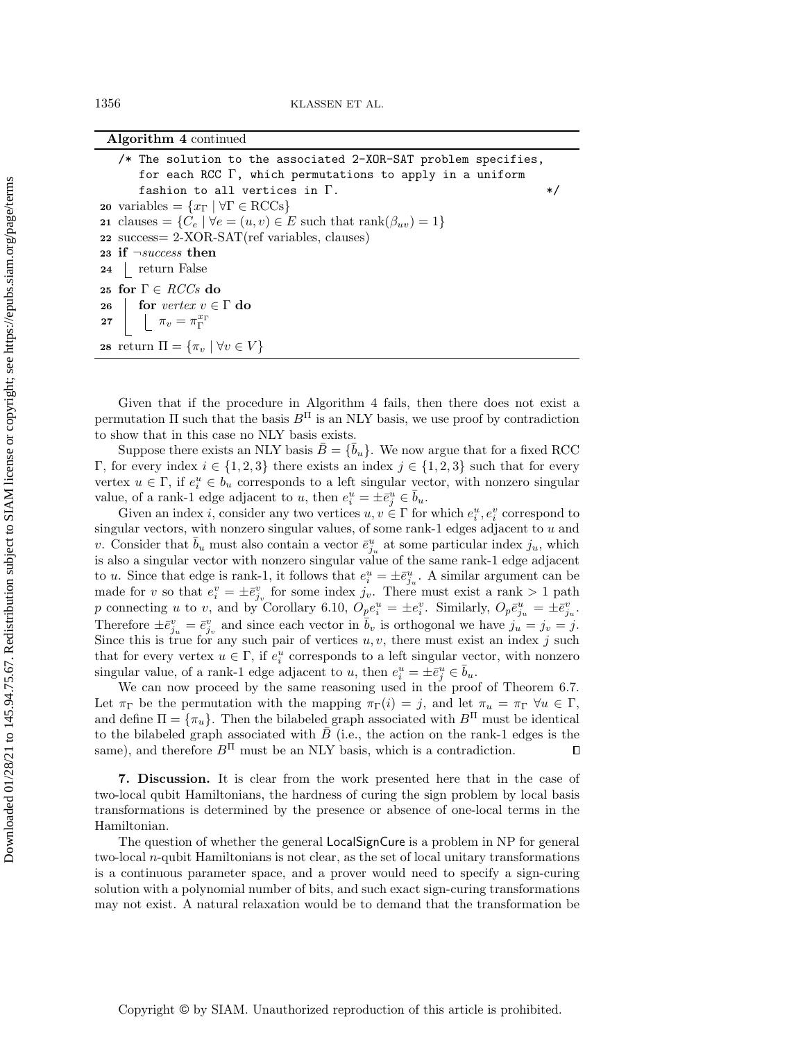| Algorithm 4 continued |  |  |
|-----------------------|--|--|
|-----------------------|--|--|

| /* The solution to the associated 2-XOR-SAT problem specifies,                                   |         |
|--------------------------------------------------------------------------------------------------|---------|
| for each RCC $\Gamma$ , which permutations to apply in a uniform                                 |         |
| fashion to all vertices in $\Gamma$ .                                                            | $\ast/$ |
| 20 variables = $\{x_{\Gamma} \mid \forall \Gamma \in \text{RCCs}\}\$                             |         |
| 21 clauses = $\{C_e   \forall e = (u, v) \in E \text{ such that } \text{rank}(\beta_{uv}) = 1\}$ |         |
| 22 success= 2-XOR-SAT(ref variables, clauses)                                                    |         |
| 23 if $\neg success$ then                                                                        |         |
| 24   return False                                                                                |         |
| 25 for $\Gamma \in \mathit{RCCs}$ do                                                             |         |
| 26   for vertex $v \in \Gamma$ do                                                                |         |
| 27 $\Box$ $\pi_v = \pi_{\Gamma}^{x_{\Gamma}}$                                                    |         |
| 28 return $\Pi = {\pi_v   \forall v \in V}$                                                      |         |

Given that if the procedure in Algorithm [4](#page-24-0) fails, then there does not exist a permutation  $\Pi$  such that the basis  $B<sup>\Pi</sup>$  is an NLY basis, we use proof by contradiction to show that in this case no NLY basis exists.

Suppose there exists an NLY basis  $\bar{B} = \{\bar{b}_u\}$ . We now argue that for a fixed RCC  $\Gamma$ , for every index  $i \in \{ 1, 2, 3\}$  there exists an index  $j \in \{ 1, 2, 3\}$  such that for every vertex  $u \in \Gamma$ , if  $e_i^u \in b_u$  corresponds to a left singular vector, with nonzero singular value, of a rank-1 edge adjacent to u, then  $e_i^u = \pm \bar{e}_j^u \in \bar{b}_u$ .

Given an index *i*, consider any two vertices  $u, v \in \Gamma$  for which  $e_i^u, e_i^v$  correspond to singular vectors, with nonzero singular values, of some rank-1 edges adjacent to u and v. Consider that  $\bar{b}_u$  must also contain a vector  $\bar{e}^u_{j_u}$  at some particular index  $j_u$ , which is also a singular vector with nonzero singular value of the same rank-1 edge adjacent to u. Since that edge is rank-1, it follows that  $e_i^u = \pm \bar{e}_{j_u}^u$ . A similar argument can be made for v so that  $e_i^v = \pm \bar{e}_{j_v}^v$  for some index  $j_v$ . There must exist a rank > 1 path p connecting u to v, and by Corollary [6.10,](#page-19-2)  $O_{\underline{p}}e_i^u = \pm e_i^v$ . Similarly,  $O_p\overline{e}_{j_u}^u = \pm \overline{e}_{j_u}^v$ . Therefore  $\pm \bar{e}_{j_u}^v = \bar{e}_{j_v}^v$  and since each vector in  $\bar{b}_v$  is orthogonal we have  $j_u = j_v = j$ . Since this is true for any such pair of vertices  $u, v$ , there must exist an index j such that for every vertex  $u \in \Gamma$ , if  $e_i^u$  corresponds to a left singular vector, with nonzero singular value, of a rank-1 edge adjacent to u, then  $e_i^u = \pm \bar{e}_j^u \in \bar{b}_u$ .

We can now proceed by the same reasoning used in the proof of Theorem [6.7.](#page-15-0) Let  $\pi_{\Gamma}$  be the permutation with the mapping  $\pi_{\Gamma} (i) = j$ , and let  $\pi_u = \pi_{\Gamma} \forall u \in \Gamma$ , and define  $\Pi = \{ \pi_u \}$ . Then the bilabeled graph associated with  $B^{\Pi}$  must be identical to the bilabeled graph associated with  $\bar{B}$  (i.e., the action on the rank-1 edges is the same), and therefore  $B<sup>\Pi</sup>$  must be an NLY basis, which is a contradiction.  $\Box$ 

<span id="page-25-0"></span>7. Discussion. It is clear from the work presented here that in the case of two-local qubit Hamiltonians, the hardness of curing the sign problem by local basis transformations is determined by the presence or absence of one-local terms in the Hamiltonian.

The question of whether the general LocalSignCure is a problem in NP for general two-local  $n$ -qubit Hamiltonians is not clear, as the set of local unitary transformations is a continuous parameter space, and a prover would need to specify a sign-curing solution with a polynomial number of bits, and such exact sign-curing transformations may not exist. A natural relaxation would be to demand that the transformation be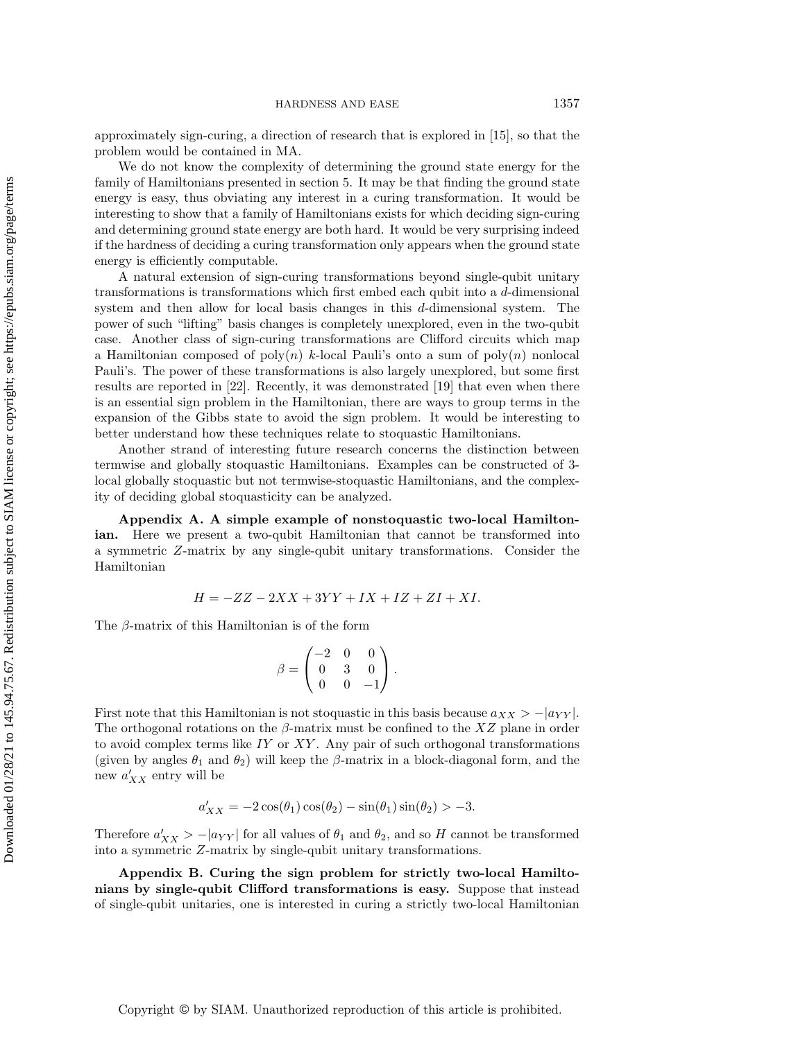approximately sign-curing, a direction of research that is explored in [\[15\]](#page-30-24), so that the problem would be contained in MA.

We do not know the complexity of determining the ground state energy for the family of Hamiltonians presented in section 5. It may be that finding the ground state energy is easy, thus obviating any interest in a curing transformation. It would be interesting to show that a family of Hamiltonians exists for which deciding sign-curing and determining ground state energy are both hard. It would be very surprising indeed if the hardness of deciding a curing transformation only appears when the ground state energy is efficiently computable.

A natural extension of sign-curing transformations beyond single-qubit unitary transformations is transformations which first embed each qubit into a d-dimensional system and then allow for local basis changes in this d-dimensional system. The power of such "lifting" basis changes is completely unexplored, even in the two-qubit case. Another class of sign-curing transformations are Clifford circuits which map a Hamiltonian composed of  $\text{poly}(n)$  k-local Pauli's onto a sum of  $\text{poly}(n)$  nonlocal Pauli's. The power of these transformations is also largely unexplored, but some first results are reported in [\[22\]](#page-30-23). Recently, it was demonstrated [\[19\]](#page-30-10) that even when there is an essential sign problem in the Hamiltonian, there are ways to group terms in the expansion of the Gibbs state to avoid the sign problem. It would be interesting to better understand how these techniques relate to stoquastic Hamiltonians.

Another strand of interesting future research concerns the distinction between termwise and globally stoquastic Hamiltonians. Examples can be constructed of 3 local globally stoquastic but not termwise-stoquastic Hamiltonians, and the complexity of deciding global stoquasticity can be analyzed.

<span id="page-26-1"></span>Appendix A. A simple example of nonstoquastic two-local Hamiltonian. Here we present a two-qubit Hamiltonian that cannot be transformed into a symmetric Z-matrix by any single-qubit unitary transformations. Consider the Hamiltonian

$$
H = -ZZ - 2XX + 3YY + IX + IZ + ZI + XI.
$$

The  $\beta$ -matrix of this Hamiltonian is of the form

$$
\beta = \begin{pmatrix} -2 & 0 & 0 \\ 0 & 3 & 0 \\ 0 & 0 & -1 \end{pmatrix}.
$$

First note that this Hamiltonian is not stoquastic in this basis because  $a_{XX} > -|a_{YY}|$ . The orthogonal rotations on the  $\beta$ -matrix must be confined to the XZ plane in order to avoid complex terms like  $IY$  or  $XY$ . Any pair of such orthogonal transformations (given by angles  $\theta_1$  and  $\theta_2$ ) will keep the  $\beta$ -matrix in a block-diagonal form, and the new  $a'_{XX}$  entry will be

$$
a'_{XX} = -2\cos(\theta_1)\cos(\theta_2) - \sin(\theta_1)\sin(\theta_2) > -3.
$$

Therefore  $a'_{XX} > -|a_{YY}|$  for all values of  $\theta_1$  and  $\theta_2$ , and so H cannot be transformed into a symmetric Z-matrix by single-qubit unitary transformations.

<span id="page-26-0"></span>Appendix B. Curing the sign problem for strictly two-local Hamiltonians by single-qubit Clifford transformations is easy. Suppose that instead of single-qubit unitaries, one is interested in curing a strictly two-local Hamiltonian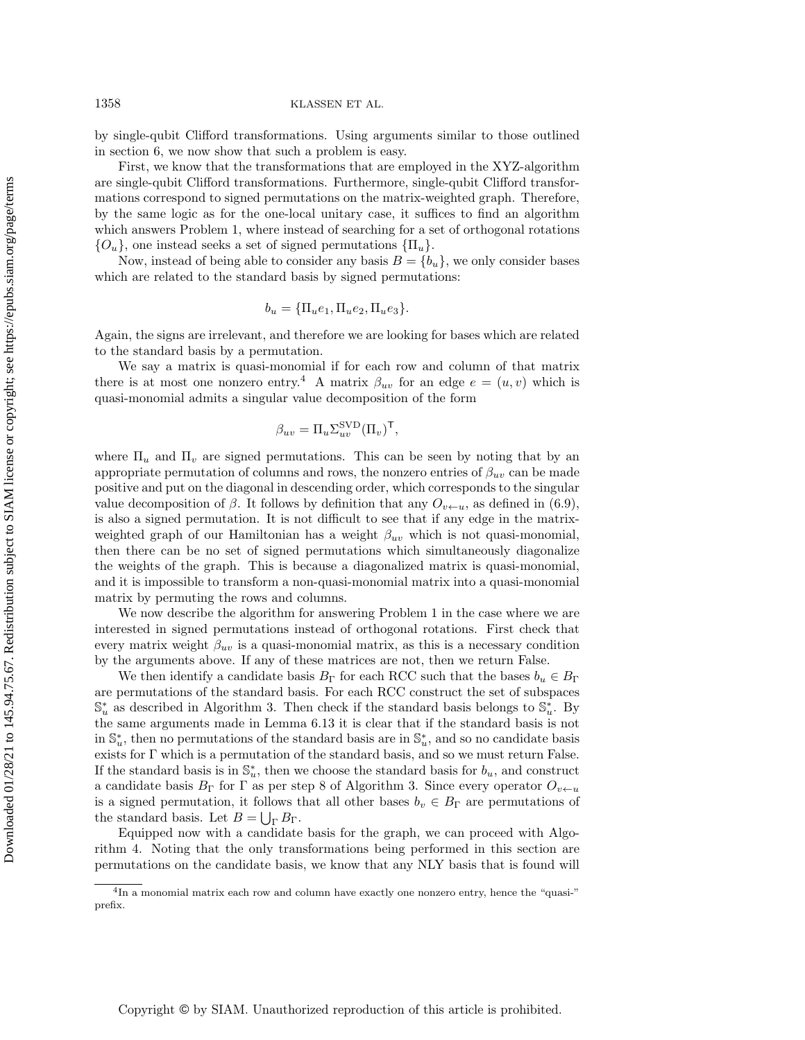by single-qubit Clifford transformations. Using arguments similar to those outlined in section [6,](#page-10-0) we now show that such a problem is easy.

First, we know that the transformations that are employed in the XYZ-algorithm are single-qubit Clifford transformations. Furthermore, single-qubit Clifford transformations correspond to signed permutations on the matrix-weighted graph. Therefore, by the same logic as for the one-local unitary case, it suffices to find an algorithm which answers Problem [1,](#page-11-2) where instead of searching for a set of orthogonal rotations  $\{ O_u\}$ , one instead seeks a set of signed permutations  $\{ \Pi_u\}$ .

Now, instead of being able to consider any basis  $B = \{ b_u \}$ , we only consider bases which are related to the standard basis by signed permutations:

$$
b_u = {\Pi_u e_1, \Pi_u e_2, \Pi_u e_3}.
$$

Again, the signs are irrelevant, and therefore we are looking for bases which are related to the standard basis by a permutation.

We say a matrix is quasi-monomial if for each row and column of that matrix there is at most one nonzero entry.<sup>[4](#page-27-0)</sup> A matrix  $\beta_{uv}$  for an edge  $e = (u, v)$  which is quasi-monomial admits a singular value decomposition of the form

$$
\beta_{uv} = \Pi_u \Sigma_{uv}^{\text{SVD}} (\Pi_v)^\mathsf{T},
$$

where  $\Pi_u$  and  $\Pi_v$  are signed permutations. This can be seen by noting that by an appropriate permutation of columns and rows, the nonzero entries of  $\beta_{uv}$  can be made positive and put on the diagonal in descending order, which corresponds to the singular value decomposition of  $\beta$ . It follows by definition that any  $O_{v\leftarrow u}$ , as defined in [\(6.9\)](#page-17-0), is also a signed permutation. It is not difficult to see that if any edge in the matrixweighted graph of our Hamiltonian has a weight  $\beta_{uv}$  which is not quasi-monomial, then there can be no set of signed permutations which simultaneously diagonalize the weights of the graph. This is because a diagonalized matrix is quasi-monomial, and it is impossible to transform a non-quasi-monomial matrix into a quasi-monomial matrix by permuting the rows and columns.

We now describe the algorithm for answering Problem [1](#page-11-2) in the case where we are interested in signed permutations instead of orthogonal rotations. First check that every matrix weight  $\beta_{uv}$  is a quasi-monomial matrix, as this is a necessary condition by the arguments above. If any of these matrices are not, then we return False.

We then identify a candidate basis  $B_\Gamma$  for each RCC such that the bases  $b_u \in B_\Gamma$ are permutations of the standard basis. For each RCC construct the set of subspaces  $\mathbb{S}_u^*$  as described in Algorithm [3.](#page-20-0) Then check if the standard basis belongs to  $\mathbb{S}_u^*$ . By the same arguments made in Lemma [6.13](#page-19-0) it is clear that if the standard basis is not in  $\mathbb S_u^*$ , then no permutations of the standard basis are in  $\mathbb S_u^*$ , and so no candidate basis exists for  $\Gamma$  which is a permutation of the standard basis, and so we must return False. If the standard basis is in  $\mathbb{S}^*_u$ , then we choose the standard basis for  $b_u$ , and construct a candidate basis  $B_\Gamma$  for  $\Gamma$  as per step 8 of Algorithm [3.](#page-20-0) Since every operator  $O_{v\leftarrow u}$ is a signed permutation, it follows that all other bases  $b_v \in B_\Gamma$  are permutations of the standard basis. Let  $B = \bigcup_{\Gamma} B_{\Gamma}$ .

Equipped now with a candidate basis for the graph, we can proceed with Algorithm [4.](#page-24-0) Noting that the only transformations being performed in this section are permutations on the candidate basis, we know that any NLY basis that is found will

<span id="page-27-0"></span> $4$ In a monomial matrix each row and column have exactly one nonzero entry, hence the "quasi-" prefix.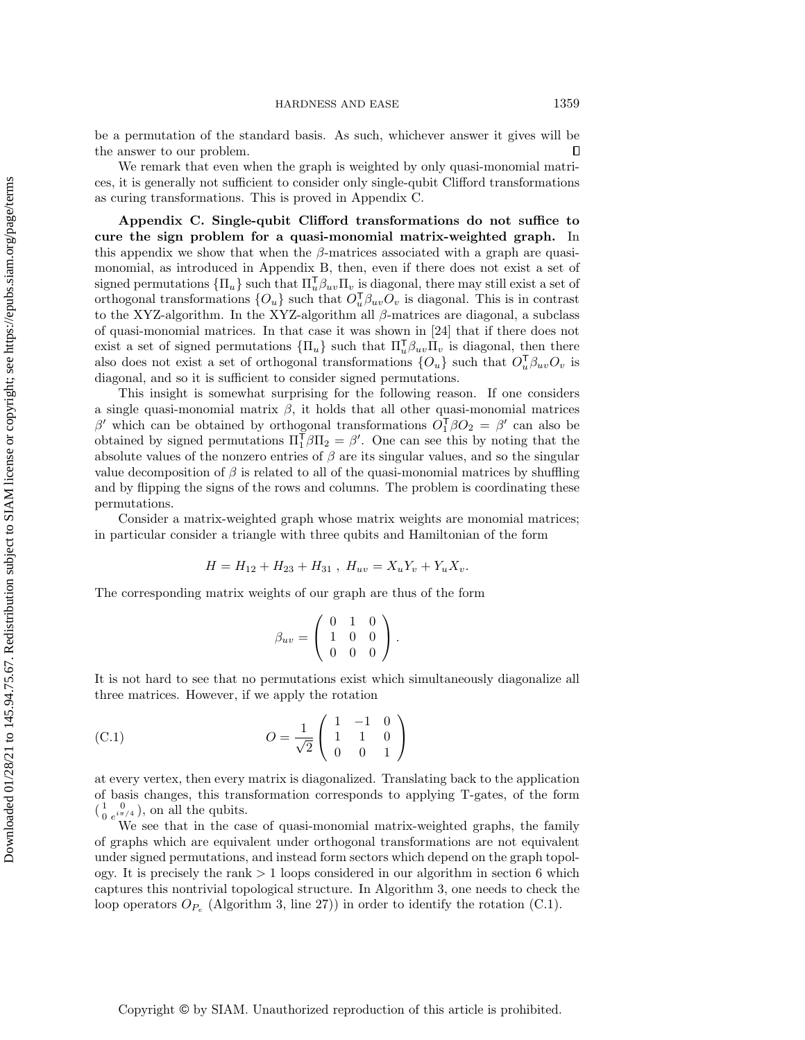be a permutation of the standard basis. As such, whichever answer it gives will be  $\Box$ the answer to our problem.

We remark that even when the graph is weighted by only quasi-monomial matrices, it is generally not sufficient to consider only single-qubit Clifford transformations as curing transformations. This is proved in Appendix [C.](#page-28-0)

<span id="page-28-0"></span>Appendix C. Single-qubit Clifford transformations do not suffice to cure the sign problem for a quasi-monomial matrix-weighted graph. In this appendix we show that when the  $\beta$ -matrices associated with a graph are quasimonomial, as introduced in Appendix [B,](#page-26-0) then, even if there does not exist a set of signed permutations  $\{\Pi_u\}$  such that  $\Pi_u \beta_{uv}\Pi_v$  is diagonal, there may still exist a set of orthogonal transformations  $\{O_u\}$  such that  $O_u^{\mathsf{T}} \beta_{uv} O_v$  is diagonal. This is in contrast to the XYZ-algorithm. In the XYZ-algorithm all  $\beta$ -matrices are diagonal, a subclass of quasi-monomial matrices. In that case it was shown in [\[24\]](#page-30-15) that if there does not exist a set of signed permutations  $\{\Pi_u\}$  such that  $\Pi_u \beta_{uv}\Pi_v$  is diagonal, then there also does not exist a set of orthogonal transformations  $\{ O_u\}$  such that  $O_u^{\mathsf{T}} \beta_{uv} O_v$  is diagonal, and so it is sufficient to consider signed permutations.

This insight is somewhat surprising for the following reason. If one considers a single quasi-monomial matrix  $\beta$ , it holds that all other quasi-monomial matrices  $\beta'$  which can be obtained by orthogonal transformations  $O_1^{\mathsf{T}} \beta O_2 = \beta'$  can also be obtained by signed permutations  $\Pi_1^{\mathsf{T}} \beta \Pi_2 = \beta'$ . One can see this by noting that the absolute values of the nonzero entries of  $\beta$  are its singular values, and so the singular value decomposition of  $\beta$  is related to all of the quasi-monomial matrices by shuffling and by flipping the signs of the rows and columns. The problem is coordinating these permutations.

Consider a matrix-weighted graph whose matrix weights are monomial matrices; in particular consider a triangle with three qubits and Hamiltonian of the form

$$
H = H_{12} + H_{23} + H_{31} , \ H_{uv} = X_u Y_v + Y_u X_v.
$$

The corresponding matrix weights of our graph are thus of the form

<span id="page-28-1"></span>
$$
\beta_{uv} = \left( \begin{array}{rrr} 0 & 1 & 0 \\ 1 & 0 & 0 \\ 0 & 0 & 0 \end{array} \right).
$$

It is not hard to see that no permutations exist which simultaneously diagonalize all three matrices. However, if we apply the rotation

(C.1) 
$$
O = \frac{1}{\sqrt{2}} \begin{pmatrix} 1 & -1 & 0 \\ 1 & 1 & 0 \\ 0 & 0 & 1 \end{pmatrix}
$$

at every vertex, then every matrix is diagonalized. Translating back to the application of basis changes, this transformation corresponds to applying T-gates, of the form  $\begin{pmatrix} 1 & 0 \\ 0 & e^{i\pi} \end{pmatrix}$  $\frac{1}{0}$   $\frac{0}{e^{i\pi/4}}$ , on all the qubits.

We see that in the case of quasi-monomial matrix-weighted graphs, the family of graphs which are equivalent under orthogonal transformations are not equivalent under signed permutations, and instead form sectors which depend on the graph topology. It is precisely the rank  $> 1$  loops considered in our algorithm in section [6](#page-10-0) which captures this nontrivial topological structure. In Algorithm [3,](#page-20-0) one needs to check the loop operators  $O_{P_e}$  (Algorithm [3,](#page-20-0) line [27\)](#page-21-5)) in order to identify the rotation [\(C.1\).](#page-28-1)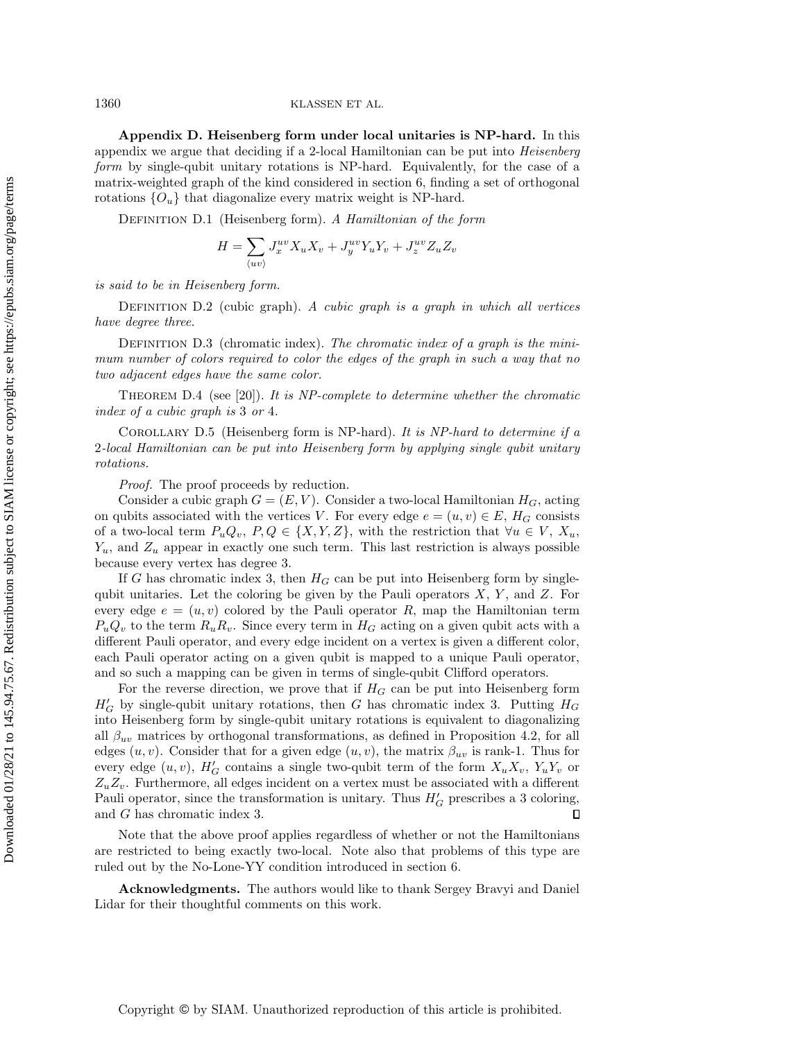1360 KLASSEN ET AL.

<span id="page-29-0"></span>Appendix D. Heisenberg form under local unitaries is NP-hard. In this appendix we argue that deciding if a 2-local Hamiltonian can be put into Heisenberg form by single-qubit unitary rotations is NP-hard. Equivalently, for the case of a matrix-weighted graph of the kind considered in section [6,](#page-10-0) finding a set of orthogonal rotations  $\{O_u\}$  that diagonalize every matrix weight is NP-hard.

DEFINITION D.1 (Heisenberg form). A Hamiltonian of the form

$$
H = \sum_{\langle uv \rangle} J_x^{uv} X_u X_v + J_y^{uv} Y_u Y_v + J_z^{uv} Z_u Z_v
$$

is said to be in Heisenberg form.

DEFINITION  $D.2$  (cubic graph). A cubic graph is a graph in which all vertices have degree three.

DEFINITION D.3 (chromatic index). The chromatic index of a graph is the minimum number of colors required to color the edges of the graph in such a way that no two adjacent edges have the same color.

THEOREM D.4 (see [\[20\]](#page-30-25)). It is NP-complete to determine whether the chromatic index of a cubic graph is 3 or 4.

COROLLARY D.5 (Heisenberg form is NP-hard). It is  $NP$ -hard to determine if a 2-local Hamiltonian can be put into Heisenberg form by applying single qubit unitary rotations.

Proof. The proof proceeds by reduction.

Consider a cubic graph  $G = (E, V)$ . Consider a two-local Hamiltonian  $H_G$ , acting on qubits associated with the vertices V. For every edge  $e = (u, v) \in E$ ,  $H_G$  consists of a two-local term  $P_u Q_v, P, Q \in \{ X, Y, Z \}$ , with the restriction that  $\forall u \in V, X_u$ ,  $Y_u$ , and  $Z_u$  appear in exactly one such term. This last restriction is always possible because every vertex has degree 3.

If G has chromatic index 3, then  $H_G$  can be put into Heisenberg form by singlequbit unitaries. Let the coloring be given by the Pauli operators  $X, Y$ , and  $Z$ . For every edge  $e = (u, v)$  colored by the Pauli operator R, map the Hamiltonian term  $P_uQ_v$  to the term  $R_uR_v$ . Since every term in  $H_G$  acting on a given qubit acts with a different Pauli operator, and every edge incident on a vertex is given a different color, each Pauli operator acting on a given qubit is mapped to a unique Pauli operator, and so such a mapping can be given in terms of single-qubit Clifford operators.

For the reverse direction, we prove that if  $H_G$  can be put into Heisenberg form  $H_G'$  by single-qubit unitary rotations, then G has chromatic index 3. Putting  $H_G$ into Heisenberg form by single-qubit unitary rotations is equivalent to diagonalizing all  $\beta_{uv}$  matrices by orthogonal transformations, as defined in [Proposition 4.2,](#page-4-3) for all edges  $(u, v)$ . Consider that for a given edge  $(u, v)$ , the matrix  $\beta_{uv}$  is rank-1. Thus for every edge  $(u, v)$ ,  $H_G'$  contains a single two-qubit term of the form  $X_u X_v$ ,  $Y_u Y_v$  or  $Z_uZ_v$ . Furthermore, all edges incident on a vertex must be associated with a different Pauli operator, since the transformation is unitary. Thus  $H\mathsf{G}'$  prescribes a 3 coloring, and G has chromatic index 3.

Note that the above proof applies regardless of whether or not the Hamiltonians are restricted to being exactly two-local. Note also that problems of this type are ruled out by the No-Lone-YY condition introduced in section [6.](#page-10-0)

Acknowledgments. The authors would like to thank Sergey Bravyi and Daniel Lidar for their thoughtful comments on this work.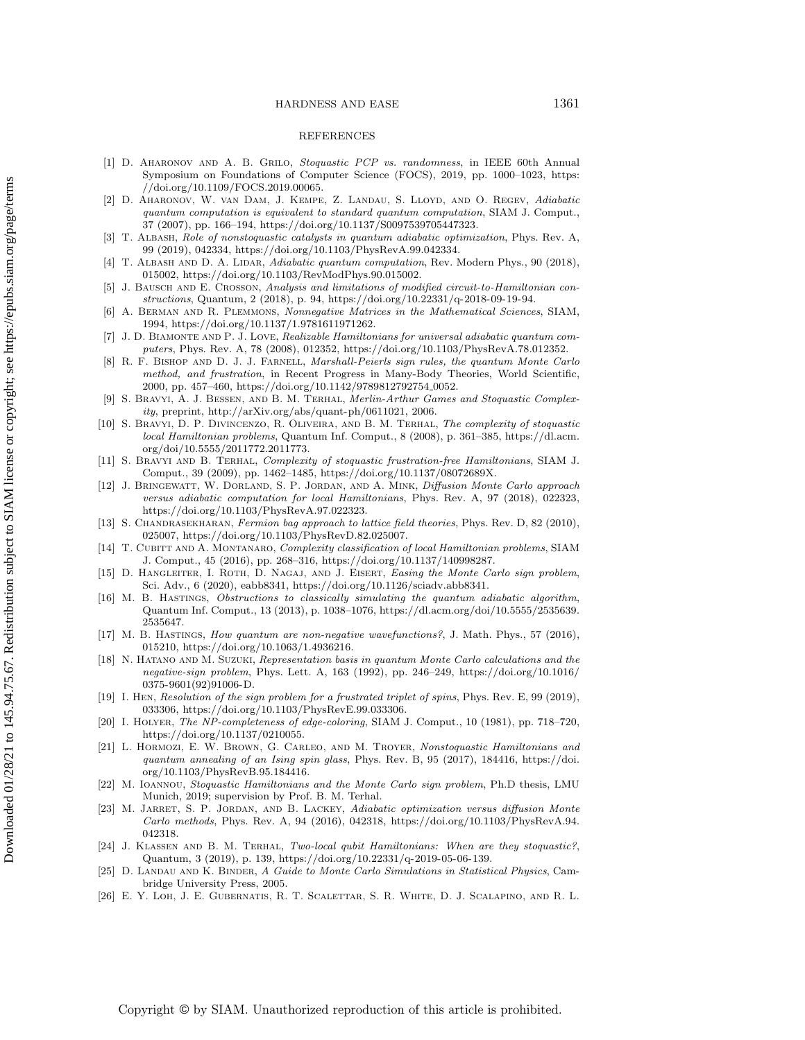#### HARDNESS AND EASE 1361

### REFERENCES

- <span id="page-30-8"></span>[1] D. Aharonov and A. B. Grilo, Stoquastic PCP vs. randomness, in IEEE 60th Annual Symposium on Foundations of Computer Science (FOCS), 2019, pp. 1000–1023, [https:](https://doi.org/10.1109/FOCS.2019.00065) [//doi.org/10.1109/FOCS.2019.00065.](https://doi.org/10.1109/FOCS.2019.00065)
- <span id="page-30-20"></span>[2] D. Aharonov, W. van Dam, J. Kempe, Z. Landau, S. Lloyd, and O. Regev, Adiabatic quantum computation is equivalent to standard quantum computation, SIAM J. Comput., 37 (2007), pp. 166-194, [https://doi.org/10.1137/S0097539705447323.](https://doi.org/10.1137/S0097539705447323)
- <span id="page-30-18"></span>[3] T. Albash, Role of nonstoquastic catalysts in quantum adiabatic optimization, Phys. Rev. A, 99 (2019), 042334, [https://doi.org/10.1103/PhysRevA.99.042334.](https://doi.org/10.1103/PhysRevA.99.042334)
- <span id="page-30-19"></span>[4] T. Albash and D. A. Lidar, Adiabatic quantum computation, Rev. Modern Phys., 90 (2018), 015002, [https://doi.org/10.1103/RevModPhys.90.015002.](https://doi.org/10.1103/RevModPhys.90.015002)
- <span id="page-30-16"></span>[5] J. BAUSCH AND E. CROSSON, Analysis and limitations of modified circuit-to-Hamiltonian constructions, Quantum, 2 (2018), p. 94, [https://doi.org/10.22331/q-2018-09-19-94.](https://doi.org/10.22331/q-2018-09-19-94)
- <span id="page-30-22"></span>[6] A. Berman and R. Plemmons, Nonnegative Matrices in the Mathematical Sciences, SIAM, 1994, [https://doi.org/10.1137/1.9781611971262.](https://doi.org/10.1137/1.9781611971262)
- <span id="page-30-21"></span>[7] J. D. Biamonte and P. J. Love, Realizable Hamiltonians for universal adiabatic quantum computers, Phys. Rev. A, 78 (2008), 012352, [https://doi.org/10.1103/PhysRevA.78.012352.](https://doi.org/10.1103/PhysRevA.78.012352)
- <span id="page-30-12"></span>[8] R. F. Bishop and D. J. J. Farnell, Marshall-Peierls sign rules, the quantum Monte Carlo method, and frustration, in Recent Progress in Many-Body Theories, World Scientific, 2000, pp. 457-460, [https://doi.org/10.1142/9789812792754](https://doi.org/10.1142/9789812792754_0052)\_0052.
- <span id="page-30-6"></span>[9] S. Bravyi, A. J. Bessen, and B. M. Terhal, Merlin-Arthur Games and Stoquastic Complexity, preprint, [http://arXiv.org/abs/quant-ph/0611021,](http://arXiv.org/abs/quant-ph/0611021) 2006.
- <span id="page-30-1"></span>[10] S. Bravyi, D. P. Divincenzo, R. Oliveira, and B. M. Terhal, The complexity of stoquastic local Hamiltonian problems, Quantum Inf. Comput., 8 (2008), p. 361-385, [https://dl.acm.](https://dl.acm.org/doi/10.5555/2011772.2011773) [org/doi/10.5555/2011772.2011773.](https://dl.acm.org/doi/10.5555/2011772.2011773)
- <span id="page-30-2"></span>[11] S. Bravyi and B. Terhal, Complexity of stoquastic frustration-free Hamiltonians, SIAM J. Comput., 39 (2009), pp. 1462-1485, [https://doi.org/10.1137/08072689X.](https://doi.org/10.1137/08072689X)
- <span id="page-30-5"></span>[12] J. Bringewatt, W. Dorland, S. P. Jordan, and A. Mink, Diffusion Monte Carlo approach versus adiabatic computation for local Hamiltonians, Phys. Rev. A, 97 (2018), 022323, [https://doi.org/10.1103/PhysRevA.97.022323.](https://doi.org/10.1103/PhysRevA.97.022323)
- <span id="page-30-9"></span>[13] S. CHANDRASEKHARAN, Fermion bag approach to lattice field theories, Phys. Rev. D, 82 (2010). 025007, [https://doi.org/10.1103/PhysRevD.82.025007.](https://doi.org/10.1103/PhysRevD.82.025007)
- <span id="page-30-7"></span>[14] T. CUBITT AND A. MONTANARO, Complexity classification of local Hamiltonian problems, SIAM J. Comput., 45 (2016), pp. 268-316, [https://doi.org/10.1137/140998287.](https://doi.org/10.1137/140998287)
- <span id="page-30-24"></span>[15] D. HANGLEITER, I. ROTH, D. NAGAJ, AND J. EISERT, Easing the Monte Carlo sign problem, Sci. Adv., 6 (2020), eabb8341, [https://doi.org/10.1126/sciadv.abb8341.](https://doi.org/10.1126/sciadv.abb8341)
- <span id="page-30-3"></span>[16] M. B. HASTINGS, Obstructions to classically simulating the quantum adiabatic algorithm, Quantum Inf. Comput., 13 (2013), p. 1038--1076, [https://dl.acm.org/doi/10.5555/2535639.](https://dl.acm.org/doi/10.5555/2535639.2535647) [2535647.](https://dl.acm.org/doi/10.5555/2535639.2535647)
- <span id="page-30-14"></span>[17] M. B. Hastings, How quantum are non-negative wavefunctions?, J. Math. Phys., 57 (2016), 015210, [https://doi.org/10.1063/1.4936216.](https://doi.org/10.1063/1.4936216)
- <span id="page-30-13"></span>[18] N. Hatano and M. Suzuki, Representation basis in quantum Monte Carlo calculations and the negative-sign problem, Phys. Lett. A, 163 (1992), pp. 246-249, [https://doi.org/10.1016/](https://doi.org/10.1016/0375-9601(92)91006-D) [0375-9601\(92\)91006-D.](https://doi.org/10.1016/0375-9601(92)91006-D)
- <span id="page-30-10"></span>[19] I. Hen, Resolution of the sign problem for a frustrated triplet of spins, Phys. Rev. E, 99 (2019), 033306, [https://doi.org/10.1103/PhysRevE.99.033306.](https://doi.org/10.1103/PhysRevE.99.033306)
- <span id="page-30-25"></span>[20] I. HOLYER, The NP-completeness of edge-coloring, SIAM J. Comput., 10 (1981), pp. 718-720, [https://doi.org/10.1137/0210055.](https://doi.org/10.1137/0210055)
- <span id="page-30-17"></span>[21] L. Hormozi, E. W. Brown, G. Carleo, and M. Troyer, Nonstoquastic Hamiltonians and quantum annealing of an Ising spin glass, Phys. Rev. B, 95 (2017), 184416, [https://doi.](https://doi.org/10.1103/PhysRevB.95.184416) [org/10.1103/PhysRevB.95.184416.](https://doi.org/10.1103/PhysRevB.95.184416)
- <span id="page-30-23"></span>[22] M. Ioannou, Stoquastic Hamiltonians and the Monte Carlo sign problem, Ph.D thesis, LMU Munich, 2019; supervision by Prof. B. M. Terhal.
- <span id="page-30-4"></span>[23] M. JARRET, S. P. JORDAN, AND B. LACKEY, Adiabatic optimization versus diffusion Monte Carlo methods, Phys. Rev. A, 94 (2016), 042318, [https://doi.org/10.1103/PhysRevA.94.](https://doi.org/10.1103/PhysRevA.94.042318) [042318.](https://doi.org/10.1103/PhysRevA.94.042318)
- <span id="page-30-15"></span>[24] J. Klassen and B. M. Terhal, Two-local qubit Hamiltonians: When are they stoquastic?, Quantum, 3 (2019), p. 139, [https://doi.org/10.22331/q-2019-05-06-139.](https://doi.org/10.22331/q-2019-05-06-139)
- <span id="page-30-11"></span>[25] D. LANDAU AND K. BINDER, A Guide to Monte Carlo Simulations in Statistical Physics, Cambridge University Press, 2005.
- <span id="page-30-0"></span>[26] E. Y. Loh, J. E. Gubernatis, R. T. Scalettar, S. R. White, D. J. Scalapino, and R. L.